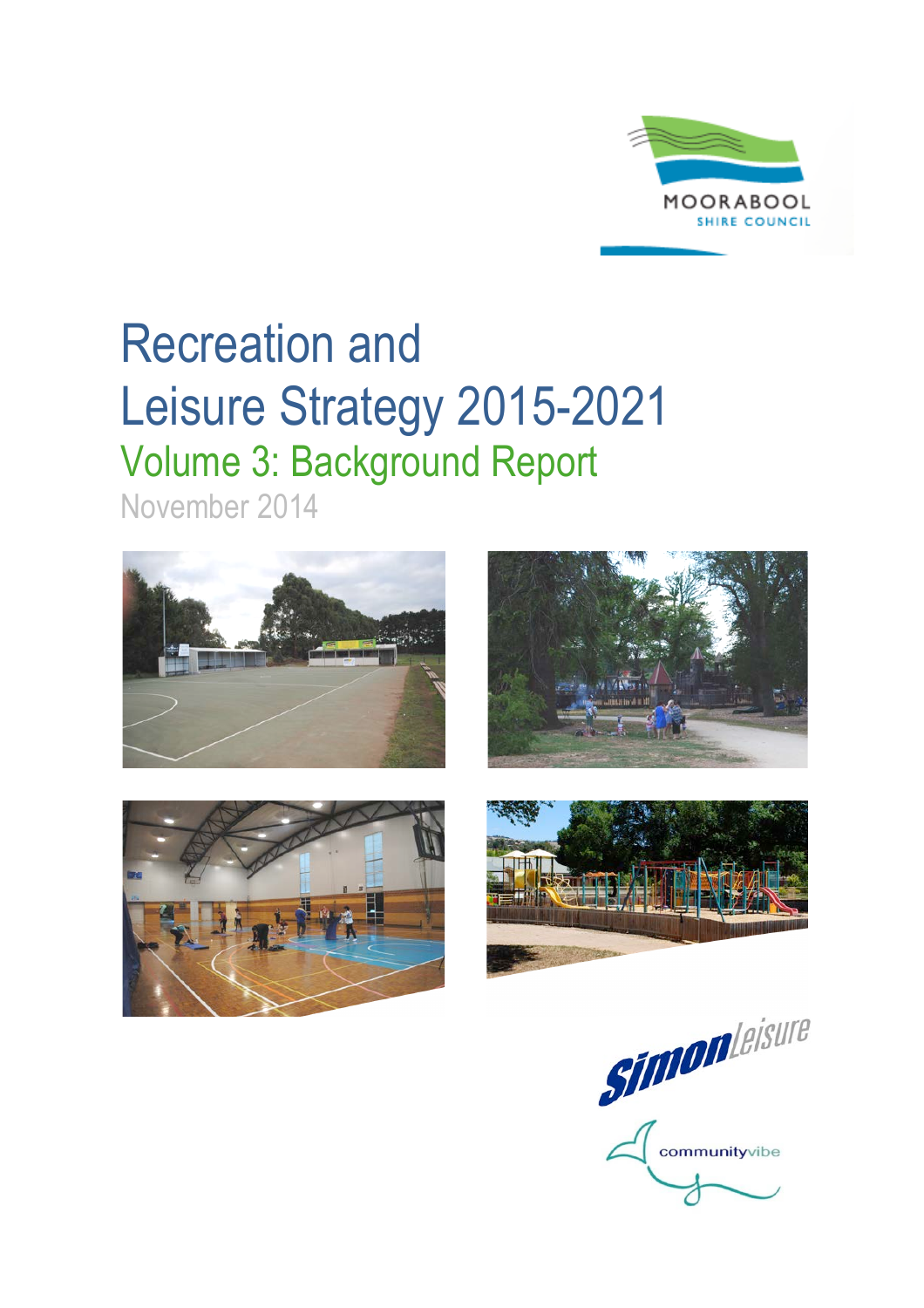

# Recreation and Leisure Strategy 2015-2021 Volume 3: Background Report

November 2014









Simonleisure communityvibe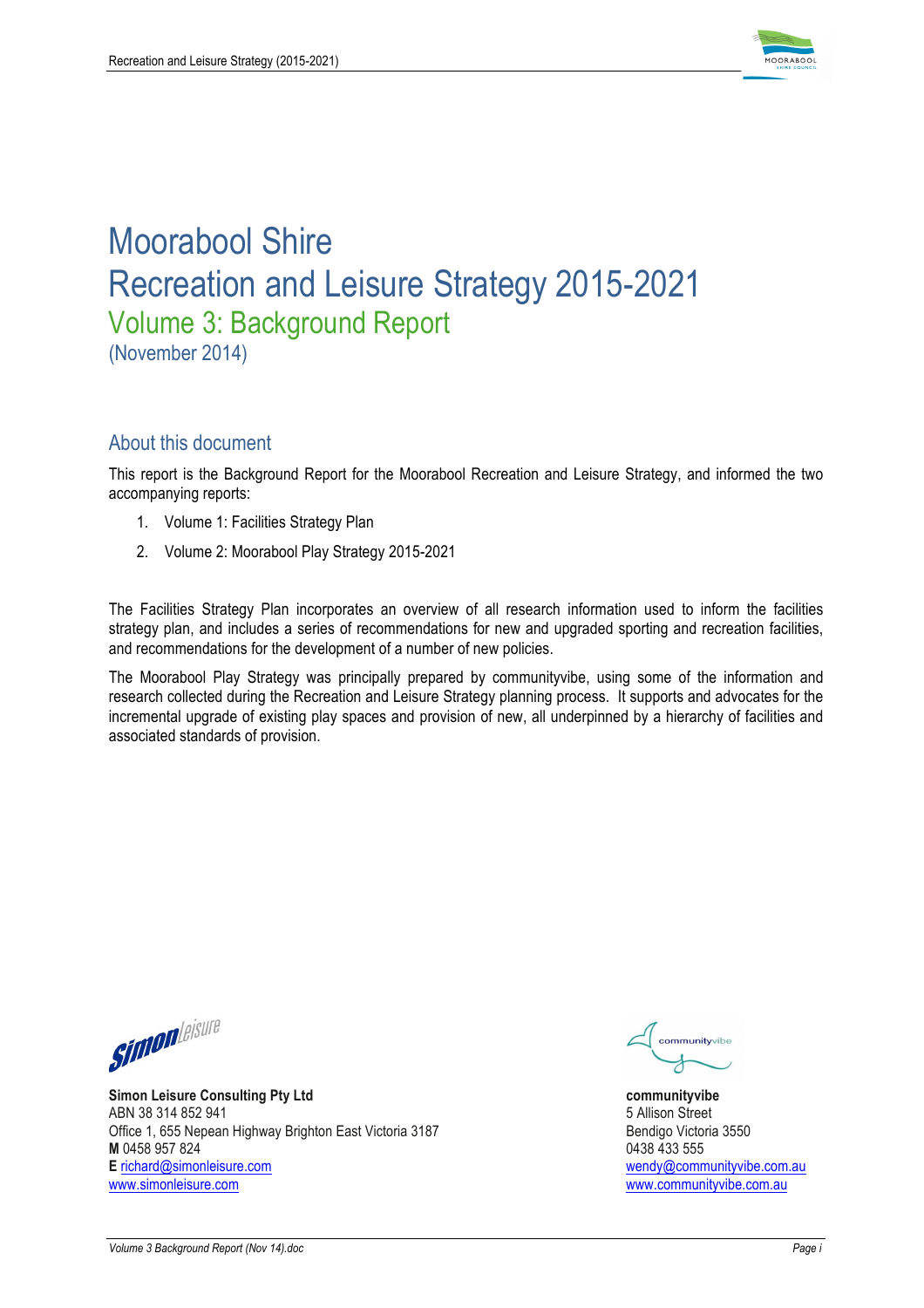

# Moorabool Shire Recreation and Leisure Strategy 2015-2021 Volume 3: Background Report (November 2014)

# About this document

This report is the Background Report for the Moorabool Recreation and Leisure Strategy, and informed the two accompanying reports:

- 1. Volume 1: Facilities Strategy Plan
- 2. Volume 2: Moorabool Play Strategy 2015-2021

The Facilities Strategy Plan incorporates an overview of all research information used to inform the facilities strategy plan, and includes a series of recommendations for new and upgraded sporting and recreation facilities, and recommendations for the development of a number of new policies.

The Moorabool Play Strategy was principally prepared by communityvibe, using some of the information and research collected during the Recreation and Leisure Strategy planning process. It supports and advocates for the incremental upgrade of existing play spaces and provision of new, all underpinned by a hierarchy of facilities and associated standards of provision.

**Símon**leisure

**Simon Leisure Consulting Pty Ltd communityvibe** ABN 38 314 852 941 5 Allison Street Office 1, 655 Nepean Highway Brighton East Victoria 3187 Bendigo Victoria 3550 **M** 0458 957 824 **0438 433 5556**<br> **E** richard@simonleisure.com **blue and the community of the community of the community of the community of the community of the community of the community of the community of the community** www.simonleisure.com www.simonleisure.com communityvibe.com.au

communityvibe

wendy@communityvibe.com.au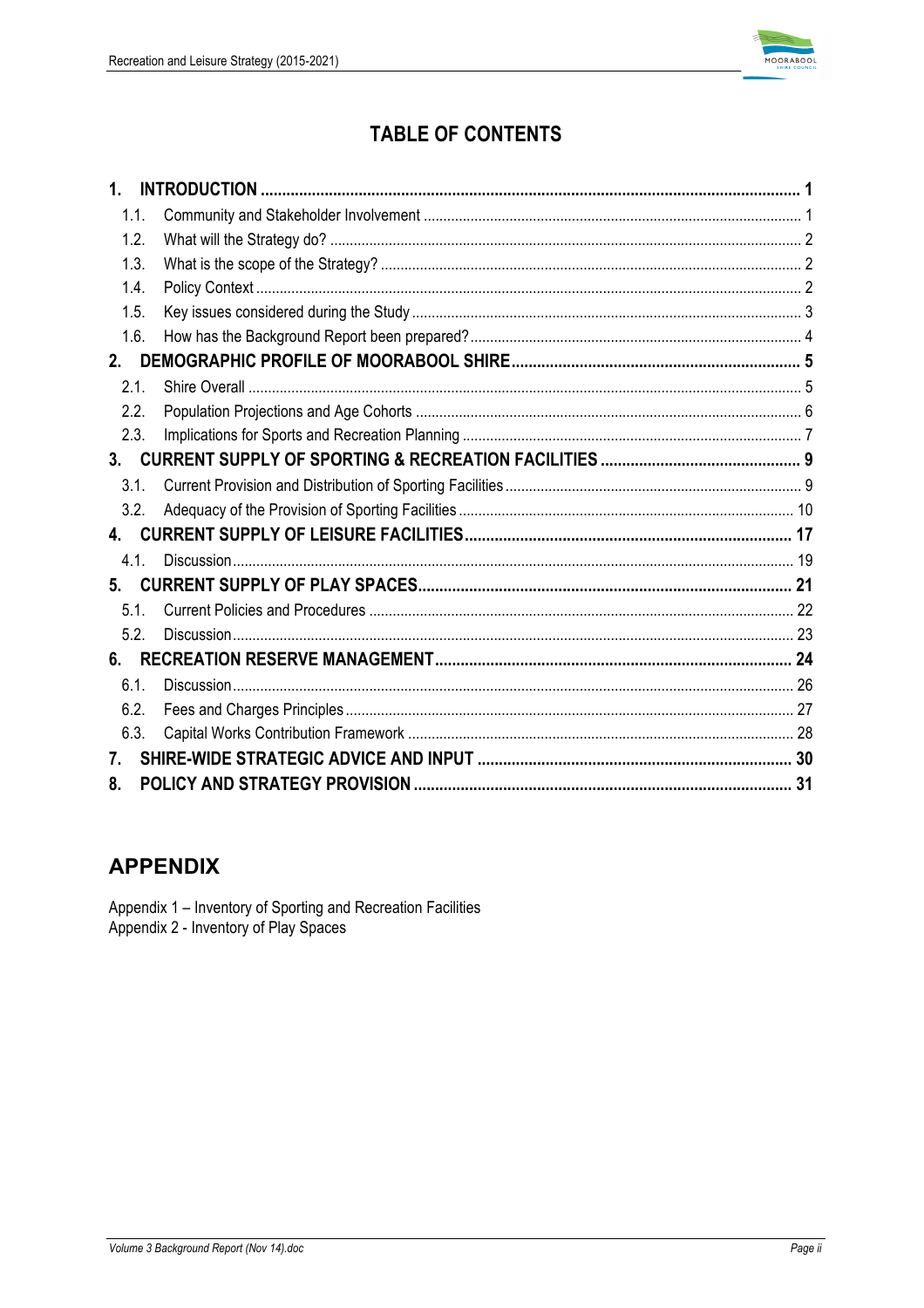

# **TABLE OF CONTENTS**

| 1.             |  |
|----------------|--|
| 1.1.           |  |
| 1.2.           |  |
| 1.3.           |  |
| 1.4.           |  |
| 1.5.           |  |
| 1.6.           |  |
| 2.             |  |
| 2.1.           |  |
| 2.2.           |  |
| 2.3.           |  |
| 3 <sub>1</sub> |  |
| 3.1.           |  |
| 3.2.           |  |
| 4.             |  |
| 4.1.           |  |
| 5.             |  |
| 5.1.           |  |
| 5.2.           |  |
| 6.             |  |
| 6.1.           |  |
| 6.2.           |  |
| 6.3.           |  |
| 7.             |  |
| 8.             |  |

# **APPENDIX**

Appendix 1 – Inventory of Sporting and Recreation Facilities<br>Appendix 2 - Inventory of Play Spaces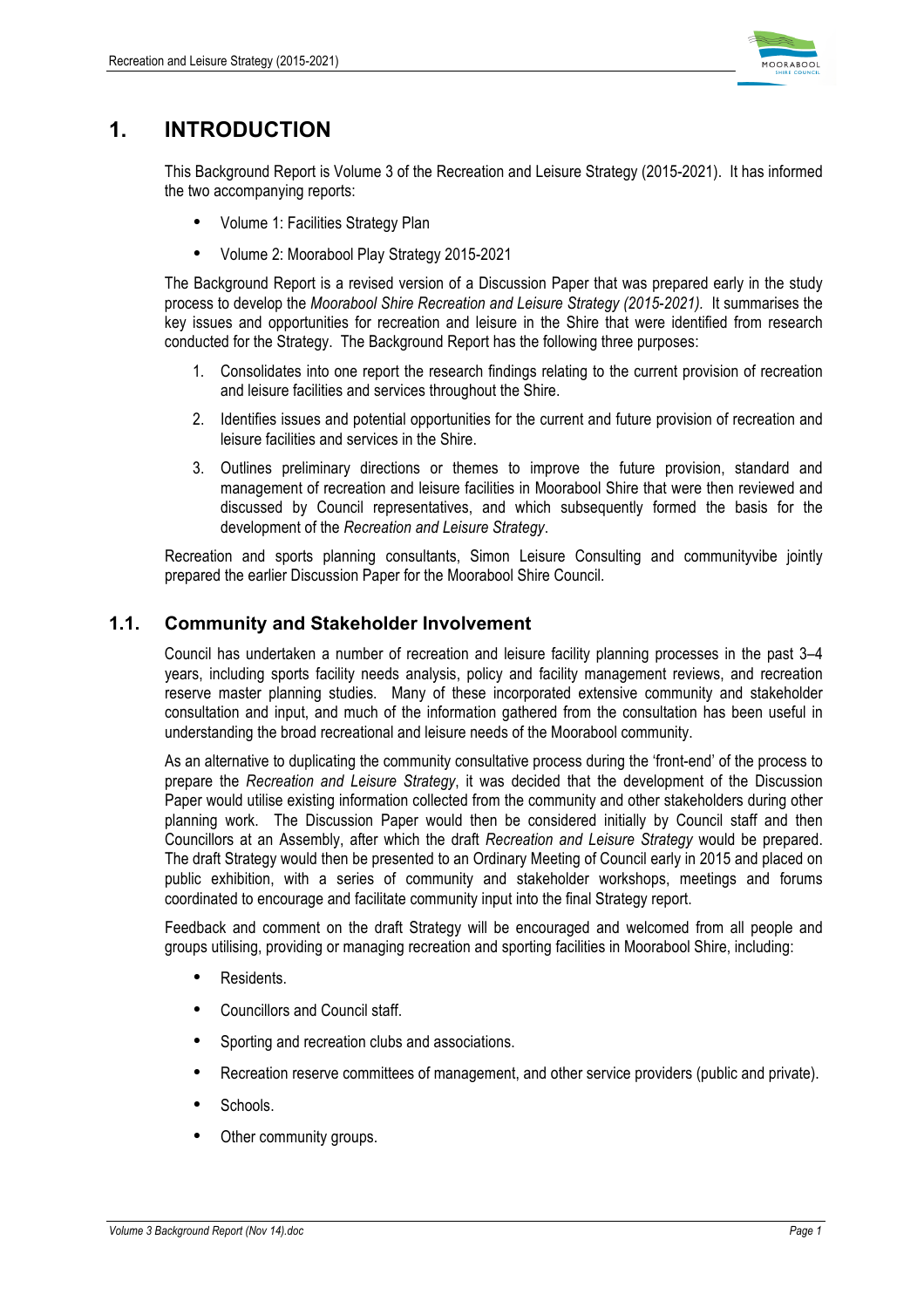

# **1. INTRODUCTION**

This Background Report is Volume 3 of the Recreation and Leisure Strategy (2015-2021). It has informed the two accompanying reports:

- Volume 1: Facilities Strategy Plan
- Volume 2: Moorabool Play Strategy 2015-2021

The Background Report is a revised version of a Discussion Paper that was prepared early in the study process to develop the *Moorabool Shire Recreation and Leisure Strategy (2015-2021).* It summarises the key issues and opportunities for recreation and leisure in the Shire that were identified from research conducted for the Strategy. The Background Report has the following three purposes:

- 1. Consolidates into one report the research findings relating to the current provision of recreation and leisure facilities and services throughout the Shire.
- 2. Identifies issues and potential opportunities for the current and future provision of recreation and leisure facilities and services in the Shire.
- 3. Outlines preliminary directions or themes to improve the future provision, standard and management of recreation and leisure facilities in Moorabool Shire that were then reviewed and discussed by Council representatives, and which subsequently formed the basis for the development of the *Recreation and Leisure Strategy*.

Recreation and sports planning consultants, Simon Leisure Consulting and communityvibe jointly prepared the earlier Discussion Paper for the Moorabool Shire Council.

# **1.1. Community and Stakeholder Involvement**

Council has undertaken a number of recreation and leisure facility planning processes in the past 3–4 years, including sports facility needs analysis, policy and facility management reviews, and recreation reserve master planning studies. Many of these incorporated extensive community and stakeholder consultation and input, and much of the information gathered from the consultation has been useful in understanding the broad recreational and leisure needs of the Moorabool community.

As an alternative to duplicating the community consultative process during the 'front-end' of the process to prepare the *Recreation and Leisure Strategy*, it was decided that the development of the Discussion Paper would utilise existing information collected from the community and other stakeholders during other planning work. The Discussion Paper would then be considered initially by Council staff and then Councillors at an Assembly, after which the draft *Recreation and Leisure Strategy* would be prepared. The draft Strategy would then be presented to an Ordinary Meeting of Council early in 2015 and placed on public exhibition, with a series of community and stakeholder workshops, meetings and forums coordinated to encourage and facilitate community input into the final Strategy report.

Feedback and comment on the draft Strategy will be encouraged and welcomed from all people and groups utilising, providing or managing recreation and sporting facilities in Moorabool Shire, including:

- Residents.
- Councillors and Council staff.
- Sporting and recreation clubs and associations.
- Recreation reserve committees of management, and other service providers (public and private).
- Schools.
- Other community groups.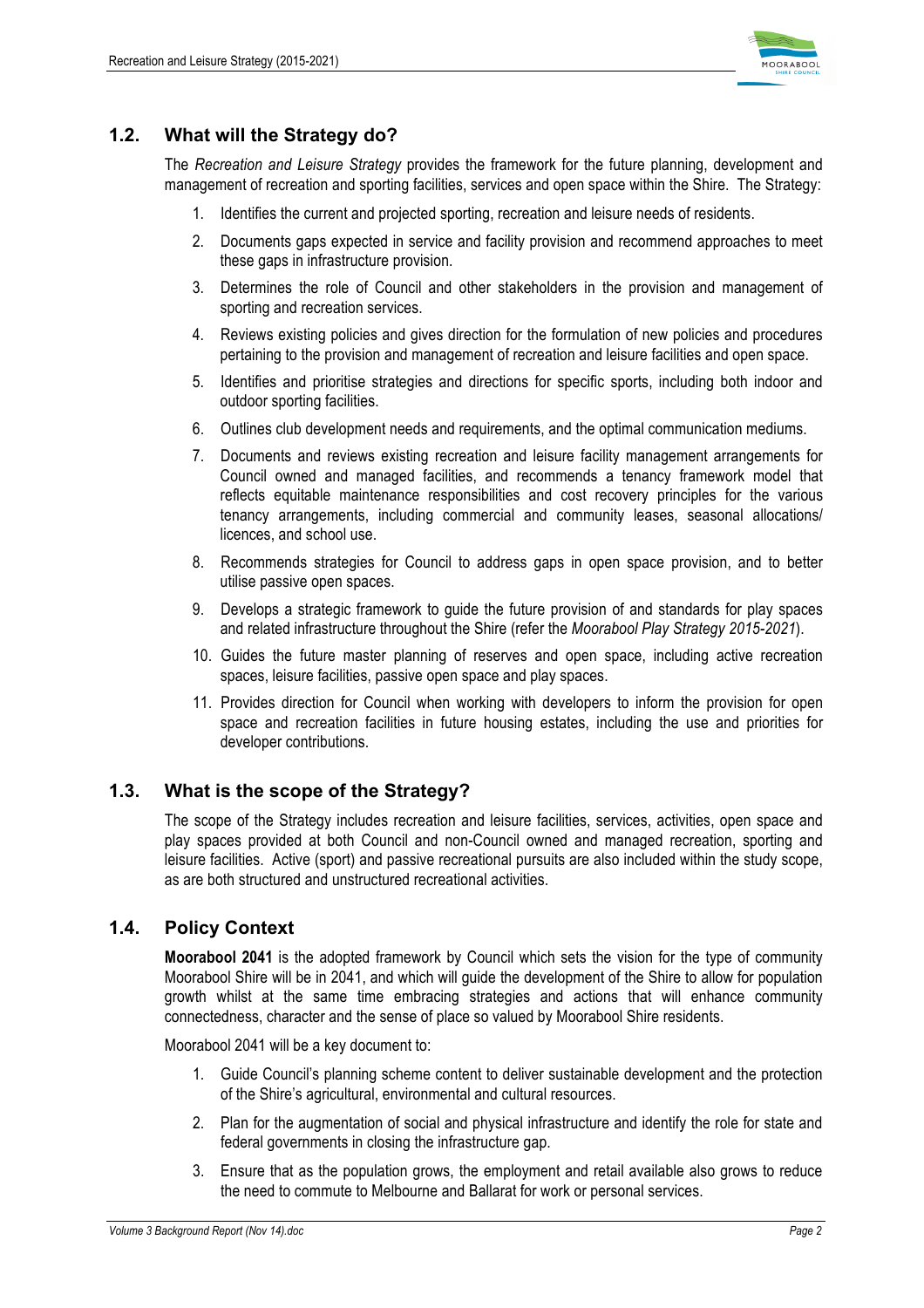

# **1.2. What will the Strategy do?**

The *Recreation and Leisure Strategy* provides the framework for the future planning, development and management of recreation and sporting facilities, services and open space within the Shire. The Strategy:

- 1. Identifies the current and projected sporting, recreation and leisure needs of residents.
- 2. Documents gaps expected in service and facility provision and recommend approaches to meet these gaps in infrastructure provision.
- 3. Determines the role of Council and other stakeholders in the provision and management of sporting and recreation services.
- 4. Reviews existing policies and gives direction for the formulation of new policies and procedures pertaining to the provision and management of recreation and leisure facilities and open space.
- 5. Identifies and prioritise strategies and directions for specific sports, including both indoor and outdoor sporting facilities.
- 6. Outlines club development needs and requirements, and the optimal communication mediums.
- 7. Documents and reviews existing recreation and leisure facility management arrangements for Council owned and managed facilities, and recommends a tenancy framework model that reflects equitable maintenance responsibilities and cost recovery principles for the various tenancy arrangements, including commercial and community leases, seasonal allocations/ licences, and school use.
- 8. Recommends strategies for Council to address gaps in open space provision, and to better utilise passive open spaces.
- 9. Develops a strategic framework to guide the future provision of and standards for play spaces and related infrastructure throughout the Shire (refer the *Moorabool Play Strategy 2015-2021*).
- 10. Guides the future master planning of reserves and open space, including active recreation spaces, leisure facilities, passive open space and play spaces.
- 11. Provides direction for Council when working with developers to inform the provision for open space and recreation facilities in future housing estates, including the use and priorities for developer contributions.

# **1.3. What is the scope of the Strategy?**

The scope of the Strategy includes recreation and leisure facilities, services, activities, open space and play spaces provided at both Council and non-Council owned and managed recreation, sporting and leisure facilities. Active (sport) and passive recreational pursuits are also included within the study scope, as are both structured and unstructured recreational activities.

# **1.4. Policy Context**

**Moorabool 2041** is the adopted framework by Council which sets the vision for the type of community Moorabool Shire will be in 2041, and which will guide the development of the Shire to allow for population growth whilst at the same time embracing strategies and actions that will enhance community connectedness, character and the sense of place so valued by Moorabool Shire residents.

Moorabool 2041 will be a key document to:

- 1. Guide Council's planning scheme content to deliver sustainable development and the protection of the Shire's agricultural, environmental and cultural resources.
- 2. Plan for the augmentation of social and physical infrastructure and identify the role for state and federal governments in closing the infrastructure gap.
- 3. Ensure that as the population grows, the employment and retail available also grows to reduce the need to commute to Melbourne and Ballarat for work or personal services.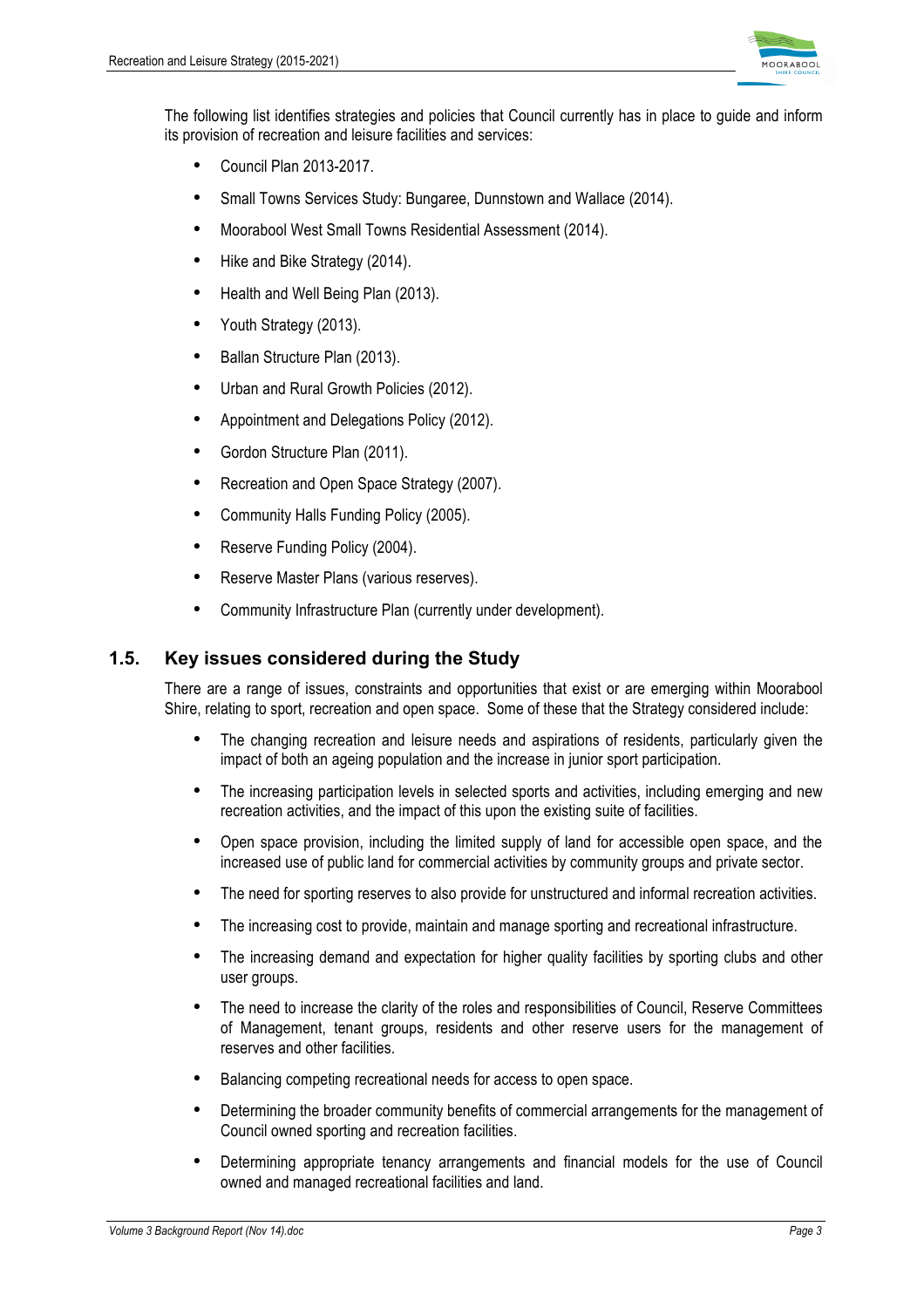

The following list identifies strategies and policies that Council currently has in place to quide and inform its provision of recreation and leisure facilities and services:

- Council Plan 2013-2017.
- Small Towns Services Study: Bungaree, Dunnstown and Wallace (2014).
- Moorabool West Small Towns Residential Assessment (2014).
- Hike and Bike Strategy (2014).
- Health and Well Being Plan (2013).
- Youth Strategy (2013).
- Ballan Structure Plan (2013).
- Urban and Rural Growth Policies (2012).
- Appointment and Delegations Policy (2012).
- Gordon Structure Plan (2011).
- Recreation and Open Space Strategy (2007).
- Community Halls Funding Policy (2005).
- Reserve Funding Policy (2004).
- Reserve Master Plans (various reserves).
- Community Infrastructure Plan (currently under development).

## **1.5. Key issues considered during the Study**

There are a range of issues, constraints and opportunities that exist or are emerging within Moorabool Shire, relating to sport, recreation and open space. Some of these that the Strategy considered include:

- The changing recreation and leisure needs and aspirations of residents, particularly given the impact of both an ageing population and the increase in junior sport participation.
- The increasing participation levels in selected sports and activities, including emerging and new recreation activities, and the impact of this upon the existing suite of facilities.
- Open space provision, including the limited supply of land for accessible open space, and the increased use of public land for commercial activities by community groups and private sector.
- The need for sporting reserves to also provide for unstructured and informal recreation activities.
- The increasing cost to provide, maintain and manage sporting and recreational infrastructure.
- The increasing demand and expectation for higher quality facilities by sporting clubs and other user groups.
- The need to increase the clarity of the roles and responsibilities of Council, Reserve Committees of Management, tenant groups, residents and other reserve users for the management of reserves and other facilities.
- Balancing competing recreational needs for access to open space.
- Determining the broader community benefits of commercial arrangements for the management of Council owned sporting and recreation facilities.
- Determining appropriate tenancy arrangements and financial models for the use of Council owned and managed recreational facilities and land.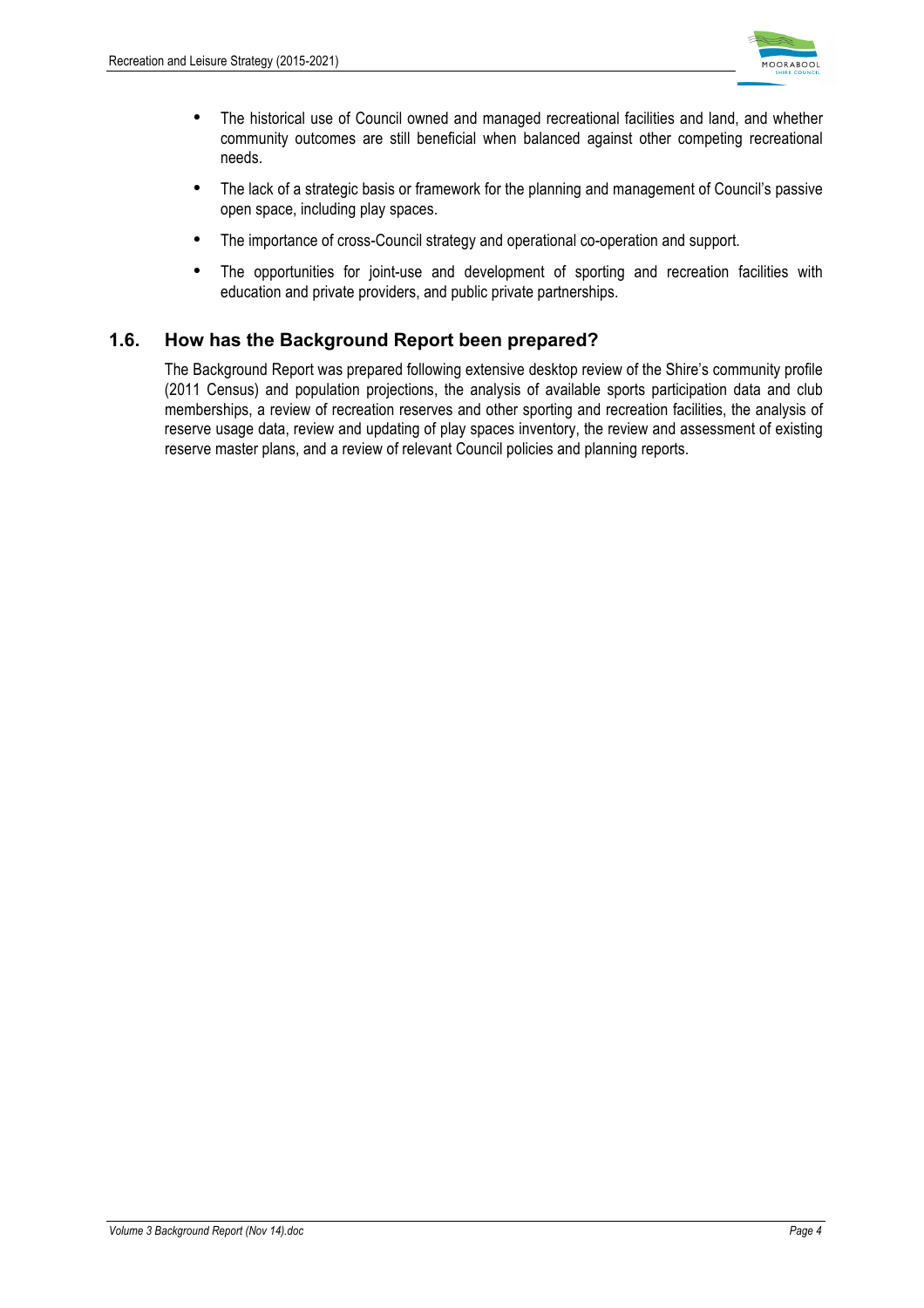

- The historical use of Council owned and managed recreational facilities and land, and whether community outcomes are still beneficial when balanced against other competing recreational needs.
- The lack of a strategic basis or framework for the planning and management of Council's passive open space, including play spaces.
- The importance of cross-Council strategy and operational co-operation and support.
- The opportunities for joint-use and development of sporting and recreation facilities with education and private providers, and public private partnerships.

# **1.6. How has the Background Report been prepared?**

The Background Report was prepared following extensive desktop review of the Shire's community profile (2011 Census) and population projections, the analysis of available sports participation data and club memberships, a review of recreation reserves and other sporting and recreation facilities, the analysis of reserve usage data, review and updating of play spaces inventory, the review and assessment of existing reserve master plans, and a review of relevant Council policies and planning reports.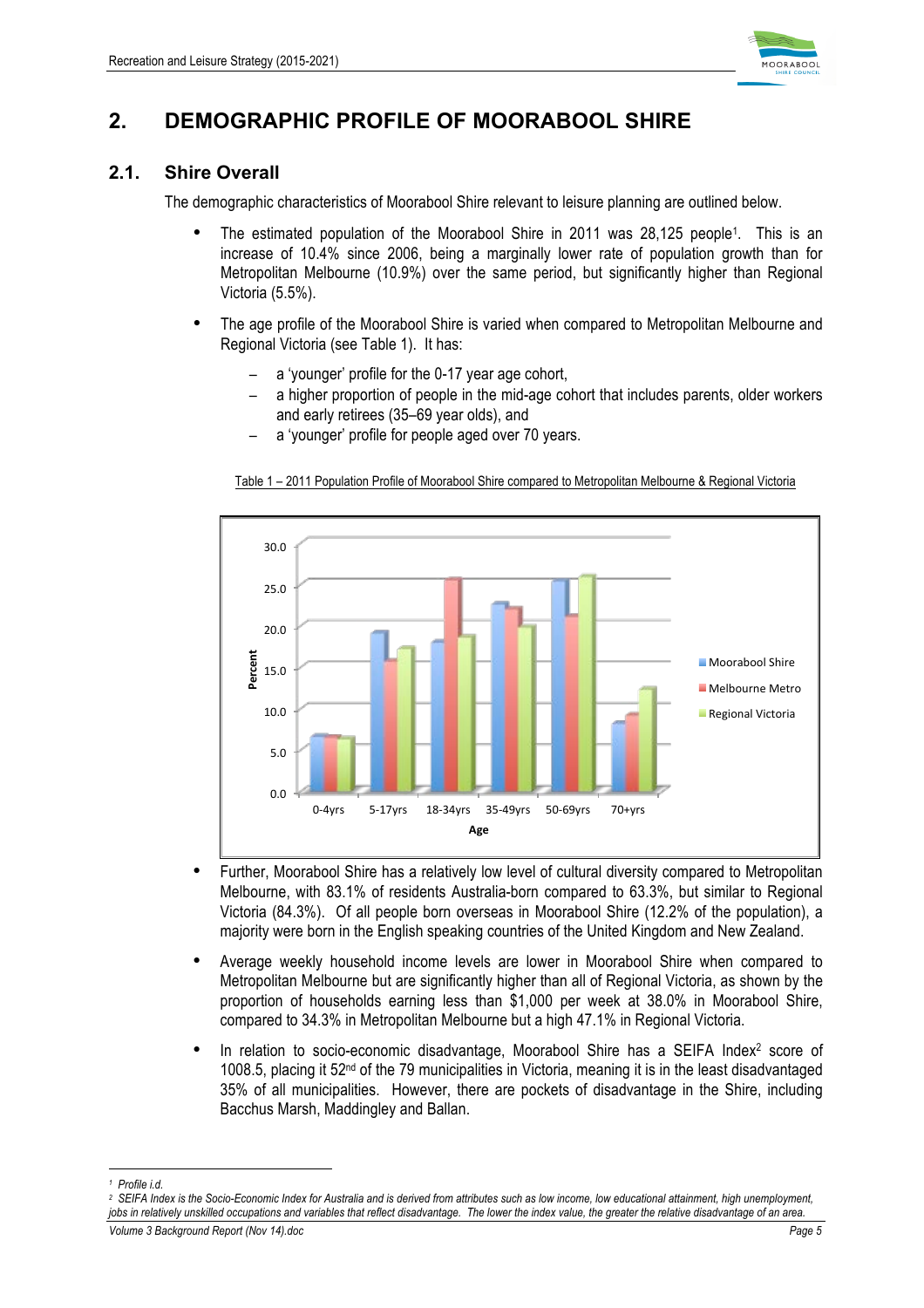

# **2. DEMOGRAPHIC PROFILE OF MOORABOOL SHIRE**

# **2.1. Shire Overall**

The demographic characteristics of Moorabool Shire relevant to leisure planning are outlined below.

- The estimated population of the Moorabool Shire in 2011 was 28,125 people<sup>1</sup>. This is an increase of 10.4% since 2006, being a marginally lower rate of population growth than for Metropolitan Melbourne (10.9%) over the same period, but significantly higher than Regional Victoria (5.5%).
- The age profile of the Moorabool Shire is varied when compared to Metropolitan Melbourne and Regional Victoria (see Table 1). It has:
	- a 'younger' profile for the 0-17 year age cohort,
	- − a higher proportion of people in the mid-age cohort that includes parents, older workers and early retirees (35–69 year olds), and
	- a 'younger' profile for people aged over 70 years.



Table 1 – 2011 Population Profile of Moorabool Shire compared to Metropolitan Melbourne & Regional Victoria

- Further, Moorabool Shire has a relatively low level of cultural diversity compared to Metropolitan Melbourne, with 83.1% of residents Australia-born compared to 63.3%, but similar to Regional Victoria (84.3%). Of all people born overseas in Moorabool Shire (12.2% of the population), a majority were born in the English speaking countries of the United Kingdom and New Zealand.
- Average weekly household income levels are lower in Moorabool Shire when compared to Metropolitan Melbourne but are significantly higher than all of Regional Victoria, as shown by the proportion of households earning less than \$1,000 per week at 38.0% in Moorabool Shire, compared to 34.3% in Metropolitan Melbourne but a high 47.1% in Regional Victoria.
- In relation to socio-economic disadvantage, Moorabool Shire has a SEIFA Index<sup>2</sup> score of 1008.5, placing it 52nd of the 79 municipalities in Victoria, meaning it is in the least disadvantaged 35% of all municipalities. However, there are pockets of disadvantage in the Shire, including Bacchus Marsh, Maddingley and Ballan.

 $\overline{a}$ *<sup>1</sup> Profile i.d.*

*<sup>2</sup> SEIFA Index is the Socio-Economic Index for Australia and is derived from attributes such as low income, low educational attainment, high unemployment, jobs in relatively unskilled occupations and variables that reflect disadvantage. The lower the index value, the greater the relative disadvantage of an area.*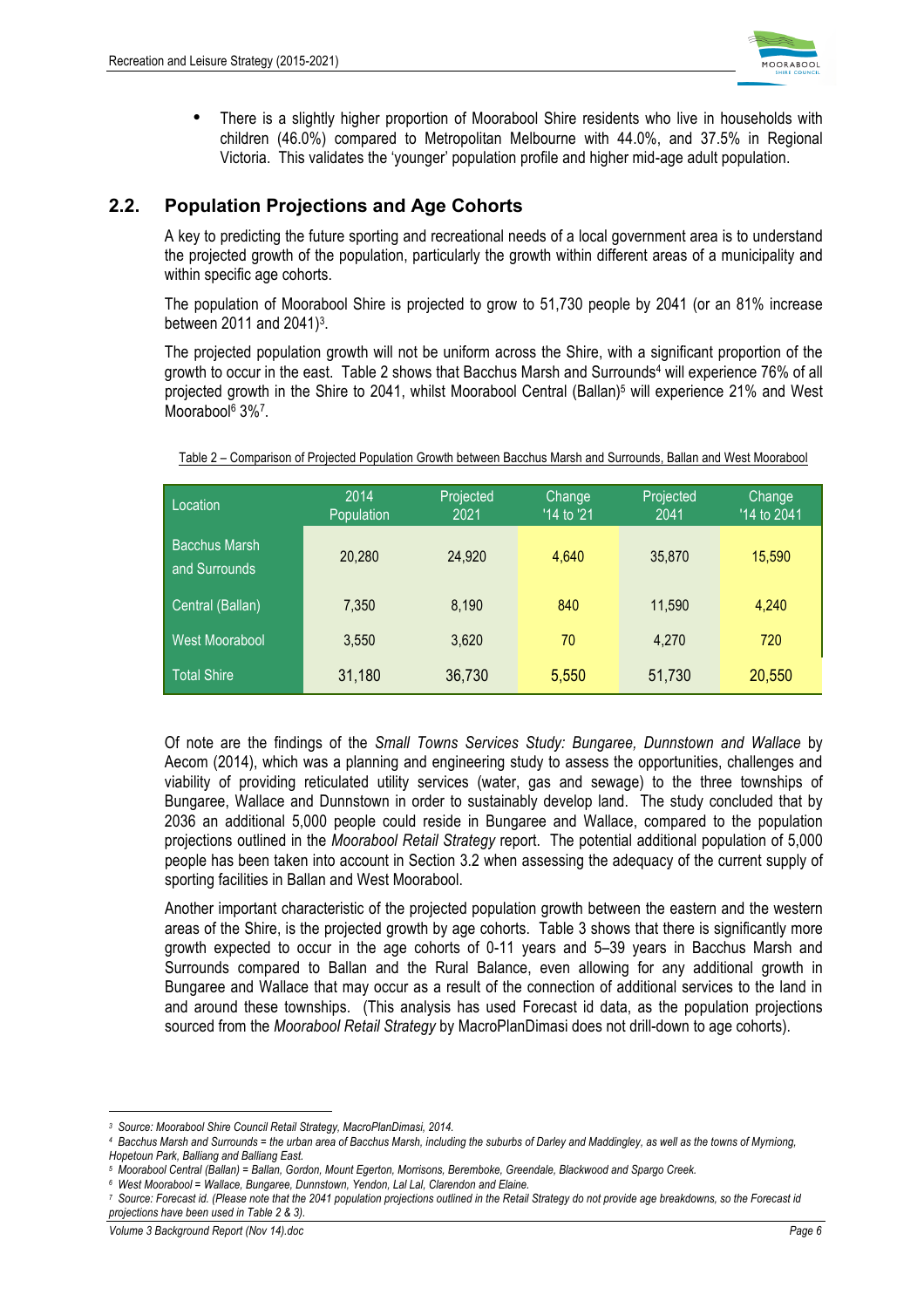

• There is a slightly higher proportion of Moorabool Shire residents who live in households with children (46.0%) compared to Metropolitan Melbourne with 44.0%, and 37.5% in Regional Victoria. This validates the 'younger' population profile and higher mid-age adult population.

# **2.2. Population Projections and Age Cohorts**

A key to predicting the future sporting and recreational needs of a local government area is to understand the projected growth of the population, particularly the growth within different areas of a municipality and within specific age cohorts.

The population of Moorabool Shire is projected to grow to 51,730 people by 2041 (or an 81% increase between 2011 and 2041) 3.

The projected population growth will not be uniform across the Shire, with a significant proportion of the growth to occur in the east. Table 2 shows that Bacchus Marsh and Surrounds4 will experience 76% of all projected growth in the Shire to 2041, whilst Moorabool Central (Ballan) <sup>5</sup> will experience 21% and West Moorabool<sup>6</sup> 3%<sup>7</sup>.

| Location                              | 2014<br>Population | Projected<br>2021 | Change<br>$'14$ to '21 | Projected<br>2041 | Change<br>'14 to 2041 |
|---------------------------------------|--------------------|-------------------|------------------------|-------------------|-----------------------|
| <b>Bacchus Marsh</b><br>and Surrounds | 20,280             | 24,920            | 4,640                  | 35,870            | 15,590                |
| Central (Ballan)                      | 7,350              | 8,190             | 840                    | 11,590            | 4,240                 |
| <b>West Moorabool</b>                 | 3,550              | 3,620             | 70                     | 4,270             | 720                   |
| <b>Total Shire</b>                    | 31,180             | 36,730            | 5,550                  | 51,730            | 20,550                |

Table 2 – Comparison of Projected Population Growth between Bacchus Marsh and Surrounds, Ballan and West Moorabool

Of note are the findings of the *Small Towns Services Study: Bungaree, Dunnstown and Wallace* by Aecom (2014), which was a planning and engineering study to assess the opportunities, challenges and viability of providing reticulated utility services (water, gas and sewage) to the three townships of Bungaree, Wallace and Dunnstown in order to sustainably develop land. The study concluded that by 2036 an additional 5,000 people could reside in Bungaree and Wallace, compared to the population projections outlined in the *Moorabool Retail Strategy* report. The potential additional population of 5,000 people has been taken into account in Section 3.2 when assessing the adequacy of the current supply of sporting facilities in Ballan and West Moorabool.

Another important characteristic of the projected population growth between the eastern and the western areas of the Shire, is the projected growth by age cohorts. Table 3 shows that there is significantly more growth expected to occur in the age cohorts of 0-11 years and 5–39 years in Bacchus Marsh and Surrounds compared to Ballan and the Rural Balance, even allowing for any additional growth in Bungaree and Wallace that may occur as a result of the connection of additional services to the land in and around these townships. (This analysis has used Forecast id data, as the population projections sourced from the *Moorabool Retail Strategy* by MacroPlanDimasi does not drill-down to age cohorts).

 $\overline{a}$ *3 Source: Moorabool Shire Council Retail Strategy, MacroPlanDimasi, 2014.*

*<sup>4</sup> Bacchus Marsh and Surrounds = the urban area of Bacchus Marsh, including the suburbs of Darley and Maddingley, as well as the towns of Myrniong, Hopetoun Park, Balliang and Balliang East.*

*<sup>5</sup> Moorabool Central (Ballan) = Ballan, Gordon, Mount Egerton, Morrisons, Beremboke, Greendale, Blackwood and Spargo Creek.*

*<sup>6</sup> West Moorabool = Wallace, Bungaree, Dunnstown, Yendon, Lal Lal, Clarendon and Elaine.*

*<sup>7</sup> Source: Forecast id. (Please note that the 2041 population projections outlined in the Retail Strategy do not provide age breakdowns, so the Forecast id projections have been used in Table 2 & 3).*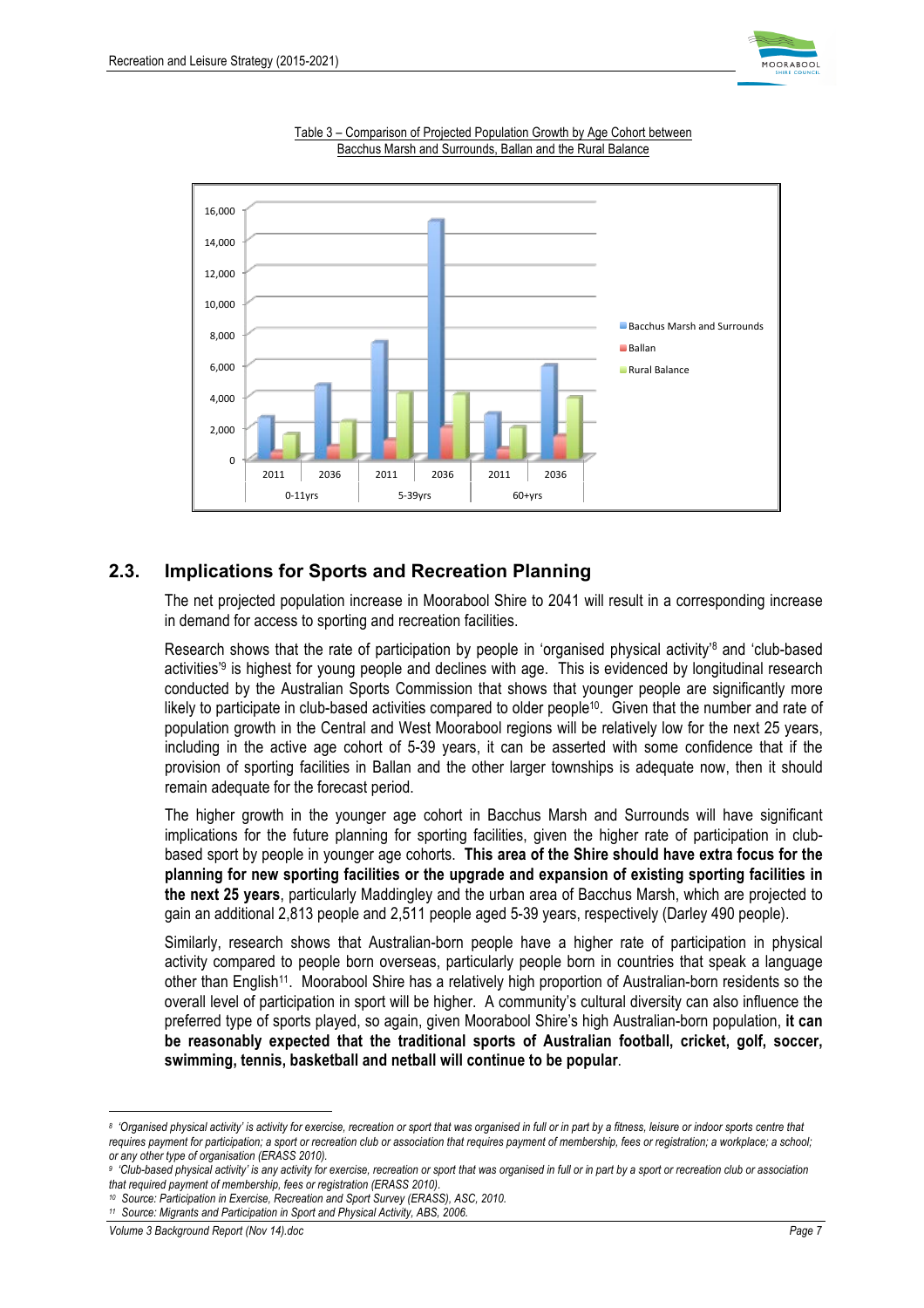



Table 3 – Comparison of Projected Population Growth by Age Cohort between Bacchus Marsh and Surrounds, Ballan and the Rural Balance

# **2.3. Implications for Sports and Recreation Planning**

The net projected population increase in Moorabool Shire to 2041 will result in a corresponding increase in demand for access to sporting and recreation facilities.

Research shows that the rate of participation by people in 'organised physical activity'<sup>8</sup> and 'club-based activities'9 is highest for young people and declines with age. This is evidenced by longitudinal research conducted by the Australian Sports Commission that shows that younger people are significantly more likely to participate in club-based activities compared to older people<sup>10</sup>. Given that the number and rate of population growth in the Central and West Moorabool regions will be relatively low for the next 25 years, including in the active age cohort of 5-39 years, it can be asserted with some confidence that if the provision of sporting facilities in Ballan and the other larger townships is adequate now, then it should remain adequate for the forecast period.

The higher growth in the younger age cohort in Bacchus Marsh and Surrounds will have significant implications for the future planning for sporting facilities, given the higher rate of participation in clubbased sport by people in younger age cohorts. **This area of the Shire should have extra focus for the planning for new sporting facilities or the upgrade and expansion of existing sporting facilities in the next 25 years**, particularly Maddingley and the urban area of Bacchus Marsh, which are projected to gain an additional 2,813 people and 2,511 people aged 5-39 years, respectively (Darley 490 people).

Similarly, research shows that Australian-born people have a higher rate of participation in physical activity compared to people born overseas, particularly people born in countries that speak a language other than English11. Moorabool Shire has a relatively high proportion of Australian-born residents so the overall level of participation in sport will be higher. A community's cultural diversity can also influence the preferred type of sports played, so again, given Moorabool Shire's high Australian-born population, **it can be reasonably expected that the traditional sports of Australian football, cricket, golf, soccer, swimming, tennis, basketball and netball will continue to be popular**.

 $\overline{a}$ *<sup>8</sup> 'Organised physical activity' is activity for exercise, recreation or sport that was organised in full or in part by a fitness, leisure or indoor sports centre that*  requires payment for participation; a sport or recreation club or association that requires payment of membership, fees or registration; a workplace; a school; *or any other type of organisation (ERASS 2010).*

*<sup>9 &#</sup>x27;Club-based physical activity' is any activity for exercise, recreation or sport that was organised in full or in part by a sport or recreation club or association that required payment of membership, fees or registration (ERASS 2010).*

*<sup>10</sup> Source: Participation in Exercise, Recreation and Sport Survey (ERASS), ASC, 2010.*

*<sup>11</sup> Source: Migrants and Participation in Sport and Physical Activity, ABS, 2006.*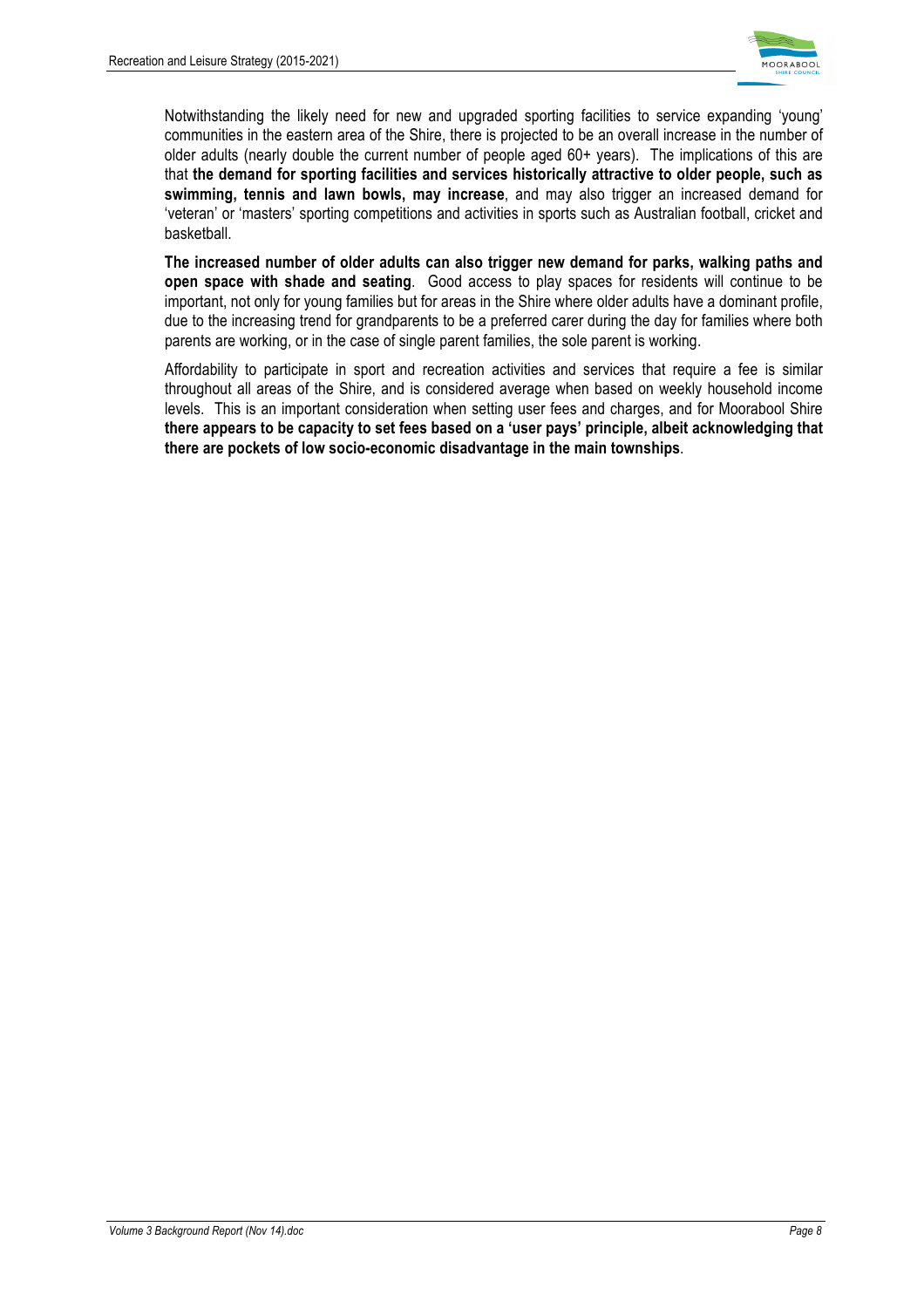

Notwithstanding the likely need for new and upgraded sporting facilities to service expanding 'young' communities in the eastern area of the Shire, there is projected to be an overall increase in the number of older adults (nearly double the current number of people aged 60+ years). The implications of this are that **the demand for sporting facilities and services historically attractive to older people, such as swimming, tennis and lawn bowls, may increase**, and may also trigger an increased demand for 'veteran' or 'masters' sporting competitions and activities in sports such as Australian football, cricket and basketball.

**The increased number of older adults can also trigger new demand for parks, walking paths and open space with shade and seating**. Good access to play spaces for residents will continue to be important, not only for young families but for areas in the Shire where older adults have a dominant profile, due to the increasing trend for grandparents to be a preferred carer during the day for families where both parents are working, or in the case of single parent families, the sole parent is working.

Affordability to participate in sport and recreation activities and services that require a fee is similar throughout all areas of the Shire, and is considered average when based on weekly household income levels. This is an important consideration when setting user fees and charges, and for Moorabool Shire **there appears to be capacity to set fees based on a 'user pays' principle, albeit acknowledging that there are pockets of low socio-economic disadvantage in the main townships**.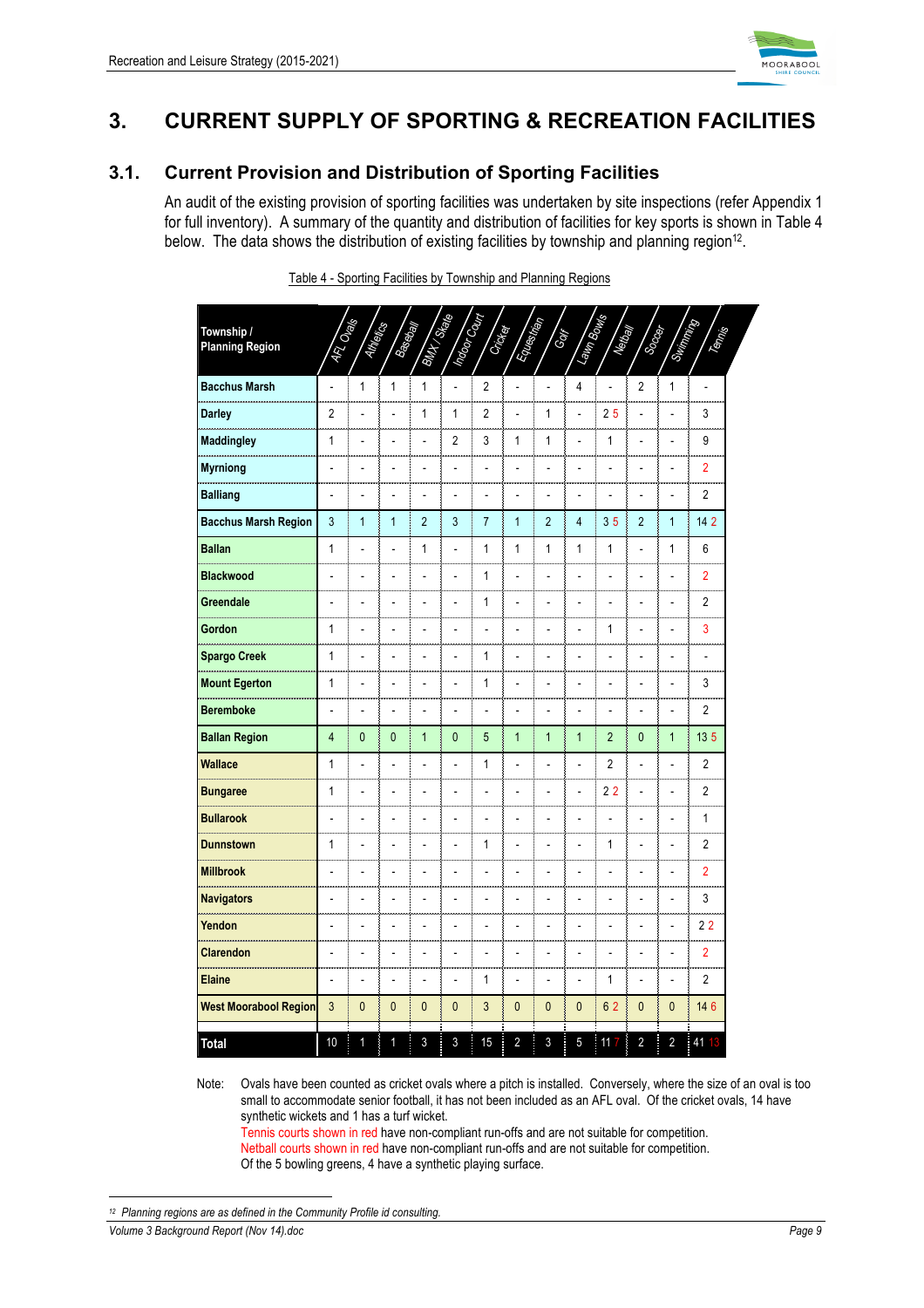

# **3. CURRENT SUPPLY OF SPORTING & RECREATION FACILITIES**

# **3.1. Current Provision and Distribution of Sporting Facilities**

An audit of the existing provision of sporting facilities was undertaken by site inspections (refer Appendix 1 for full inventory). A summary of the quantity and distribution of facilities for key sports is shown in Table 4 below. The data shows the distribution of existing facilities by township and planning region<sup>12</sup>.

| Township /<br><b>Planning Region</b>        | Ovaka<br>)<br>今 | <b>Unique</b>  | <b>Bagy</b>    | <b>ENDROLLES</b> | <b>MEGORIAN</b> | Gricket        | Eones          | EDI            | <b>Lawn Bowley</b> | <b>Slian</b>   | SOS            |                | Tempo          |  |
|---------------------------------------------|-----------------|----------------|----------------|------------------|-----------------|----------------|----------------|----------------|--------------------|----------------|----------------|----------------|----------------|--|
| <b>Bacchus Marsh</b>                        | L,              | 1              | 1              | 1                |                 | $\overline{2}$ |                | $\overline{a}$ | 4                  | $\frac{1}{2}$  | $\sqrt{2}$     | 1              | L,             |  |
| Darley                                      | $\overline{c}$  |                |                | 1                | 1               | $\overline{2}$ |                | 1              |                    | 25             |                |                | 3              |  |
| <b>Maddingley</b>                           | 1               |                |                |                  | 2               | 3              | 1              | 1              |                    | 1              |                |                | 9              |  |
| Myrniong                                    | L               |                |                |                  |                 |                |                |                |                    |                |                |                | $\overline{2}$ |  |
| Balliang                                    |                 |                |                |                  |                 |                |                |                |                    |                |                |                | 2              |  |
| <b>Bacchus Marsh Region</b>                 | 3               | $\mathbf{1}$   | $\mathbf{1}$   | $\overline{2}$   | $\overline{3}$  | $\overline{7}$ | $\mathbf{1}$   | $\overline{c}$ | 4                  | 35             | $\overline{2}$ | 1              | 14 2           |  |
| <b>Ballan</b><br>.                          | 1               | $\overline{a}$ | $\overline{a}$ | $\mathbf{1}$     | L,              | 1              | 1              | 1              | 1                  | 1              | l,             | 1              | 6              |  |
| Blackwood<br>.                              |                 |                |                |                  |                 | 1              |                |                |                    |                |                |                | 2              |  |
| Greendale                                   |                 |                |                |                  |                 | 1              |                |                |                    |                |                |                | 2              |  |
| Gordon<br><u>and and and an</u>             | 1               |                |                |                  |                 |                |                |                |                    | $\mathbf{1}$   |                |                | 3              |  |
| <b>Spargo Creek</b>                         | 1               |                |                |                  |                 | 1              |                |                |                    |                |                |                |                |  |
| <b>Mount Egerton</b>                        | 1               |                |                |                  |                 | 1              |                |                |                    |                |                |                | 3              |  |
| <b>Beremboke</b>                            | Ĭ.              |                |                |                  |                 | Ĭ.             | L              | Ĭ.             | $\overline{a}$     |                |                |                | 2              |  |
| <b>Ballan Region</b>                        | 4               | $\mathbf{0}$   | $\mathbf{0}$   | $\mathbf{1}$     | $\mathbf 0$     | 5              | $\mathbf{1}$   | $\mathbf{1}$   | $\mathbf{1}$       | $\overline{2}$ | $\mathbf{0}$   | $\mathbf{1}$   | 135            |  |
| Wallace<br><b>Services</b>                  | 1               |                |                |                  |                 | 1              |                |                |                    | $\overline{2}$ |                |                | 2              |  |
| <b>Bungaree</b><br>.                        | 1               |                |                |                  |                 |                |                |                | l,                 | 22             |                |                | $\overline{2}$ |  |
| <b>Bullarook</b>                            |                 |                |                |                  |                 |                |                |                |                    |                |                |                | 1              |  |
| Dunnstown                                   | 1               |                |                |                  |                 | 1              |                |                |                    | 1              |                |                | 2              |  |
| <b>Millbrook</b><br><b>Continued Street</b> |                 |                |                |                  |                 |                |                |                |                    |                |                |                | 2              |  |
| <b>Navigators</b><br>.                      |                 |                |                |                  |                 |                |                |                |                    |                |                |                | 3              |  |
| Yendon                                      |                 |                |                |                  |                 |                |                |                |                    |                |                |                | 22             |  |
| <b>Clarendon</b>                            |                 |                |                |                  |                 |                |                |                |                    |                |                |                | 2              |  |
| Elaine                                      | ÷               |                |                |                  |                 | 1              |                | ÷              | $\overline{a}$     | 1              |                |                | 2              |  |
| <b>West Moorabool Region</b>                | 3               | $\mathbf{0}$   | $\mathbf{0}$   | $\mathbf 0$      | $\pmb{0}$       | $\mathfrak{z}$ | $\pmb{0}$      | $\pmb{0}$      | $\pmb{0}$          | 62             | $\mathbf{0}$   | $\pmb{0}$      | 14 6           |  |
| <b>Total</b>                                | 10              | 1              | 1              | 3                | 3               | 15             | $\overline{2}$ | 3              | 5                  | 11             | $\overline{2}$ | $\overline{2}$ | 41 1           |  |

Table 4 - Sporting Facilities by Township and Planning Regions

Note: Ovals have been counted as cricket ovals where a pitch is installed. Conversely, where the size of an oval is too small to accommodate senior football, it has not been included as an AFL oval. Of the cricket ovals, 14 have synthetic wickets and 1 has a turf wicket.

Tennis courts shown in red have non-compliant run-offs and are not suitable for competition. Netball courts shown in red have non-compliant run-offs and are not suitable for competition.

*Volume 3 Background Report (Nov 14).doc Page 9*

 $\overline{a}$ 

Of the 5 bowling greens, 4 have a synthetic playing surface.

*<sup>12</sup> Planning regions are as defined in the Community Profile id consulting.*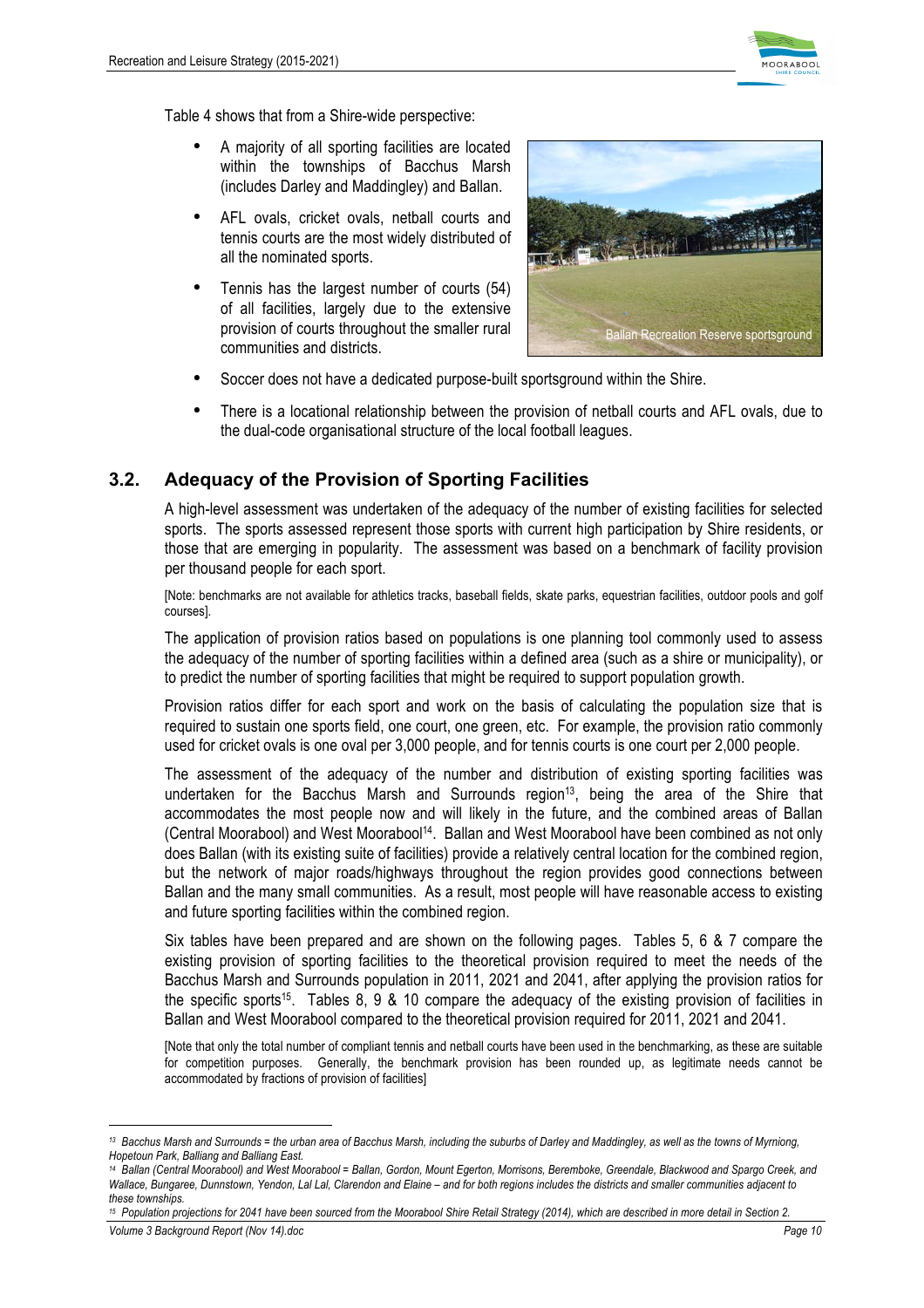

Table 4 shows that from a Shire-wide perspective:

- A majority of all sporting facilities are located within the townships of Bacchus Marsh (includes Darley and Maddingley) and Ballan.
- AFL ovals, cricket ovals, netball courts and tennis courts are the most widely distributed of all the nominated sports.
- Tennis has the largest number of courts (54) of all facilities, largely due to the extensive provision of courts throughout the smaller rural communities and districts.



- Soccer does not have a dedicated purpose-built sportsground within the Shire.
- There is a locational relationship between the provision of netball courts and AFL ovals, due to the dual-code organisational structure of the local football leagues.

### **3.2. Adequacy of the Provision of Sporting Facilities**

A high-level assessment was undertaken of the adequacy of the number of existing facilities for selected sports. The sports assessed represent those sports with current high participation by Shire residents, or those that are emerging in popularity. The assessment was based on a benchmark of facility provision per thousand people for each sport.

[Note: benchmarks are not available for athletics tracks, baseball fields, skate parks, equestrian facilities, outdoor pools and golf courses].

The application of provision ratios based on populations is one planning tool commonly used to assess the adequacy of the number of sporting facilities within a defined area (such as a shire or municipality), or to predict the number of sporting facilities that might be required to support population growth.

Provision ratios differ for each sport and work on the basis of calculating the population size that is required to sustain one sports field, one court, one green, etc. For example, the provision ratio commonly used for cricket ovals is one oval per 3,000 people, and for tennis courts is one court per 2,000 people.

The assessment of the adequacy of the number and distribution of existing sporting facilities was undertaken for the Bacchus Marsh and Surrounds region<sup>13</sup>, being the area of the Shire that accommodates the most people now and will likely in the future, and the combined areas of Ballan (Central Moorabool) and West Moorabool<sup>14</sup>. Ballan and West Moorabool have been combined as not only does Ballan (with its existing suite of facilities) provide a relatively central location for the combined region, but the network of major roads/highways throughout the region provides good connections between Ballan and the many small communities. As a result, most people will have reasonable access to existing and future sporting facilities within the combined region.

Six tables have been prepared and are shown on the following pages. Tables 5, 6 & 7 compare the existing provision of sporting facilities to the theoretical provision required to meet the needs of the Bacchus Marsh and Surrounds population in 2011, 2021 and 2041, after applying the provision ratios for the specific sports<sup>15</sup>. Tables 8, 9 & 10 compare the adequacy of the existing provision of facilities in Ballan and West Moorabool compared to the theoretical provision required for 2011, 2021 and 2041.

[Note that only the total number of compliant tennis and netball courts have been used in the benchmarking, as these are suitable for competition purposes. Generally, the benchmark provision has been rounded up, as legitimate needs cannot be accommodated by fractions of provision of facilities]

 $\overline{a}$ 

<sup>&</sup>lt;sup>13</sup> Bacchus Marsh and Surrounds = the urban area of Bacchus Marsh, including the suburbs of Darley and Maddingley, as well as the towns of Myrniong, *Hopetoun Park, Balliang and Balliang East.*

*<sup>14</sup> Ballan (Central Moorabool) and West Moorabool = Ballan, Gordon, Mount Egerton, Morrisons, Beremboke, Greendale, Blackwood and Spargo Creek, and Wallace, Bungaree, Dunnstown, Yendon, Lal Lal, Clarendon and Elaine – and for both regions includes the districts and smaller communities adjacent to these townships.*

*Volume 3 Background Report (Nov 14).doc Page 10 <sup>15</sup> Population projections for 2041 have been sourced from the Moorabool Shire Retail Strategy (2014), which are described in more detail in Section 2.*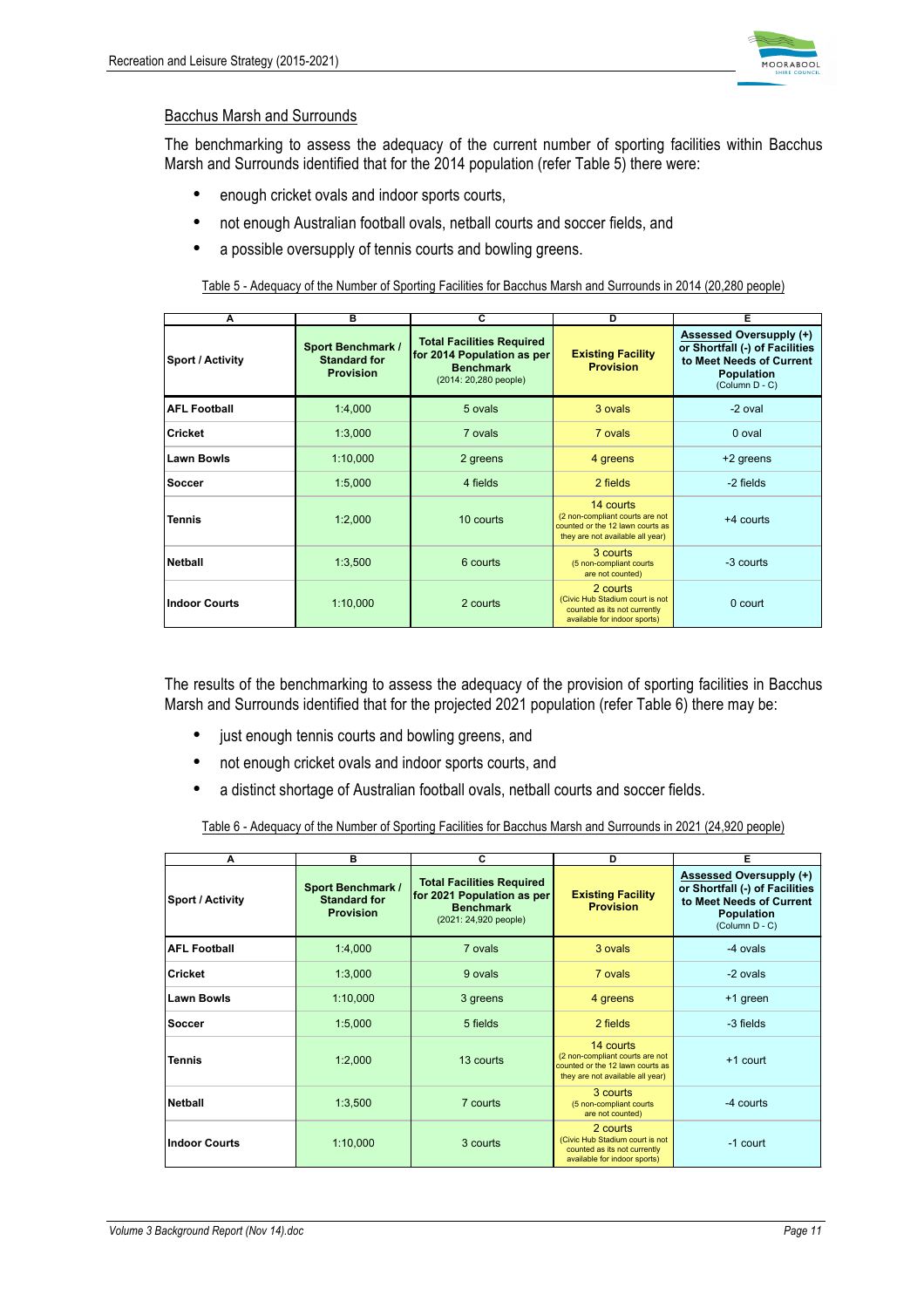

#### Bacchus Marsh and Surrounds

The benchmarking to assess the adequacy of the current number of sporting facilities within Bacchus Marsh and Surrounds identified that for the 2014 population (refer Table 5) there were:

- enough cricket ovals and indoor sports courts,
- not enough Australian football ovals, netball courts and soccer fields, and
- a possible oversupply of tennis courts and bowling greens.

Table 5 - Adequacy of the Number of Sporting Facilities for Bacchus Marsh and Surrounds in 2014 (20,280 people)

| A                       | в                                                                   | $\overline{\mathbf{c}}$                                                                                     | D                                                                                                                    | Έ                                                                                                                            |
|-------------------------|---------------------------------------------------------------------|-------------------------------------------------------------------------------------------------------------|----------------------------------------------------------------------------------------------------------------------|------------------------------------------------------------------------------------------------------------------------------|
| <b>Sport / Activity</b> | <b>Sport Benchmark /</b><br><b>Standard for</b><br><b>Provision</b> | <b>Total Facilities Required</b><br>for 2014 Population as per<br><b>Benchmark</b><br>(2014: 20,280 people) | <b>Existing Facility</b><br><b>Provision</b>                                                                         | Assessed Oversupply (+)<br>or Shortfall (-) of Facilities<br>to Meet Needs of Current<br><b>Population</b><br>(Column D - C) |
| <b>AFL Football</b>     | 1:4,000                                                             | 5 ovals                                                                                                     | 3 ovals                                                                                                              | -2 oval                                                                                                                      |
| <b>Cricket</b>          | 1:3,000                                                             | 7 ovals                                                                                                     | 7 ovals                                                                                                              | 0 oval                                                                                                                       |
| <b>Lawn Bowls</b>       | 1:10,000                                                            | 2 greens                                                                                                    | 4 greens                                                                                                             | +2 greens                                                                                                                    |
| Soccer                  | 1:5,000                                                             | 4 fields                                                                                                    | 2 fields                                                                                                             | -2 fields                                                                                                                    |
| <b>Tennis</b>           | 1:2,000                                                             | 10 courts                                                                                                   | 14 courts<br>(2 non-compliant courts are not<br>counted or the 12 lawn courts as<br>they are not available all year) | +4 courts                                                                                                                    |
| Netball                 | 1:3,500                                                             | 6 courts                                                                                                    | 3 courts<br>(5 non-compliant courts<br>are not counted)                                                              | -3 courts                                                                                                                    |
| <b>Indoor Courts</b>    | 1:10,000                                                            | 2 courts                                                                                                    | 2 courts<br>(Civic Hub Stadium court is not<br>counted as its not currently<br>available for indoor sports)          | 0 court                                                                                                                      |

The results of the benchmarking to assess the adequacy of the provision of sporting facilities in Bacchus Marsh and Surrounds identified that for the projected 2021 population (refer Table 6) there may be:

- just enough tennis courts and bowling greens, and
- not enough cricket ovals and indoor sports courts, and
- a distinct shortage of Australian football ovals, netball courts and soccer fields.

Table 6 - Adequacy of the Number of Sporting Facilities for Bacchus Marsh and Surrounds in 2021 (24,920 people)

| A                       | в                                                                   | С                                                                                                           | D                                                                                                                    | Е                                                                                                                     |
|-------------------------|---------------------------------------------------------------------|-------------------------------------------------------------------------------------------------------------|----------------------------------------------------------------------------------------------------------------------|-----------------------------------------------------------------------------------------------------------------------|
| <b>Sport / Activity</b> | <b>Sport Benchmark /</b><br><b>Standard for</b><br><b>Provision</b> | <b>Total Facilities Required</b><br>for 2021 Population as per<br><b>Benchmark</b><br>(2021: 24,920 people) | <b>Existing Facility</b><br><b>Provision</b>                                                                         | Assessed Oversupply (+)<br>or Shortfall (-) of Facilities<br>to Meet Needs of Current<br>Population<br>(Column D - C) |
| <b>AFL Football</b>     | 1:4,000                                                             | 7 ovals                                                                                                     | 3 ovals                                                                                                              | -4 ovals                                                                                                              |
| <b>Cricket</b>          | 1:3,000                                                             | 9 ovals                                                                                                     | 7 ovals                                                                                                              | -2 ovals                                                                                                              |
| <b>Lawn Bowls</b>       | 1:10,000                                                            | 3 greens                                                                                                    | 4 greens                                                                                                             | +1 green                                                                                                              |
| Soccer                  | 1:5,000                                                             | 5 fields                                                                                                    | 2 fields                                                                                                             | -3 fields                                                                                                             |
| <b>Tennis</b>           | 1:2,000                                                             | 13 courts                                                                                                   | 14 courts<br>(2 non-compliant courts are not<br>counted or the 12 lawn courts as<br>they are not available all year) | +1 court                                                                                                              |
| Netball                 | 1:3,500                                                             | 7 courts                                                                                                    | 3 courts<br>(5 non-compliant courts<br>are not counted)                                                              | -4 courts                                                                                                             |
| <b>Indoor Courts</b>    | 1:10,000                                                            | 3 courts                                                                                                    | 2 courts<br>(Civic Hub Stadium court is not<br>counted as its not currently<br>available for indoor sports)          | -1 court                                                                                                              |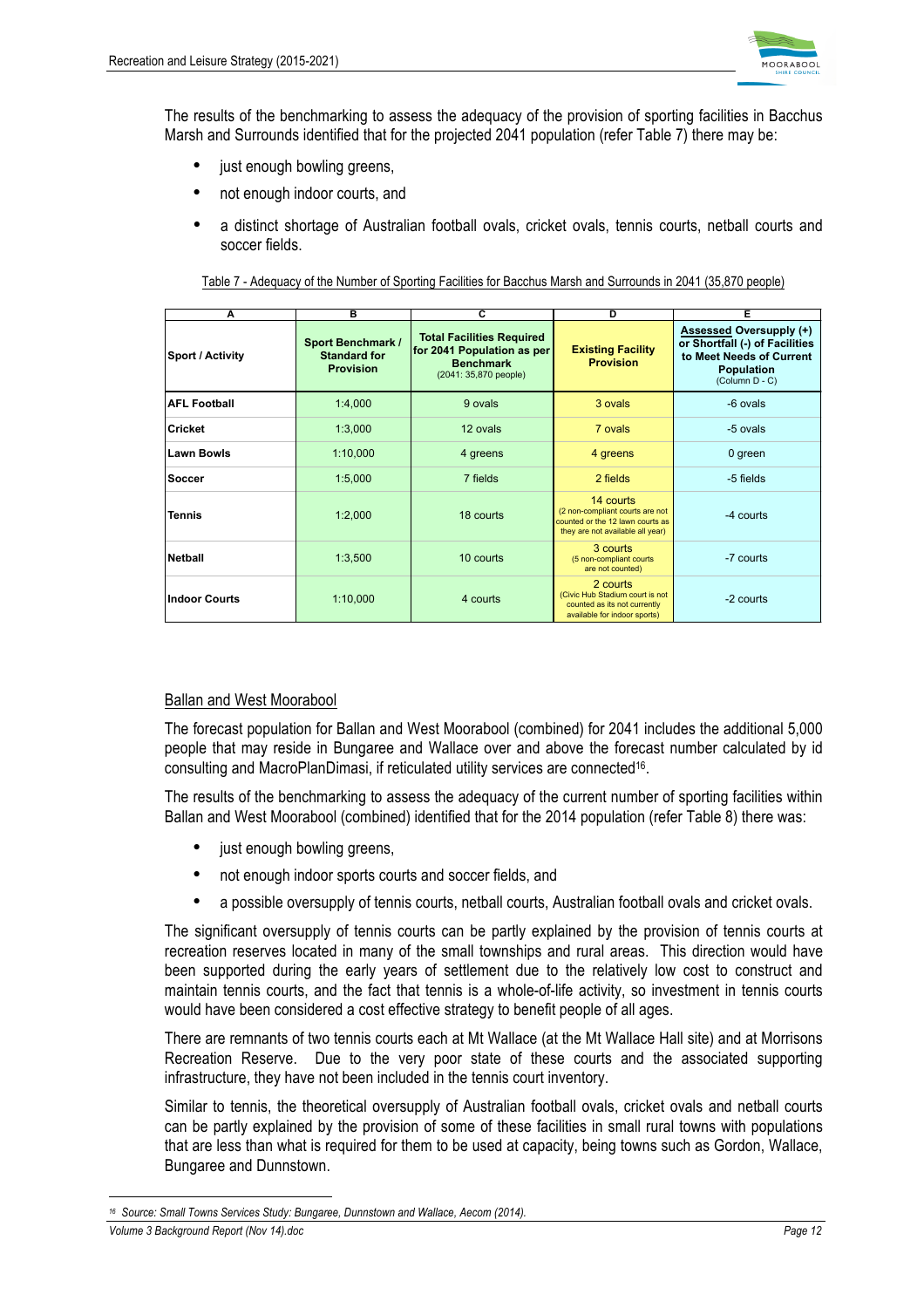

The results of the benchmarking to assess the adequacy of the provision of sporting facilities in Bacchus Marsh and Surrounds identified that for the projected 2041 population (refer Table 7) there may be:

- just enough bowling greens,
- not enough indoor courts, and
- a distinct shortage of Australian football ovals, cricket ovals, tennis courts, netball courts and soccer fields.

Table 7 - Adequacy of the Number of Sporting Facilities for Bacchus Marsh and Surrounds in 2041 (35,870 people)

| A                       | в                                                            | C                                                                                                           | D                                                                                                                    | Е                                                                                                                     |
|-------------------------|--------------------------------------------------------------|-------------------------------------------------------------------------------------------------------------|----------------------------------------------------------------------------------------------------------------------|-----------------------------------------------------------------------------------------------------------------------|
| <b>Sport / Activity</b> | Sport Benchmark /<br><b>Standard for</b><br><b>Provision</b> | <b>Total Facilities Required</b><br>for 2041 Population as per<br><b>Benchmark</b><br>(2041: 35,870 people) | <b>Existing Facility</b><br><b>Provision</b>                                                                         | Assessed Oversupply (+)<br>or Shortfall (-) of Facilities<br>to Meet Needs of Current<br>Population<br>(Column D - C) |
| <b>AFL Football</b>     | 1:4,000                                                      | 9 ovals                                                                                                     | 3 ovals                                                                                                              | -6 ovals                                                                                                              |
| <b>Cricket</b>          | 1:3,000                                                      | 12 ovals                                                                                                    | 7 ovals                                                                                                              | -5 ovals                                                                                                              |
| <b>Lawn Bowls</b>       | 1:10,000                                                     | 4 greens                                                                                                    | 4 greens                                                                                                             | 0 green                                                                                                               |
| Soccer                  | 1:5,000                                                      | 7 fields                                                                                                    | 2 fields                                                                                                             | -5 fields                                                                                                             |
| <b>Tennis</b>           | 1:2,000                                                      | 18 courts                                                                                                   | 14 courts<br>(2 non-compliant courts are not<br>counted or the 12 lawn courts as<br>they are not available all year) | -4 courts                                                                                                             |
| <b>Netball</b>          | 1:3,500                                                      | 10 courts                                                                                                   | 3 courts<br>(5 non-compliant courts<br>are not counted)                                                              | -7 courts                                                                                                             |
| <b>Indoor Courts</b>    | 1:10,000                                                     | 4 courts                                                                                                    | 2 courts<br>(Civic Hub Stadium court is not<br>counted as its not currently<br>available for indoor sports)          | -2 courts                                                                                                             |

#### Ballan and West Moorabool

The forecast population for Ballan and West Moorabool (combined) for 2041 includes the additional 5,000 people that may reside in Bungaree and Wallace over and above the forecast number calculated by id consulting and MacroPlanDimasi, if reticulated utility services are connected16.

The results of the benchmarking to assess the adequacy of the current number of sporting facilities within Ballan and West Moorabool (combined) identified that for the 2014 population (refer Table 8) there was:

- just enough bowling greens,
- not enough indoor sports courts and soccer fields, and
- a possible oversupply of tennis courts, netball courts, Australian football ovals and cricket ovals.

The significant oversupply of tennis courts can be partly explained by the provision of tennis courts at recreation reserves located in many of the small townships and rural areas. This direction would have been supported during the early years of settlement due to the relatively low cost to construct and maintain tennis courts, and the fact that tennis is a whole-of-life activity, so investment in tennis courts would have been considered a cost effective strategy to benefit people of all ages.

There are remnants of two tennis courts each at Mt Wallace (at the Mt Wallace Hall site) and at Morrisons Recreation Reserve. Due to the very poor state of these courts and the associated supporting infrastructure, they have not been included in the tennis court inventory.

Similar to tennis, the theoretical oversupply of Australian football ovals, cricket ovals and netball courts can be partly explained by the provision of some of these facilities in small rural towns with populations that are less than what is required for them to be used at capacity, being towns such as Gordon, Wallace, Bungaree and Dunnstown.

*Volume 3 Background Report (Nov 14).doc Page 12*

 $\overline{a}$ 

*<sup>16</sup> Source: Small Towns Services Study: Bungaree, Dunnstown and Wallace, Aecom (2014).*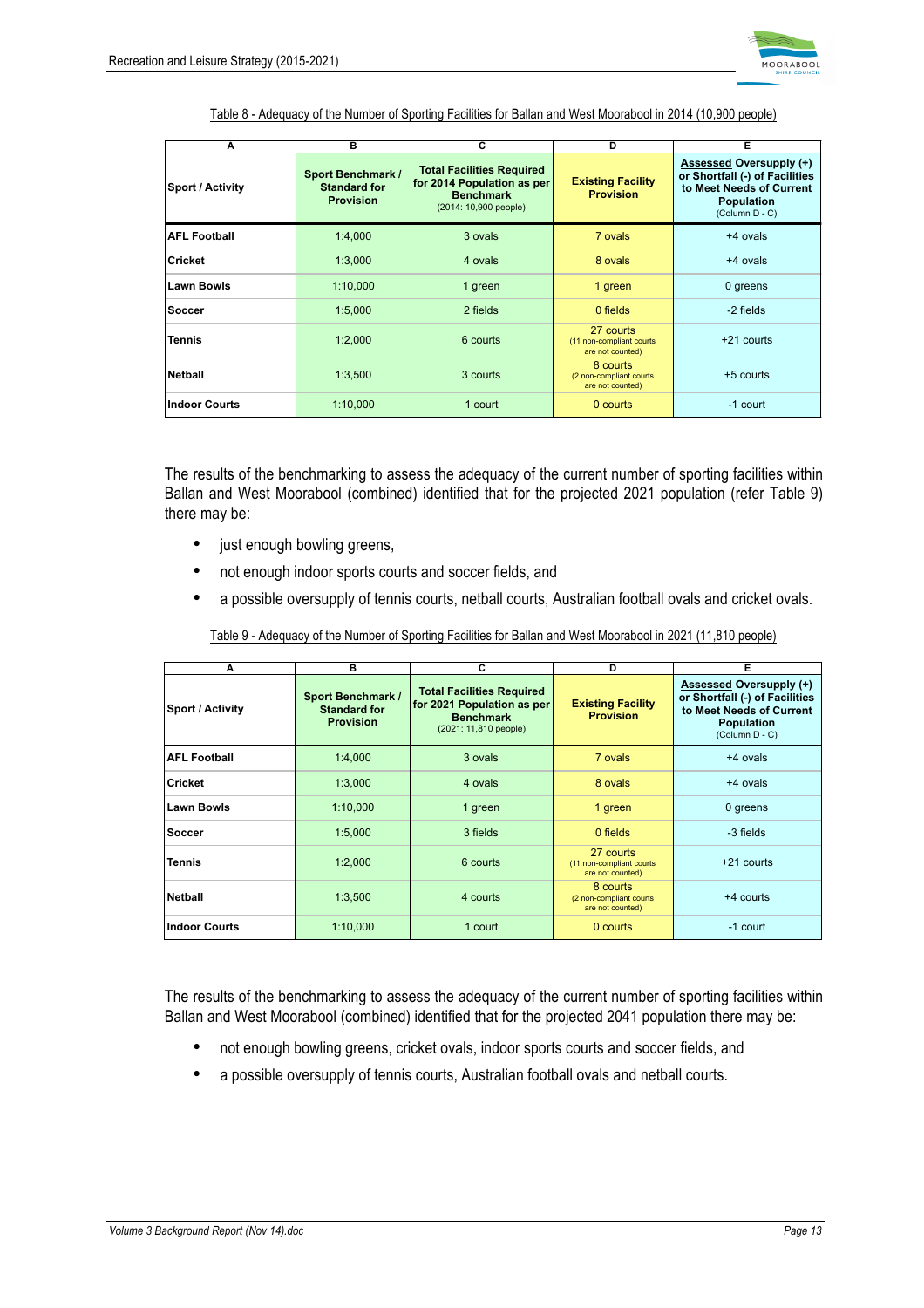| A                       | в                                                                   | C                                                                                                           | D                                                         | Е                                                                                                                            |
|-------------------------|---------------------------------------------------------------------|-------------------------------------------------------------------------------------------------------------|-----------------------------------------------------------|------------------------------------------------------------------------------------------------------------------------------|
| <b>Sport / Activity</b> | <b>Sport Benchmark /</b><br><b>Standard for</b><br><b>Provision</b> | <b>Total Facilities Required</b><br>for 2014 Population as per<br><b>Benchmark</b><br>(2014: 10,900 people) | <b>Existing Facility</b><br><b>Provision</b>              | Assessed Oversupply (+)<br>or Shortfall (-) of Facilities<br>to Meet Needs of Current<br><b>Population</b><br>(Column D - C) |
| <b>AFL Football</b>     | 1:4,000                                                             | 3 ovals                                                                                                     | 7 ovals                                                   | +4 ovals                                                                                                                     |
| <b>Cricket</b>          | 1:3,000                                                             | 4 ovals                                                                                                     | 8 ovals                                                   | +4 ovals                                                                                                                     |
| <b>Lawn Bowls</b>       | 1:10,000                                                            | 1 green                                                                                                     | 1 green                                                   | 0 greens                                                                                                                     |
| Soccer                  | 1:5,000                                                             | 2 fields                                                                                                    | 0 fields                                                  | -2 fields                                                                                                                    |
| <b>Tennis</b>           | 1:2,000                                                             | 6 courts                                                                                                    | 27 courts<br>(11 non-compliant courts<br>are not counted) | $+21$ courts                                                                                                                 |
| Netball                 | 1:3,500                                                             | 3 courts                                                                                                    | 8 courts<br>(2 non-compliant courts<br>are not counted)   | $+5$ courts                                                                                                                  |
| <b>Indoor Courts</b>    | 1:10,000                                                            | 1 court                                                                                                     | 0 courts                                                  | -1 court                                                                                                                     |

The results of the benchmarking to assess the adequacy of the current number of sporting facilities within Ballan and West Moorabool (combined) identified that for the projected 2021 population (refer Table 9) there may be:

- just enough bowling greens,
- not enough indoor sports courts and soccer fields, and
- a possible oversupply of tennis courts, netball courts, Australian football ovals and cricket ovals.

Table 9 - Adequacy of the Number of Sporting Facilities for Ballan and West Moorabool in 2021 (11,810 people)

| A                       | в                                                                   | С                                                                                                           | D                                                          | Έ                                                                                                                            |
|-------------------------|---------------------------------------------------------------------|-------------------------------------------------------------------------------------------------------------|------------------------------------------------------------|------------------------------------------------------------------------------------------------------------------------------|
| <b>Sport / Activity</b> | <b>Sport Benchmark /</b><br><b>Standard for</b><br><b>Provision</b> | <b>Total Facilities Required</b><br>for 2021 Population as per<br><b>Benchmark</b><br>(2021: 11,810 people) | <b>Existing Facility</b><br><b>Provision</b>               | Assessed Oversupply (+)<br>or Shortfall (-) of Facilities<br>to Meet Needs of Current<br><b>Population</b><br>(Column D - C) |
| <b>AFL Football</b>     | 1:4,000                                                             | 3 ovals                                                                                                     | 7 ovals                                                    | +4 ovals                                                                                                                     |
| Cricket                 | 1:3,000                                                             | 4 ovals                                                                                                     | 8 ovals                                                    | +4 ovals                                                                                                                     |
| <b>Lawn Bowls</b>       | 1:10,000                                                            | 1 green                                                                                                     | 1 green                                                    | 0 greens                                                                                                                     |
| Soccer                  | 1:5,000                                                             | 3 fields                                                                                                    | 0 fields                                                   | -3 fields                                                                                                                    |
| Tennis                  | 1:2,000                                                             | 6 courts                                                                                                    | 27 courts<br>(11 non-compliant courts)<br>are not counted) | +21 courts                                                                                                                   |
| <b>Netball</b>          | 1:3,500                                                             | 4 courts                                                                                                    | 8 courts<br>(2 non-compliant courts<br>are not counted)    | +4 courts                                                                                                                    |
| Indoor Courts           | 1:10,000                                                            | 1 court                                                                                                     | 0 courts                                                   | -1 court                                                                                                                     |

The results of the benchmarking to assess the adequacy of the current number of sporting facilities within Ballan and West Moorabool (combined) identified that for the projected 2041 population there may be:

- not enough bowling greens, cricket ovals, indoor sports courts and soccer fields, and
- a possible oversupply of tennis courts, Australian football ovals and netball courts.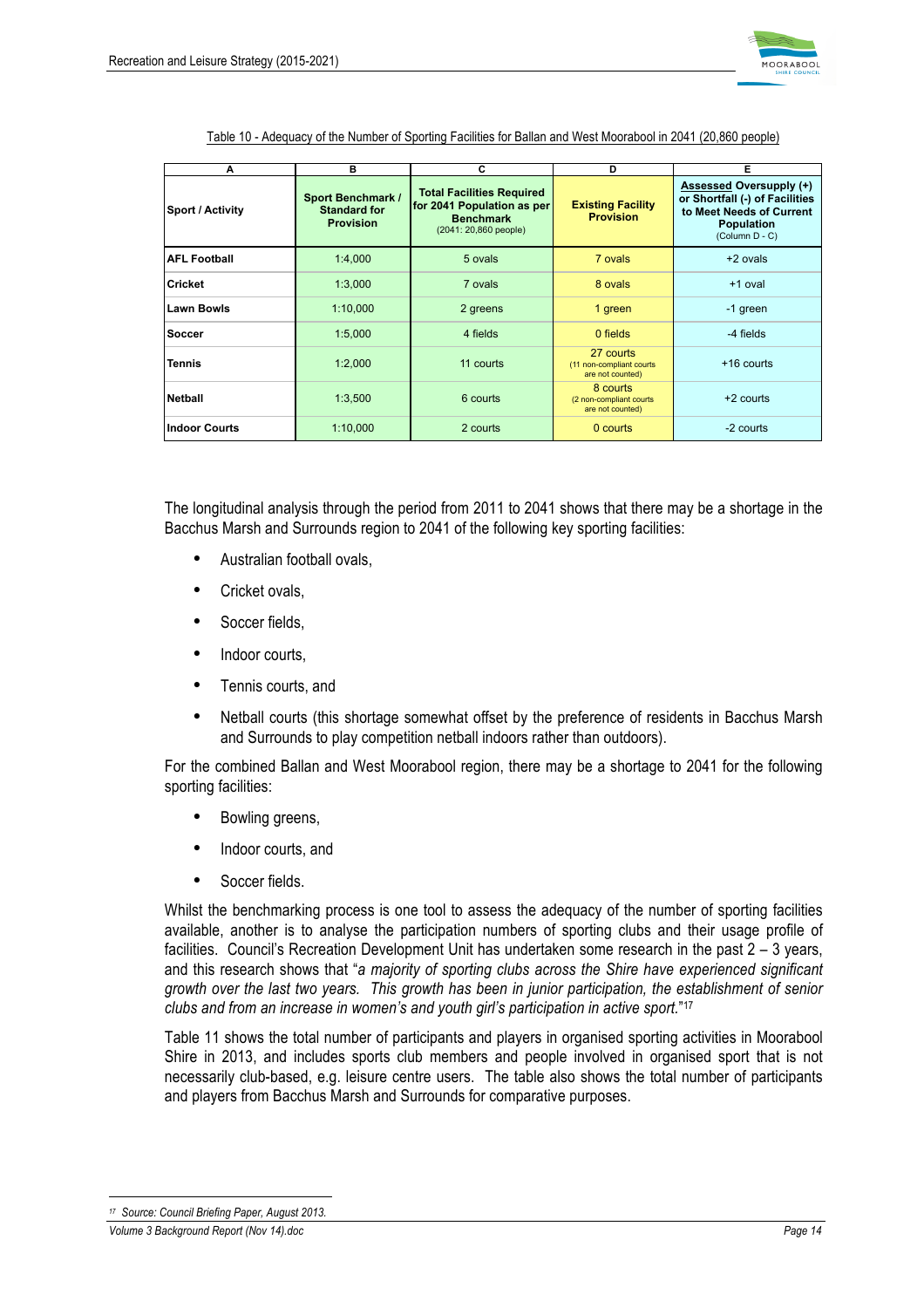

| A                       | в                                                                   | C                                                                                                           | D                                                          | Е                                                                                                                            |
|-------------------------|---------------------------------------------------------------------|-------------------------------------------------------------------------------------------------------------|------------------------------------------------------------|------------------------------------------------------------------------------------------------------------------------------|
| <b>Sport / Activity</b> | <b>Sport Benchmark /</b><br><b>Standard for</b><br><b>Provision</b> | <b>Total Facilities Required</b><br>for 2041 Population as per<br><b>Benchmark</b><br>(2041: 20,860 people) | <b>Existing Facility</b><br><b>Provision</b>               | Assessed Oversupply (+)<br>or Shortfall (-) of Facilities<br>to Meet Needs of Current<br><b>Population</b><br>(Column D - C) |
| <b>AFL Football</b>     | 1:4,000                                                             | 5 ovals                                                                                                     | 7 ovals                                                    | +2 ovals                                                                                                                     |
| <b>Cricket</b>          | 1:3,000                                                             | 7 ovals                                                                                                     | 8 ovals                                                    | +1 oval                                                                                                                      |
| <b>Lawn Bowls</b>       | 1:10,000                                                            | 2 greens                                                                                                    | 1 green                                                    | -1 green                                                                                                                     |
| <b>Soccer</b>           | 1:5,000                                                             | 4 fields                                                                                                    | 0 fields                                                   | -4 fields                                                                                                                    |
| Tennis                  | 1:2.000                                                             | 11 courts                                                                                                   | 27 courts<br>(11 non-compliant courts)<br>are not counted) | $+16$ courts                                                                                                                 |
| <b>Netball</b>          | 1:3,500                                                             | 6 courts                                                                                                    | 8 courts<br>(2 non-compliant courts)<br>are not counted)   | +2 courts                                                                                                                    |
| <b>Indoor Courts</b>    | 1:10,000                                                            | 2 courts                                                                                                    | 0 courts                                                   | -2 courts                                                                                                                    |

Table 10 - Adequacy of the Number of Sporting Facilities for Ballan and West Moorabool in 2041 (20,860 people)

The longitudinal analysis through the period from 2011 to 2041 shows that there may be a shortage in the Bacchus Marsh and Surrounds region to 2041 of the following key sporting facilities:

- Australian football ovals,
- Cricket ovals
- Soccer fields,
- Indoor courts.
- Tennis courts, and
- Netball courts (this shortage somewhat offset by the preference of residents in Bacchus Marsh and Surrounds to play competition netball indoors rather than outdoors).

For the combined Ballan and West Moorabool region, there may be a shortage to 2041 for the following sporting facilities:

- Bowling greens,
- Indoor courts, and
- Soccer fields.

Whilst the benchmarking process is one tool to assess the adequacy of the number of sporting facilities available, another is to analyse the participation numbers of sporting clubs and their usage profile of facilities. Council's Recreation Development Unit has undertaken some research in the past 2 – 3 years, and this research shows that "*a majority of sporting clubs across the Shire have experienced significant growth over the last two years. This growth has been in junior participation, the establishment of senior clubs and from an increase in women's and youth girl's participation in active sport.*"17

Table 11 shows the total number of participants and players in organised sporting activities in Moorabool Shire in 2013, and includes sports club members and people involved in organised sport that is not necessarily club-based, e.g. leisure centre users. The table also shows the total number of participants and players from Bacchus Marsh and Surrounds for comparative purposes.

 $\overline{a}$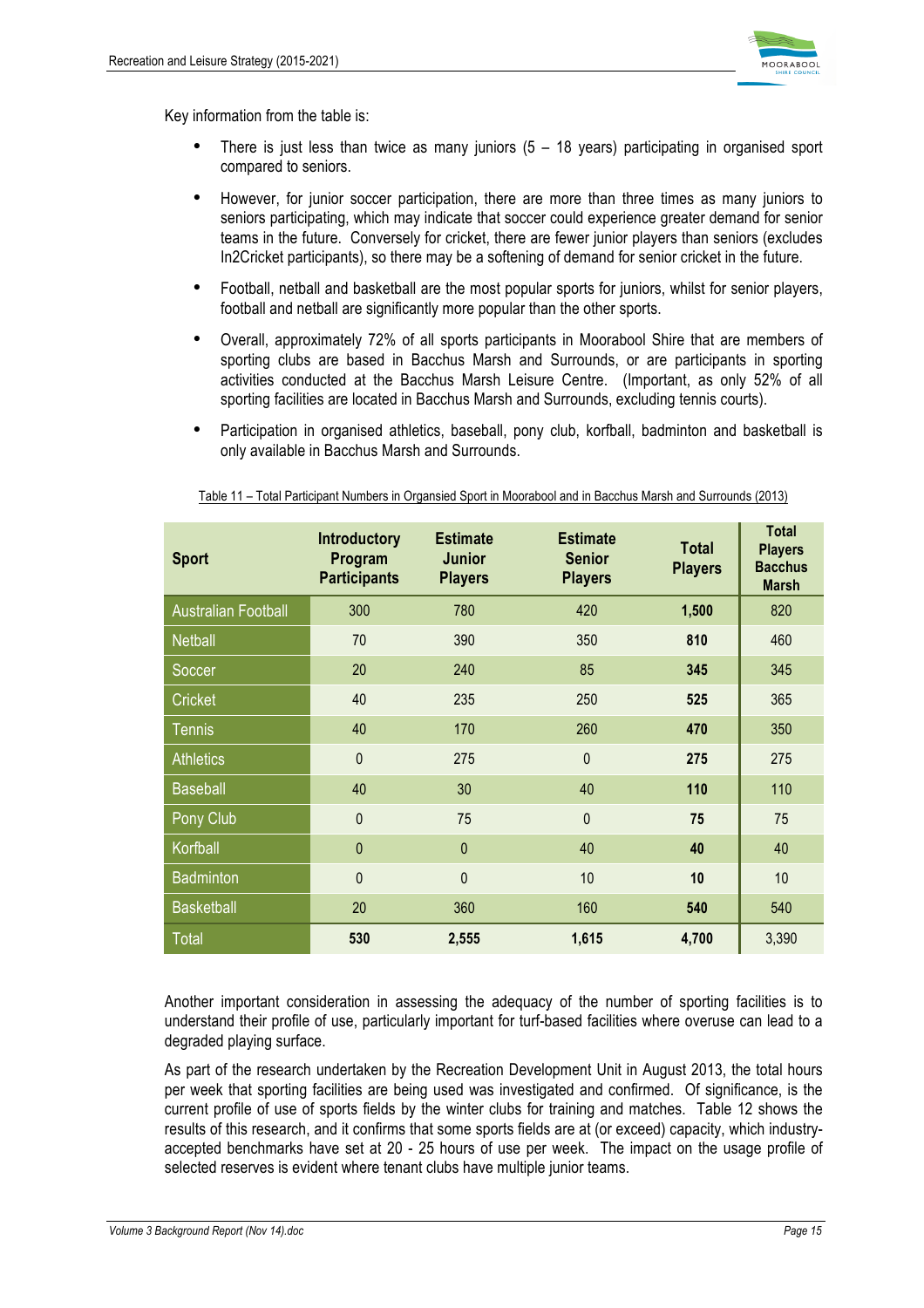

Key information from the table is:

- There is just less than twice as many juniors  $(5 18 \text{ years})$  participating in organised sport compared to seniors.
- However, for junior soccer participation, there are more than three times as many juniors to seniors participating, which may indicate that soccer could experience greater demand for senior teams in the future. Conversely for cricket, there are fewer junior players than seniors (excludes In2Cricket participants), so there may be a softening of demand for senior cricket in the future.
- Football, netball and basketball are the most popular sports for juniors, whilst for senior players, football and netball are significantly more popular than the other sports.
- Overall, approximately 72% of all sports participants in Moorabool Shire that are members of sporting clubs are based in Bacchus Marsh and Surrounds, or are participants in sporting activities conducted at the Bacchus Marsh Leisure Centre. (Important, as only 52% of all sporting facilities are located in Bacchus Marsh and Surrounds, excluding tennis courts).
- Participation in organised athletics, baseball, pony club, korfball, badminton and basketball is only available in Bacchus Marsh and Surrounds.

| <b>Sport</b>               | <b>Introductory</b><br>Program<br><b>Participants</b> | <b>Estimate</b><br><b>Junior</b><br><b>Players</b> | <b>Estimate</b><br><b>Senior</b><br><b>Players</b> | <b>Total</b><br><b>Players</b> | <b>Total</b><br><b>Players</b><br><b>Bacchus</b><br><b>Marsh</b> |
|----------------------------|-------------------------------------------------------|----------------------------------------------------|----------------------------------------------------|--------------------------------|------------------------------------------------------------------|
| <b>Australian Football</b> | 300                                                   | 780                                                | 420                                                | 1,500                          | 820                                                              |
| <b>Netball</b>             | 70                                                    | 390                                                | 350                                                | 810                            | 460                                                              |
| Soccer                     | 20                                                    | 240                                                | 85                                                 | 345                            | 345                                                              |
| <b>Cricket</b>             | 40                                                    | 235                                                | 250                                                | 525                            | 365                                                              |
| <b>Tennis</b>              | 40                                                    | 170                                                | 260                                                | 470                            | 350                                                              |
| <b>Athletics</b>           | $\mathbf 0$                                           | 275                                                | $\mathbf{0}$                                       | 275                            | 275                                                              |
| <b>Baseball</b>            | 40                                                    | 30                                                 | 40                                                 | 110                            | 110                                                              |
| Pony Club                  | $\mathbf{0}$                                          | 75                                                 | $\mathbf{0}$                                       | 75                             | 75                                                               |
| Korfball                   | $\mathbf{0}$                                          | $\mathbf{0}$                                       | 40                                                 | 40                             | 40                                                               |
| <b>Badminton</b>           | $\mathbf{0}$                                          | $\mathbf 0$                                        | 10                                                 | 10                             | 10                                                               |
| <b>Basketball</b>          | 20                                                    | 360                                                | 160                                                | 540                            | 540                                                              |
| <b>Total</b>               | 530                                                   | 2,555                                              | 1,615                                              | 4,700                          | 3,390                                                            |

Table 11 – Total Participant Numbers in Organsied Sport in Moorabool and in Bacchus Marsh and Surrounds (2013)

Another important consideration in assessing the adequacy of the number of sporting facilities is to understand their profile of use, particularly important for turf-based facilities where overuse can lead to a degraded playing surface.

As part of the research undertaken by the Recreation Development Unit in August 2013, the total hours per week that sporting facilities are being used was investigated and confirmed. Of significance, is the current profile of use of sports fields by the winter clubs for training and matches. Table 12 shows the results of this research, and it confirms that some sports fields are at (or exceed) capacity, which industryaccepted benchmarks have set at 20 - 25 hours of use per week. The impact on the usage profile of selected reserves is evident where tenant clubs have multiple junior teams.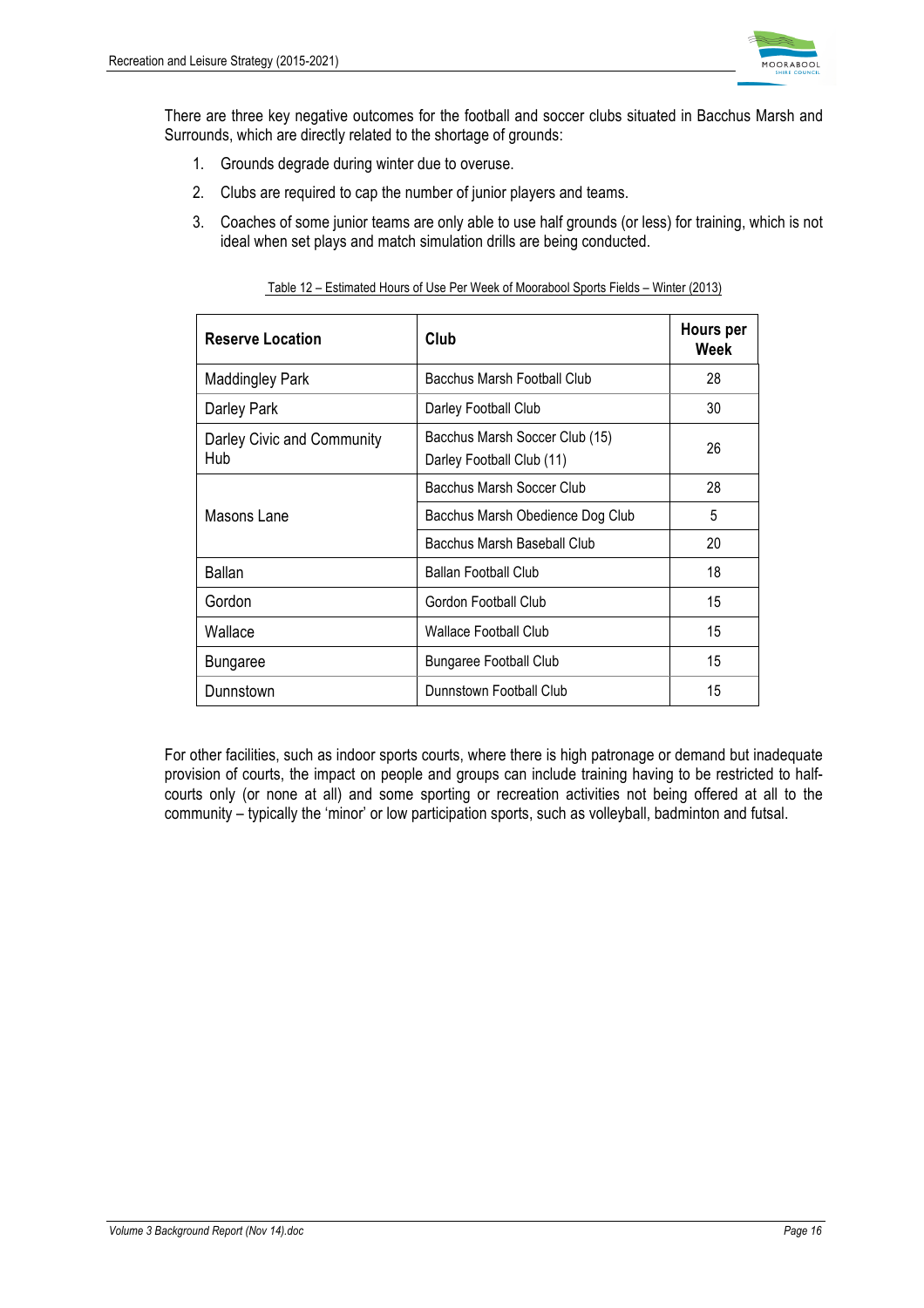

There are three key negative outcomes for the football and soccer clubs situated in Bacchus Marsh and Surrounds, which are directly related to the shortage of grounds:

- 1. Grounds degrade during winter due to overuse.
- 2. Clubs are required to cap the number of junior players and teams.
- 3. Coaches of some junior teams are only able to use half grounds (or less) for training, which is not ideal when set plays and match simulation drills are being conducted.

| <b>Reserve Location</b>           | Club                                                        | Hours per<br>Week |
|-----------------------------------|-------------------------------------------------------------|-------------------|
| <b>Maddingley Park</b>            | Bacchus Marsh Football Club                                 | 28                |
| Darley Park                       | Darley Football Club                                        | 30                |
| Darley Civic and Community<br>Hub | Bacchus Marsh Soccer Club (15)<br>Darley Football Club (11) | 26                |
|                                   | Bacchus Marsh Soccer Club                                   | 28                |
| Masons Lane                       | Bacchus Marsh Obedience Dog Club                            | 5                 |
|                                   | Bacchus Marsh Baseball Club                                 | 20                |
| Ballan                            | <b>Ballan Football Club</b>                                 | 18                |
| Gordon                            | Gordon Football Club                                        | 15                |
| Wallace                           | <b>Wallace Football Club</b>                                | 15                |
| <b>Bungaree</b>                   | <b>Bungaree Football Club</b>                               | 15                |
| Dunnstown                         | Dunnstown Football Club                                     | 15                |

#### Table 12 – Estimated Hours of Use Per Week of Moorabool Sports Fields – Winter (2013)

For other facilities, such as indoor sports courts, where there is high patronage or demand but inadequate provision of courts, the impact on people and groups can include training having to be restricted to halfcourts only (or none at all) and some sporting or recreation activities not being offered at all to the community – typically the 'minor' or low participation sports, such as volleyball, badminton and futsal.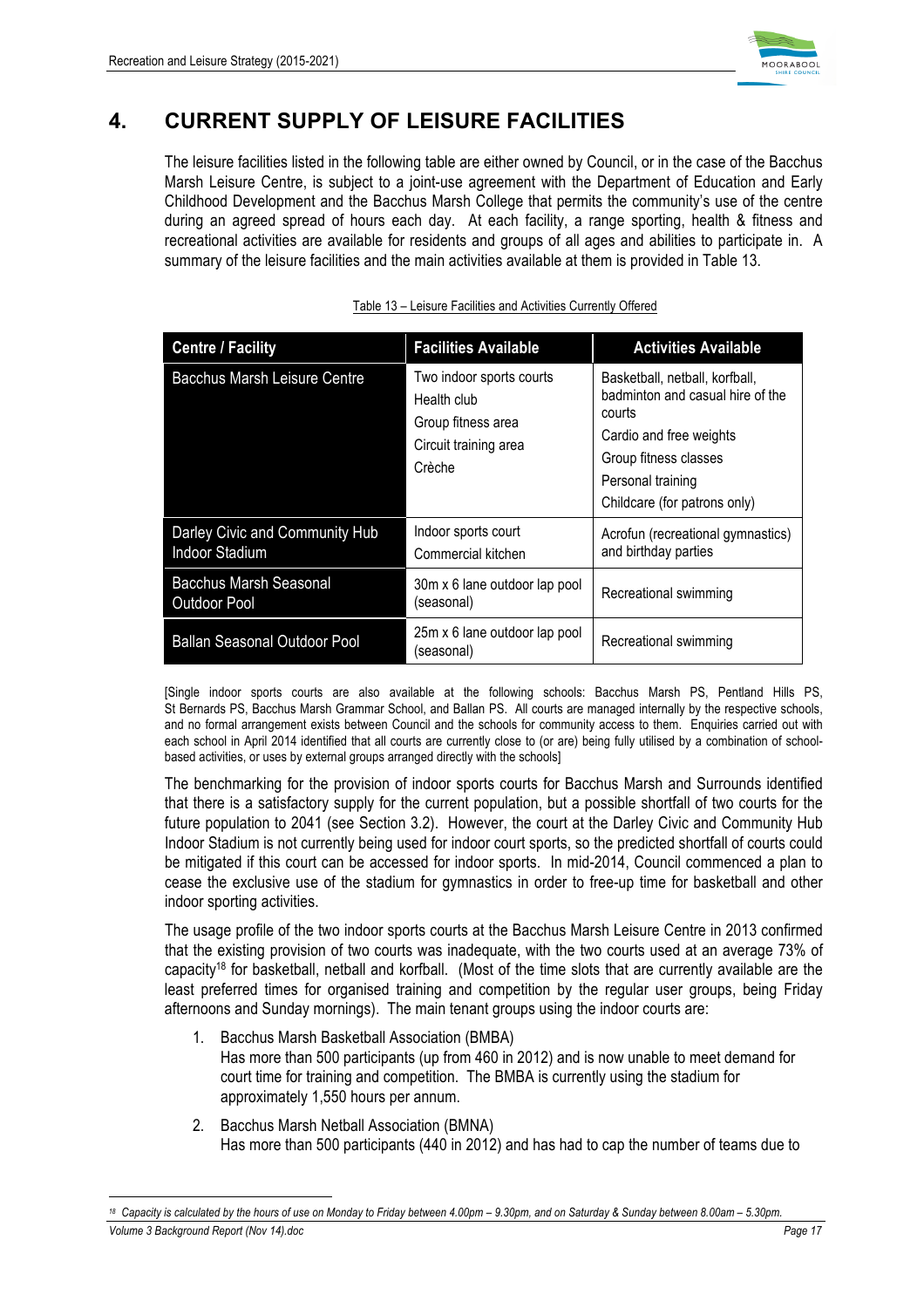$\overline{a}$ 



# **4. CURRENT SUPPLY OF LEISURE FACILITIES**

The leisure facilities listed in the following table are either owned by Council, or in the case of the Bacchus Marsh Leisure Centre, is subject to a joint-use agreement with the Department of Education and Early Childhood Development and the Bacchus Marsh College that permits the community's use of the centre during an agreed spread of hours each day. At each facility, a range sporting, health & fitness and recreational activities are available for residents and groups of all ages and abilities to participate in. A summary of the leisure facilities and the main activities available at them is provided in Table 13.

| <b>Centre / Facility</b>                                | <b>Facilities Available</b>                                                                      | <b>Activities Available</b>                                                                                                                                                           |
|---------------------------------------------------------|--------------------------------------------------------------------------------------------------|---------------------------------------------------------------------------------------------------------------------------------------------------------------------------------------|
| <b>Bacchus Marsh Leisure Centre</b>                     | Two indoor sports courts<br>Health club<br>Group fitness area<br>Circuit training area<br>Crèche | Basketball, netball, korfball,<br>badminton and casual hire of the<br>courts<br>Cardio and free weights<br>Group fitness classes<br>Personal training<br>Childcare (for patrons only) |
| Darley Civic and Community Hub<br><b>Indoor Stadium</b> | Indoor sports court<br>Commercial kitchen                                                        | Acrofun (recreational gymnastics)<br>and birthday parties                                                                                                                             |
| <b>Bacchus Marsh Seasonal</b><br><b>Outdoor Pool</b>    | 30m x 6 lane outdoor lap pool<br>(seasonal)                                                      | Recreational swimming                                                                                                                                                                 |
| <b>Ballan Seasonal Outdoor Pool</b>                     | 25m x 6 lane outdoor lap pool<br>(seasonal)                                                      | Recreational swimming                                                                                                                                                                 |

Table 13 – Leisure Facilities and Activities Currently Offered

[Single indoor sports courts are also available at the following schools: Bacchus Marsh PS, Pentland Hills PS, St Bernards PS, Bacchus Marsh Grammar School, and Ballan PS. All courts are managed internally by the respective schools, and no formal arrangement exists between Council and the schools for community access to them. Enquiries carried out with each school in April 2014 identified that all courts are currently close to (or are) being fully utilised by a combination of schoolbased activities, or uses by external groups arranged directly with the schools]

The benchmarking for the provision of indoor sports courts for Bacchus Marsh and Surrounds identified that there is a satisfactory supply for the current population, but a possible shortfall of two courts for the future population to 2041 (see Section 3.2). However, the court at the Darley Civic and Community Hub Indoor Stadium is not currently being used for indoor court sports, so the predicted shortfall of courts could be mitigated if this court can be accessed for indoor sports. In mid-2014, Council commenced a plan to cease the exclusive use of the stadium for gymnastics in order to free-up time for basketball and other indoor sporting activities.

The usage profile of the two indoor sports courts at the Bacchus Marsh Leisure Centre in 2013 confirmed that the existing provision of two courts was inadequate, with the two courts used at an average 73% of capacity18 for basketball, netball and korfball. (Most of the time slots that are currently available are the least preferred times for organised training and competition by the regular user groups, being Friday afternoons and Sunday mornings). The main tenant groups using the indoor courts are:

- 1. Bacchus Marsh Basketball Association (BMBA) Has more than 500 participants (up from 460 in 2012) and is now unable to meet demand for court time for training and competition. The BMBA is currently using the stadium for approximately 1,550 hours per annum.
- 2. Bacchus Marsh Netball Association (BMNA) Has more than 500 participants (440 in 2012) and has had to cap the number of teams due to

*Volume 3 Background Report (Nov 14).doc Page 17 <sup>18</sup> Capacity is calculated by the hours of use on Monday to Friday between 4.00pm – 9.30pm, and on Saturday & Sunday between 8.00am – 5.30pm.*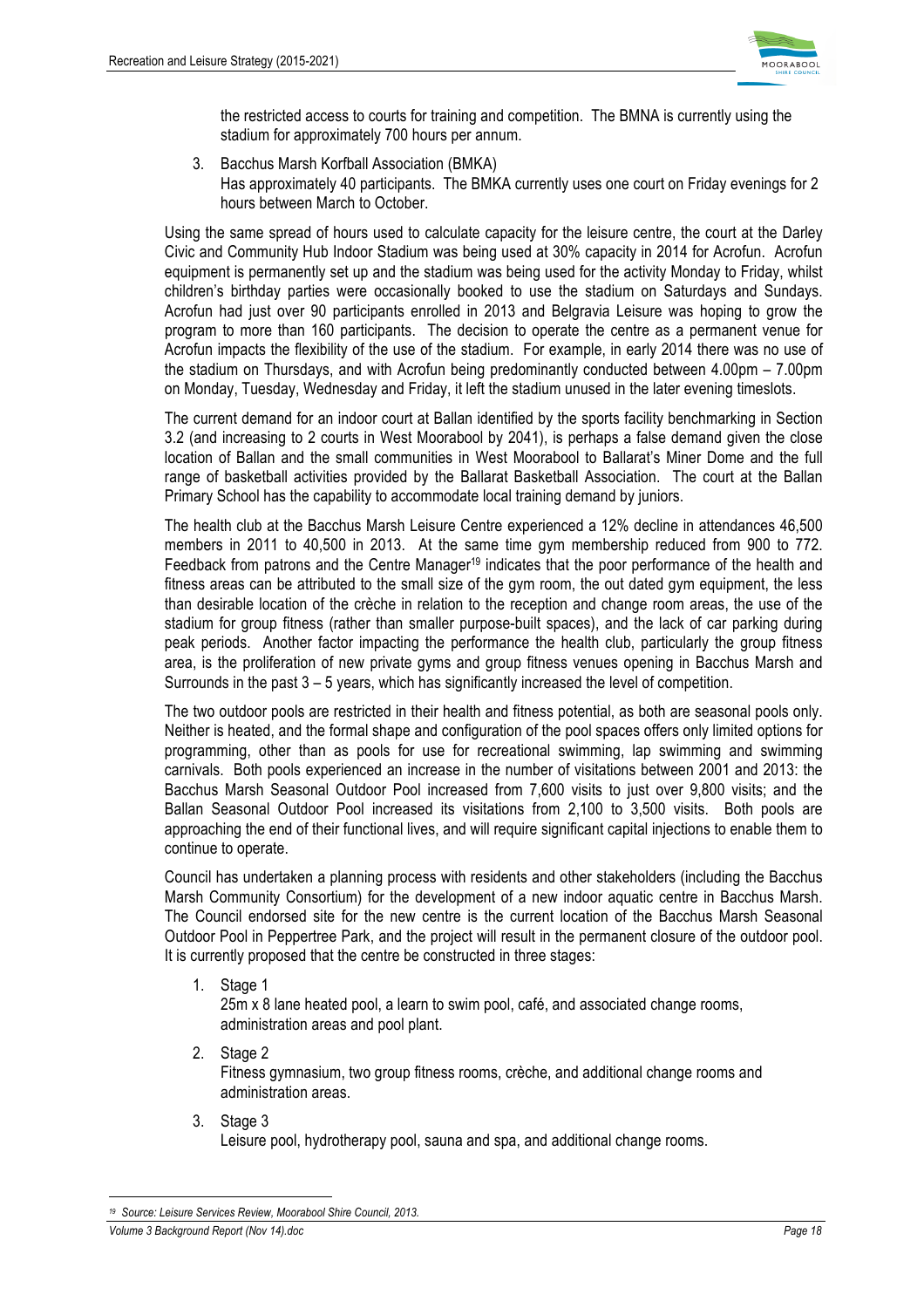

the restricted access to courts for training and competition. The BMNA is currently using the stadium for approximately 700 hours per annum.

3. Bacchus Marsh Korfball Association (BMKA) Has approximately 40 participants. The BMKA currently uses one court on Friday evenings for 2 hours between March to October.

Using the same spread of hours used to calculate capacity for the leisure centre, the court at the Darley Civic and Community Hub Indoor Stadium was being used at 30% capacity in 2014 for Acrofun. Acrofun equipment is permanently set up and the stadium was being used for the activity Monday to Friday, whilst children's birthday parties were occasionally booked to use the stadium on Saturdays and Sundays. Acrofun had just over 90 participants enrolled in 2013 and Belgravia Leisure was hoping to grow the program to more than 160 participants. The decision to operate the centre as a permanent venue for Acrofun impacts the flexibility of the use of the stadium. For example, in early 2014 there was no use of the stadium on Thursdays, and with Acrofun being predominantly conducted between 4.00pm – 7.00pm on Monday, Tuesday, Wednesday and Friday, it left the stadium unused in the later evening timeslots.

The current demand for an indoor court at Ballan identified by the sports facility benchmarking in Section 3.2 (and increasing to 2 courts in West Moorabool by 2041), is perhaps a false demand given the close location of Ballan and the small communities in West Moorabool to Ballarat's Miner Dome and the full range of basketball activities provided by the Ballarat Basketball Association. The court at the Ballan Primary School has the capability to accommodate local training demand by juniors.

The health club at the Bacchus Marsh Leisure Centre experienced a 12% decline in attendances 46,500 members in 2011 to 40,500 in 2013. At the same time gym membership reduced from 900 to 772. Feedback from patrons and the Centre Manager<sup>19</sup> indicates that the poor performance of the health and fitness areas can be attributed to the small size of the gym room, the out dated gym equipment, the less than desirable location of the crèche in relation to the reception and change room areas, the use of the stadium for group fitness (rather than smaller purpose-built spaces), and the lack of car parking during peak periods. Another factor impacting the performance the health club, particularly the group fitness area, is the proliferation of new private gyms and group fitness venues opening in Bacchus Marsh and Surrounds in the past 3 – 5 years, which has significantly increased the level of competition.

The two outdoor pools are restricted in their health and fitness potential, as both are seasonal pools only. Neither is heated, and the formal shape and configuration of the pool spaces offers only limited options for programming, other than as pools for use for recreational swimming, lap swimming and swimming carnivals. Both pools experienced an increase in the number of visitations between 2001 and 2013: the Bacchus Marsh Seasonal Outdoor Pool increased from 7,600 visits to just over 9,800 visits; and the Ballan Seasonal Outdoor Pool increased its visitations from 2,100 to 3,500 visits. Both pools are approaching the end of their functional lives, and will require significant capital injections to enable them to continue to operate.

Council has undertaken a planning process with residents and other stakeholders (including the Bacchus Marsh Community Consortium) for the development of a new indoor aquatic centre in Bacchus Marsh. The Council endorsed site for the new centre is the current location of the Bacchus Marsh Seasonal Outdoor Pool in Peppertree Park, and the project will result in the permanent closure of the outdoor pool. It is currently proposed that the centre be constructed in three stages:

1. Stage 1

25m x 8 lane heated pool, a learn to swim pool, café, and associated change rooms, administration areas and pool plant.

2. Stage 2

Fitness gymnasium, two group fitness rooms, crèche, and additional change rooms and administration areas.

3. Stage 3

Leisure pool, hydrotherapy pool, sauna and spa, and additional change rooms.

 $\overline{a}$ 

*<sup>19</sup> Source: Leisure Services Review, Moorabool Shire Council, 2013.*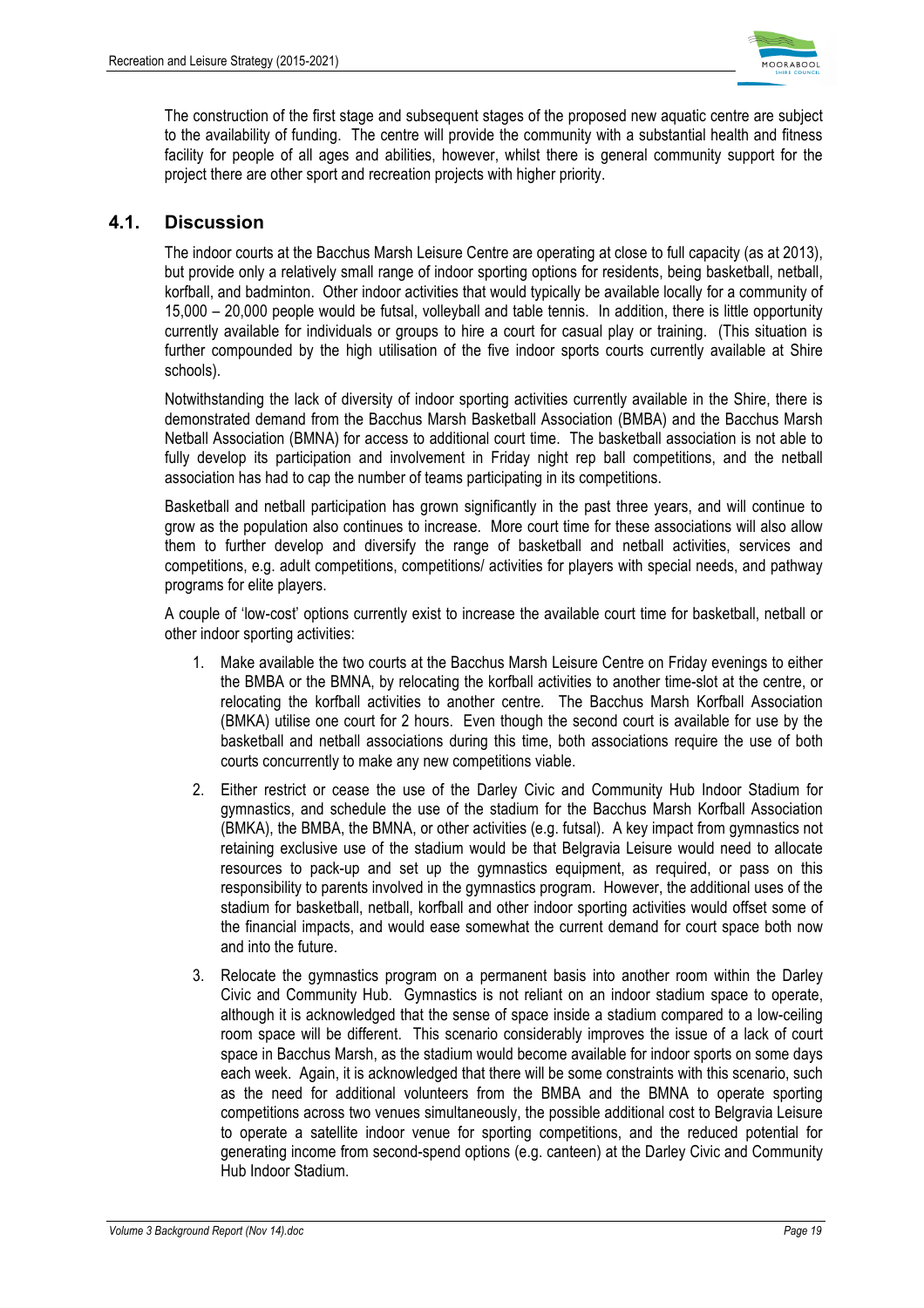

The construction of the first stage and subsequent stages of the proposed new aquatic centre are subject to the availability of funding. The centre will provide the community with a substantial health and fitness facility for people of all ages and abilities, however, whilst there is general community support for the project there are other sport and recreation projects with higher priority.

# **4.1. Discussion**

The indoor courts at the Bacchus Marsh Leisure Centre are operating at close to full capacity (as at 2013), but provide only a relatively small range of indoor sporting options for residents, being basketball, netball, korfball, and badminton. Other indoor activities that would typically be available locally for a community of 15,000 – 20,000 people would be futsal, volleyball and table tennis. In addition, there is little opportunity currently available for individuals or groups to hire a court for casual play or training. (This situation is further compounded by the high utilisation of the five indoor sports courts currently available at Shire schools).

Notwithstanding the lack of diversity of indoor sporting activities currently available in the Shire, there is demonstrated demand from the Bacchus Marsh Basketball Association (BMBA) and the Bacchus Marsh Netball Association (BMNA) for access to additional court time. The basketball association is not able to fully develop its participation and involvement in Friday night rep ball competitions, and the netball association has had to cap the number of teams participating in its competitions.

Basketball and netball participation has grown significantly in the past three years, and will continue to grow as the population also continues to increase. More court time for these associations will also allow them to further develop and diversify the range of basketball and netball activities, services and competitions, e.g. adult competitions, competitions/ activities for players with special needs, and pathway programs for elite players.

A couple of 'low-cost' options currently exist to increase the available court time for basketball, netball or other indoor sporting activities:

- 1. Make available the two courts at the Bacchus Marsh Leisure Centre on Friday evenings to either the BMBA or the BMNA, by relocating the korfball activities to another time-slot at the centre, or relocating the korfball activities to another centre. The Bacchus Marsh Korfball Association (BMKA) utilise one court for 2 hours. Even though the second court is available for use by the basketball and netball associations during this time, both associations require the use of both courts concurrently to make any new competitions viable.
- 2. Either restrict or cease the use of the Darley Civic and Community Hub Indoor Stadium for gymnastics, and schedule the use of the stadium for the Bacchus Marsh Korfball Association (BMKA), the BMBA, the BMNA, or other activities (e.g. futsal). A key impact from gymnastics not retaining exclusive use of the stadium would be that Belgravia Leisure would need to allocate resources to pack-up and set up the gymnastics equipment, as required, or pass on this responsibility to parents involved in the gymnastics program. However, the additional uses of the stadium for basketball, netball, korfball and other indoor sporting activities would offset some of the financial impacts, and would ease somewhat the current demand for court space both now and into the future.
- 3. Relocate the gymnastics program on a permanent basis into another room within the Darley Civic and Community Hub. Gymnastics is not reliant on an indoor stadium space to operate, although it is acknowledged that the sense of space inside a stadium compared to a low-ceiling room space will be different. This scenario considerably improves the issue of a lack of court space in Bacchus Marsh, as the stadium would become available for indoor sports on some days each week. Again, it is acknowledged that there will be some constraints with this scenario, such as the need for additional volunteers from the BMBA and the BMNA to operate sporting competitions across two venues simultaneously, the possible additional cost to Belgravia Leisure to operate a satellite indoor venue for sporting competitions, and the reduced potential for generating income from second-spend options (e.g. canteen) at the Darley Civic and Community Hub Indoor Stadium.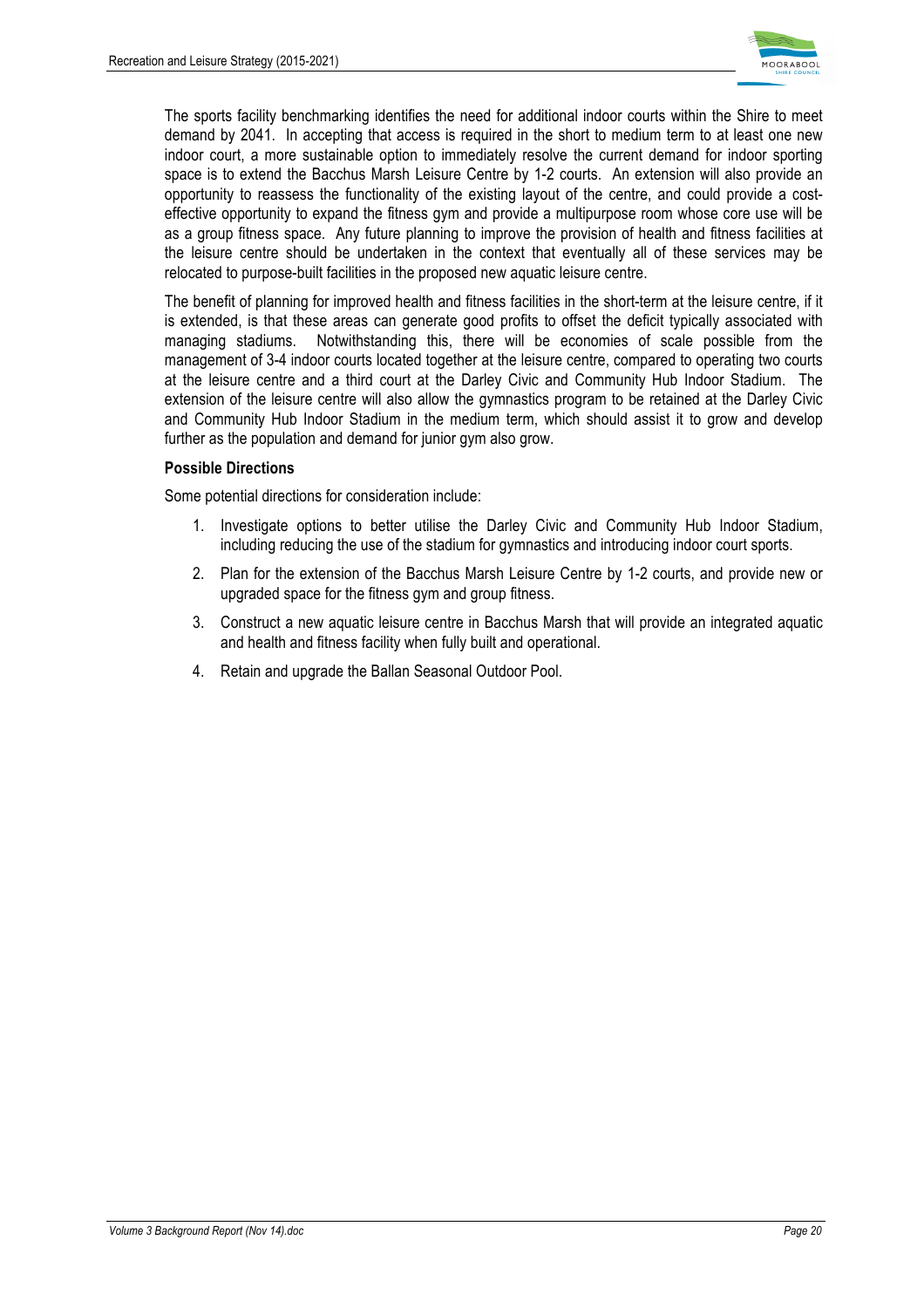

The sports facility benchmarking identifies the need for additional indoor courts within the Shire to meet demand by 2041. In accepting that access is required in the short to medium term to at least one new indoor court, a more sustainable option to immediately resolve the current demand for indoor sporting space is to extend the Bacchus Marsh Leisure Centre by 1-2 courts. An extension will also provide an opportunity to reassess the functionality of the existing layout of the centre, and could provide a costeffective opportunity to expand the fitness gym and provide a multipurpose room whose core use will be as a group fitness space. Any future planning to improve the provision of health and fitness facilities at the leisure centre should be undertaken in the context that eventually all of these services may be relocated to purpose-built facilities in the proposed new aquatic leisure centre.

The benefit of planning for improved health and fitness facilities in the short-term at the leisure centre, if it is extended, is that these areas can generate good profits to offset the deficit typically associated with managing stadiums. Notwithstanding this, there will be economies of scale possible from the management of 3-4 indoor courts located together at the leisure centre, compared to operating two courts at the leisure centre and a third court at the Darley Civic and Community Hub Indoor Stadium. The extension of the leisure centre will also allow the gymnastics program to be retained at the Darley Civic and Community Hub Indoor Stadium in the medium term, which should assist it to grow and develop further as the population and demand for junior gym also grow.

#### **Possible Directions**

Some potential directions for consideration include:

- 1. Investigate options to better utilise the Darley Civic and Community Hub Indoor Stadium, including reducing the use of the stadium for gymnastics and introducing indoor court sports.
- 2. Plan for the extension of the Bacchus Marsh Leisure Centre by 1-2 courts, and provide new or upgraded space for the fitness gym and group fitness.
- 3. Construct a new aquatic leisure centre in Bacchus Marsh that will provide an integrated aquatic and health and fitness facility when fully built and operational.
- 4. Retain and upgrade the Ballan Seasonal Outdoor Pool.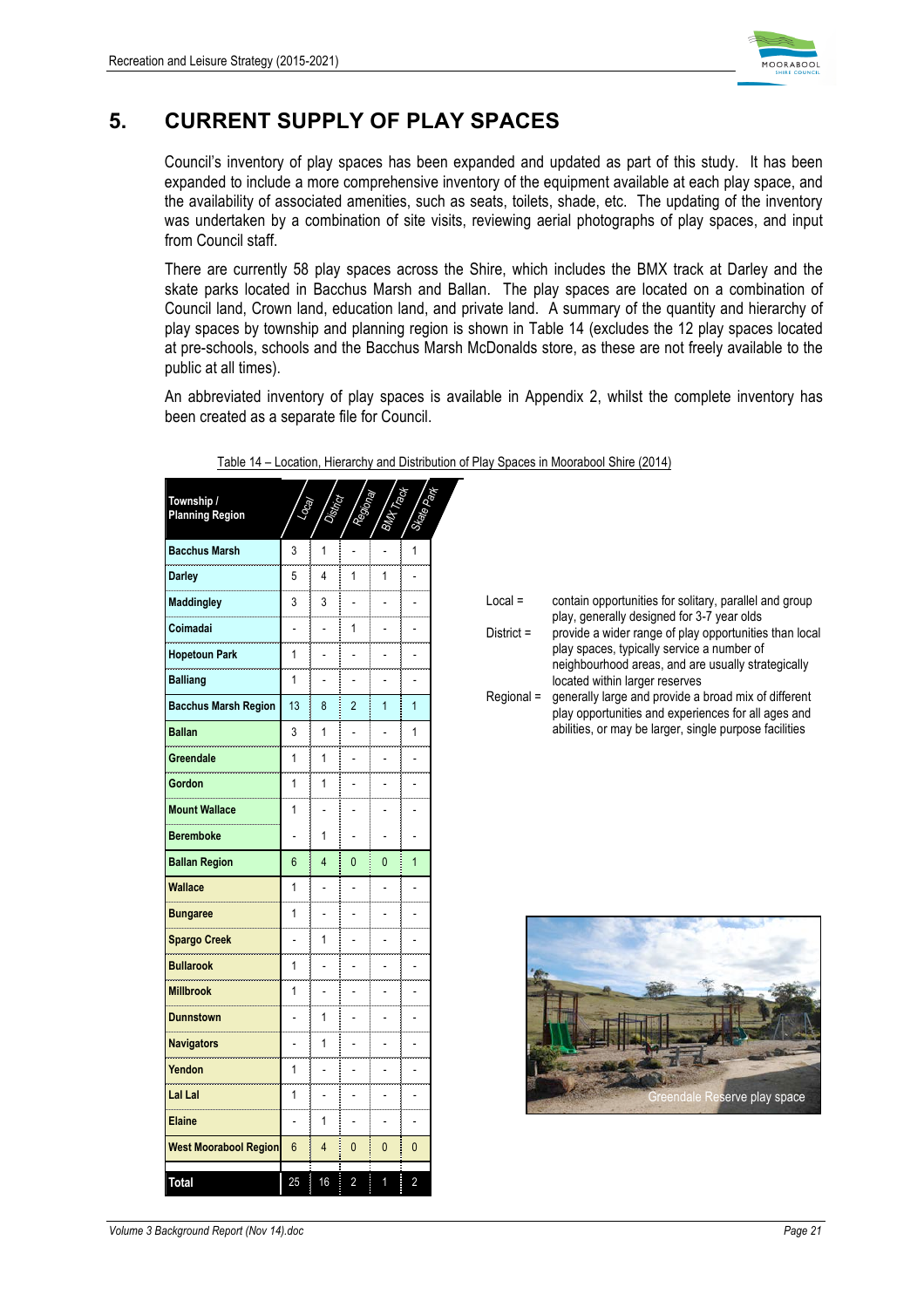

# **5. CURRENT SUPPLY OF PLAY SPACES**

Council's inventory of play spaces has been expanded and updated as part of this study. It has been expanded to include a more comprehensive inventory of the equipment available at each play space, and the availability of associated amenities, such as seats, toilets, shade, etc. The updating of the inventory was undertaken by a combination of site visits, reviewing aerial photographs of play spaces, and input from Council staff.

There are currently 58 play spaces across the Shire, which includes the BMX track at Darley and the skate parks located in Bacchus Marsh and Ballan. The play spaces are located on a combination of Council land, Crown land, education land, and private land. A summary of the quantity and hierarchy of play spaces by township and planning region is shown in Table 14 (excludes the 12 play spaces located at pre-schools, schools and the Bacchus Marsh McDonalds store, as these are not freely available to the public at all times).

An abbreviated inventory of play spaces is available in Appendix 2, whilst the complete inventory has been created as a separate file for Council.

| Township /<br><b>Planning Region</b> | OCEN |                                                                                                                                                                                                                                           | Res            |                                     | <b>Sychology</b>                    |  |
|--------------------------------------|------|-------------------------------------------------------------------------------------------------------------------------------------------------------------------------------------------------------------------------------------------|----------------|-------------------------------------|-------------------------------------|--|
| <b>Bacchus Marsh</b>                 | 3    | 1                                                                                                                                                                                                                                         | $\overline{a}$ |                                     | 1                                   |  |
| Darley                               | 5    | 4                                                                                                                                                                                                                                         | 1              | 1                                   |                                     |  |
| <b>Maddingley</b>                    | 3    | 3                                                                                                                                                                                                                                         | L              | $\overline{a}$                      |                                     |  |
| Coimadai                             |      | $\overline{a}$                                                                                                                                                                                                                            | 1              |                                     |                                     |  |
| <b>Hopetoun Park</b>                 | 1    | $\overline{a}$                                                                                                                                                                                                                            | ä,             | L,                                  |                                     |  |
| <b>Balliang</b>                      | 1    | j<br>L.                                                                                                                                                                                                                                   | ÷.             |                                     | Î                                   |  |
| <b>Bacchus Marsh Region</b>          | 13   | j<br>8                                                                                                                                                                                                                                    | $\overline{2}$ | <b>Contractor</b><br>$\overline{1}$ | <b>Contractor</b><br>$\overline{1}$ |  |
| <b>Ballan</b>                        | 3    | i<br>Samuel Sal<br>1                                                                                                                                                                                                                      |                |                                     | <b>CONTRACTOR</b><br>1              |  |
| Greendale                            | 1    | 1                                                                                                                                                                                                                                         |                | I                                   |                                     |  |
| Gordon                               | 1    | 1                                                                                                                                                                                                                                         | $\overline{a}$ | $\overline{a}$                      | L,                                  |  |
| <b>Mount Wallace</b>                 | 1    | $\overline{a}$                                                                                                                                                                                                                            | $\overline{a}$ | L,                                  |                                     |  |
| <b>Beremboke</b>                     |      | <b>Continued in the continued in the continued in the continued in the continued in the continued in the continued in the continued in the continued in the continued in the continued in the continued in the continued in the </b><br>1 |                |                                     |                                     |  |
| <b>Ballan Region</b>                 | 6    | 4                                                                                                                                                                                                                                         | $\Omega$       | <b>Contractor</b><br>$\overline{0}$ | <b>Contractor</b><br>$\overline{1}$ |  |
| <b>Wallace</b>                       | 1    |                                                                                                                                                                                                                                           |                |                                     |                                     |  |
| <b>Bungaree</b>                      | 1    |                                                                                                                                                                                                                                           |                |                                     |                                     |  |
| <b>Spargo Creek</b>                  |      | 1                                                                                                                                                                                                                                         |                |                                     |                                     |  |
| <b>Bullarook</b>                     | 1    | L                                                                                                                                                                                                                                         | L,             | ä,                                  | L,                                  |  |
| <b>Millbrook</b>                     | 1    | L.                                                                                                                                                                                                                                        | L,             | ä,                                  |                                     |  |
| <b>Dunnstown</b>                     |      | 1                                                                                                                                                                                                                                         |                |                                     |                                     |  |
| Navigators                           |      | 1                                                                                                                                                                                                                                         | $\overline{a}$ |                                     |                                     |  |
| Yendon<br>.                          | 1    | L                                                                                                                                                                                                                                         | $\overline{a}$ | $\overline{a}$                      | L                                   |  |
| Lal Lal<br><b>Contract Contract</b>  | 1    |                                                                                                                                                                                                                                           |                |                                     | L,                                  |  |
| <b>Elaine</b>                        | ÷,   | 1<br>į                                                                                                                                                                                                                                    | $\overline{a}$ |                                     |                                     |  |
| <b>West Moorabool Region</b>         | 6    | l<br>4                                                                                                                                                                                                                                    | $\mathbf{0}$   | <b>Contract</b><br>0                | l<br>$\mathbf{0}$                   |  |
| Total                                | 25   | l<br>16                                                                                                                                                                                                                                   | $\overline{2}$ | 1                                   | $\overline{2}$                      |  |

|  | Table 14 – Location, Hierarchy and Distribution of Play Spaces in Moorabool Shire (2014) |
|--|------------------------------------------------------------------------------------------|
|  |                                                                                          |

- Local = contain opportunities for solitary, parallel and group play, generally designed for 3-7 year olds
- District = provide a wider range of play opportunities than local play spaces, typically service a number of neighbourhood areas, and are usually strategically located within larger reserves
- Regional = generally large and provide a broad mix of different play opportunities and experiences for all ages and abilities, or may be larger, single purpose facilities

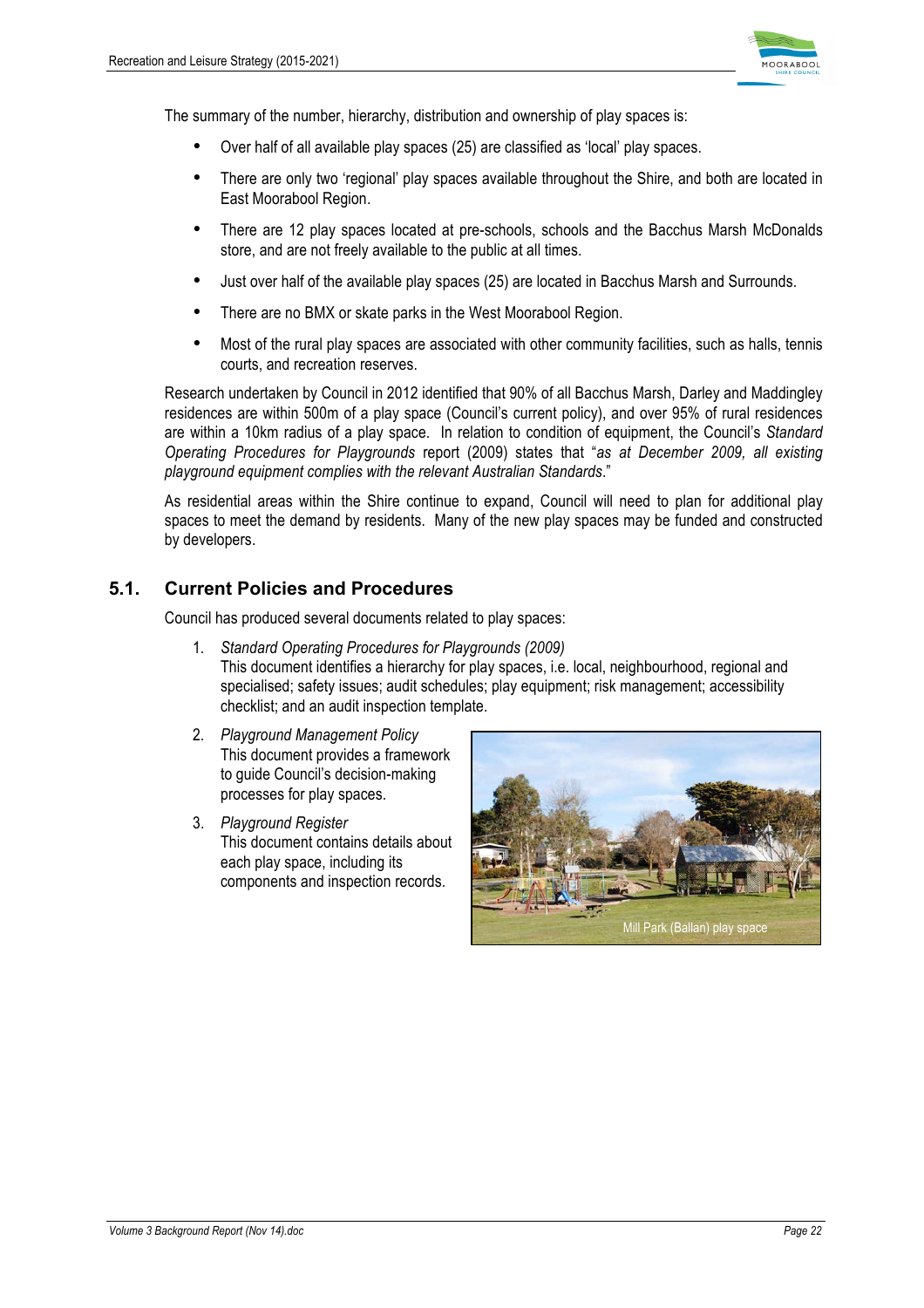

The summary of the number, hierarchy, distribution and ownership of play spaces is:

- Over half of all available play spaces (25) are classified as 'local' play spaces.
- There are only two 'regional' play spaces available throughout the Shire, and both are located in East Moorabool Region.
- There are 12 play spaces located at pre-schools, schools and the Bacchus Marsh McDonalds store, and are not freely available to the public at all times.
- Just over half of the available play spaces (25) are located in Bacchus Marsh and Surrounds.
- There are no BMX or skate parks in the West Moorabool Region.
- Most of the rural play spaces are associated with other community facilities, such as halls, tennis courts, and recreation reserves.

Research undertaken by Council in 2012 identified that 90% of all Bacchus Marsh, Darley and Maddingley residences are within 500m of a play space (Council's current policy), and over 95% of rural residences are within a 10km radius of a play space. In relation to condition of equipment, the Council's *Standard Operating Procedures for Playgrounds* report (2009) states that "*as at December 2009, all existing playground equipment complies with the relevant Australian Standards*."

As residential areas within the Shire continue to expand, Council will need to plan for additional play spaces to meet the demand by residents. Many of the new play spaces may be funded and constructed by developers.

# **5.1. Current Policies and Procedures**

Council has produced several documents related to play spaces:

- 1. *Standard Operating Procedures for Playgrounds (2009)* This document identifies a hierarchy for play spaces, i.e. local, neighbourhood, regional and
	- specialised; safety issues; audit schedules; play equipment; risk management; accessibility checklist; and an audit inspection template.
- 2. *Playground Management Policy* This document provides a framework to guide Council's decision-making processes for play spaces.
- 3. *Playground Register* This document contains details about each play space, including its components and inspection records.

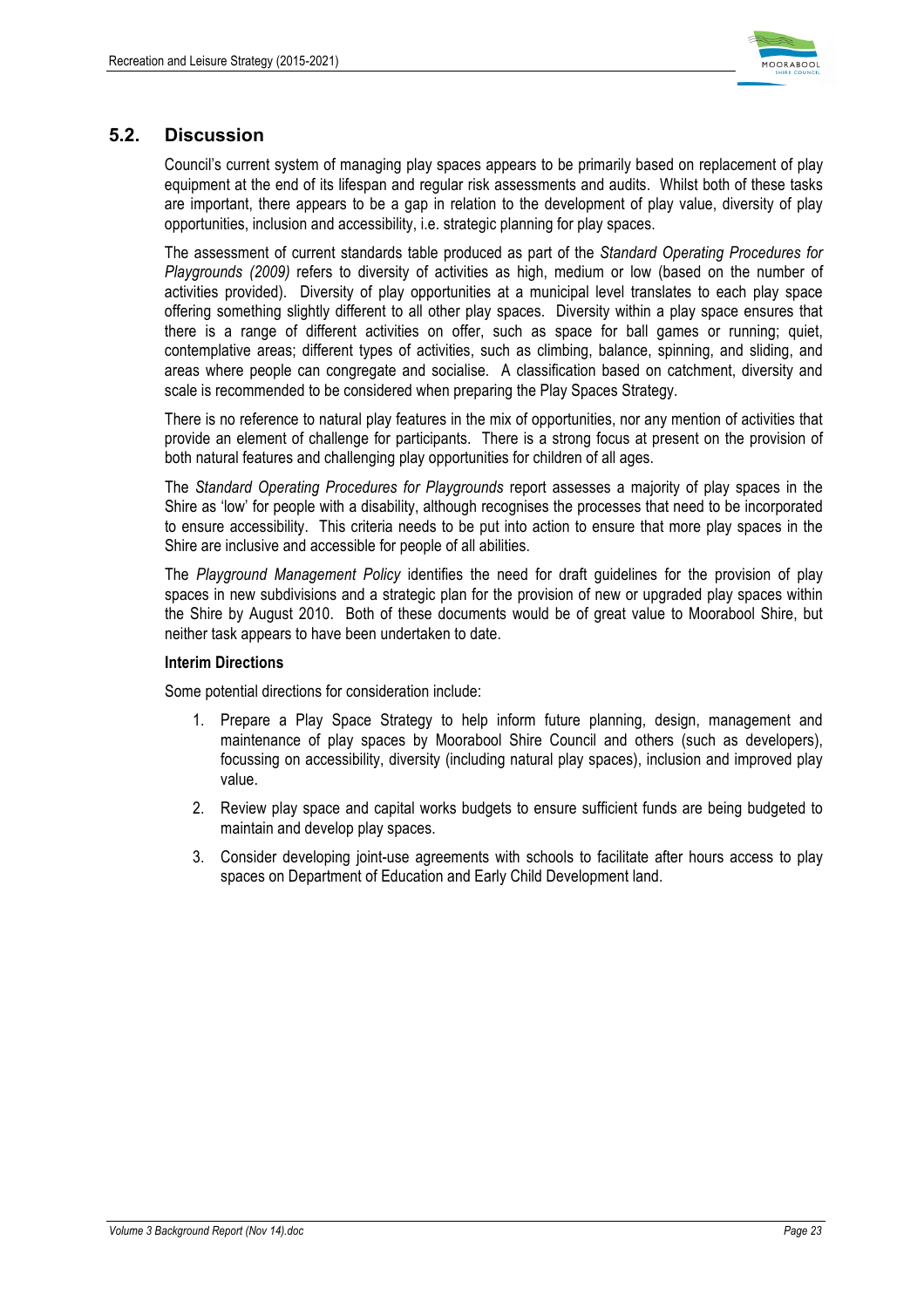

## **5.2. Discussion**

Council's current system of managing play spaces appears to be primarily based on replacement of play equipment at the end of its lifespan and regular risk assessments and audits. Whilst both of these tasks are important, there appears to be a gap in relation to the development of play value, diversity of play opportunities, inclusion and accessibility, i.e. strategic planning for play spaces.

The assessment of current standards table produced as part of the *Standard Operating Procedures for Playgrounds (2009)* refers to diversity of activities as high, medium or low (based on the number of activities provided). Diversity of play opportunities at a municipal level translates to each play space offering something slightly different to all other play spaces. Diversity within a play space ensures that there is a range of different activities on offer, such as space for ball games or running; quiet, contemplative areas; different types of activities, such as climbing, balance, spinning, and sliding, and areas where people can congregate and socialise. A classification based on catchment, diversity and scale is recommended to be considered when preparing the Play Spaces Strategy.

There is no reference to natural play features in the mix of opportunities, nor any mention of activities that provide an element of challenge for participants. There is a strong focus at present on the provision of both natural features and challenging play opportunities for children of all ages.

The *Standard Operating Procedures for Playgrounds* report assesses a majority of play spaces in the Shire as 'low' for people with a disability, although recognises the processes that need to be incorporated to ensure accessibility. This criteria needs to be put into action to ensure that more play spaces in the Shire are inclusive and accessible for people of all abilities.

The *Playground Management Policy* identifies the need for draft guidelines for the provision of play spaces in new subdivisions and a strategic plan for the provision of new or upgraded play spaces within the Shire by August 2010. Both of these documents would be of great value to Moorabool Shire, but neither task appears to have been undertaken to date.

#### **Interim Directions**

Some potential directions for consideration include:

- 1. Prepare a Play Space Strategy to help inform future planning, design, management and maintenance of play spaces by Moorabool Shire Council and others (such as developers), focussing on accessibility, diversity (including natural play spaces), inclusion and improved play value.
- 2. Review play space and capital works budgets to ensure sufficient funds are being budgeted to maintain and develop play spaces.
- 3. Consider developing joint-use agreements with schools to facilitate after hours access to play spaces on Department of Education and Early Child Development land.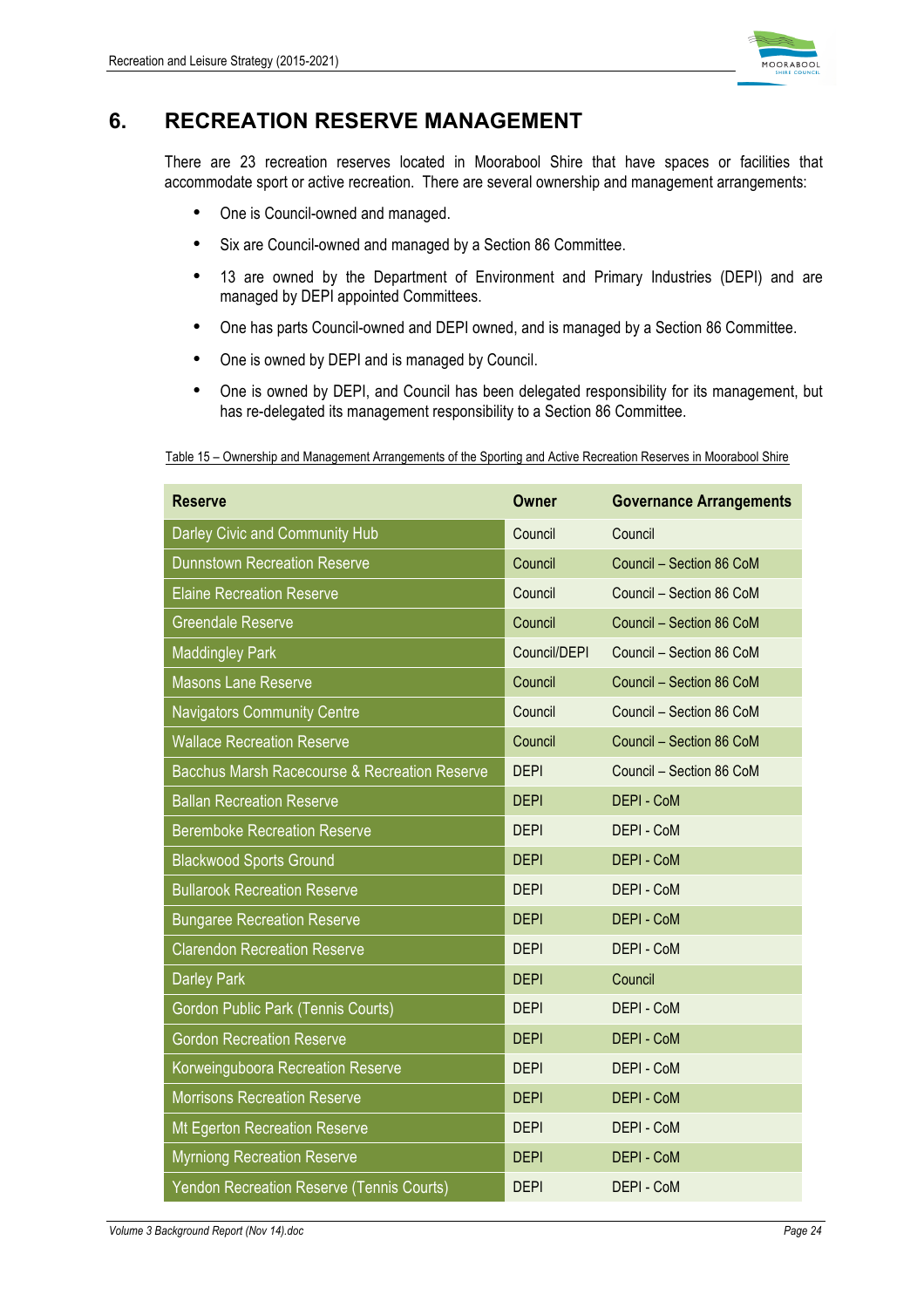

# **6. RECREATION RESERVE MANAGEMENT**

There are 23 recreation reserves located in Moorabool Shire that have spaces or facilities that accommodate sport or active recreation. There are several ownership and management arrangements:

- One is Council-owned and managed.
- Six are Council-owned and managed by a Section 86 Committee.
- 13 are owned by the Department of Environment and Primary Industries (DEPI) and are managed by DEPI appointed Committees.
- One has parts Council-owned and DEPI owned, and is managed by a Section 86 Committee.
- One is owned by DEPI and is managed by Council.
- One is owned by DEPI, and Council has been delegated responsibility for its management, but has re-delegated its management responsibility to a Section 86 Committee.

Table 15 – Ownership and Management Arrangements of the Sporting and Active Recreation Reserves in Moorabool Shire

| <b>Reserve</b>                                | <b>Owner</b> | <b>Governance Arrangements</b> |
|-----------------------------------------------|--------------|--------------------------------|
| Darley Civic and Community Hub                | Council      | Council                        |
| <b>Dunnstown Recreation Reserve</b>           | Council      | Council - Section 86 CoM       |
| <b>Elaine Recreation Reserve</b>              | Council      | Council - Section 86 CoM       |
| <b>Greendale Reserve</b>                      | Council      | Council - Section 86 CoM       |
| <b>Maddingley Park</b>                        | Council/DEPI | Council - Section 86 CoM       |
| <b>Masons Lane Reserve</b>                    | Council      | Council - Section 86 CoM       |
| <b>Navigators Community Centre</b>            | Council      | Council - Section 86 CoM       |
| <b>Wallace Recreation Reserve</b>             | Council      | Council - Section 86 CoM       |
| Bacchus Marsh Racecourse & Recreation Reserve | <b>DEPI</b>  | Council - Section 86 CoM       |
| <b>Ballan Recreation Reserve</b>              | <b>DEPI</b>  | <b>DEPI - CoM</b>              |
| <b>Beremboke Recreation Reserve</b>           | <b>DEPI</b>  | DEPI - CoM                     |
| <b>Blackwood Sports Ground</b>                | <b>DEPI</b>  | <b>DEPI - CoM</b>              |
| <b>Bullarook Recreation Reserve</b>           | <b>DEPI</b>  | <b>DEPI - CoM</b>              |
| <b>Bungaree Recreation Reserve</b>            | <b>DEPI</b>  | <b>DEPI - CoM</b>              |
| <b>Clarendon Recreation Reserve</b>           | <b>DEPI</b>  | <b>DEPI - CoM</b>              |
| <b>Darley Park</b>                            | <b>DEPI</b>  | Council                        |
| Gordon Public Park (Tennis Courts)            | <b>DEPI</b>  | DEPI - CoM                     |
| <b>Gordon Recreation Reserve</b>              | <b>DEPI</b>  | <b>DEPI - CoM</b>              |
| Korweinguboora Recreation Reserve             | <b>DEPI</b>  | <b>DEPI - CoM</b>              |
| <b>Morrisons Recreation Reserve</b>           | <b>DEPI</b>  | <b>DEPI - CoM</b>              |
| Mt Egerton Recreation Reserve                 | <b>DEPI</b>  | <b>DEPI - CoM</b>              |
| <b>Myrniong Recreation Reserve</b>            | <b>DEPI</b>  | <b>DEPI - CoM</b>              |
| Yendon Recreation Reserve (Tennis Courts)     | <b>DEPI</b>  | DEPI - CoM                     |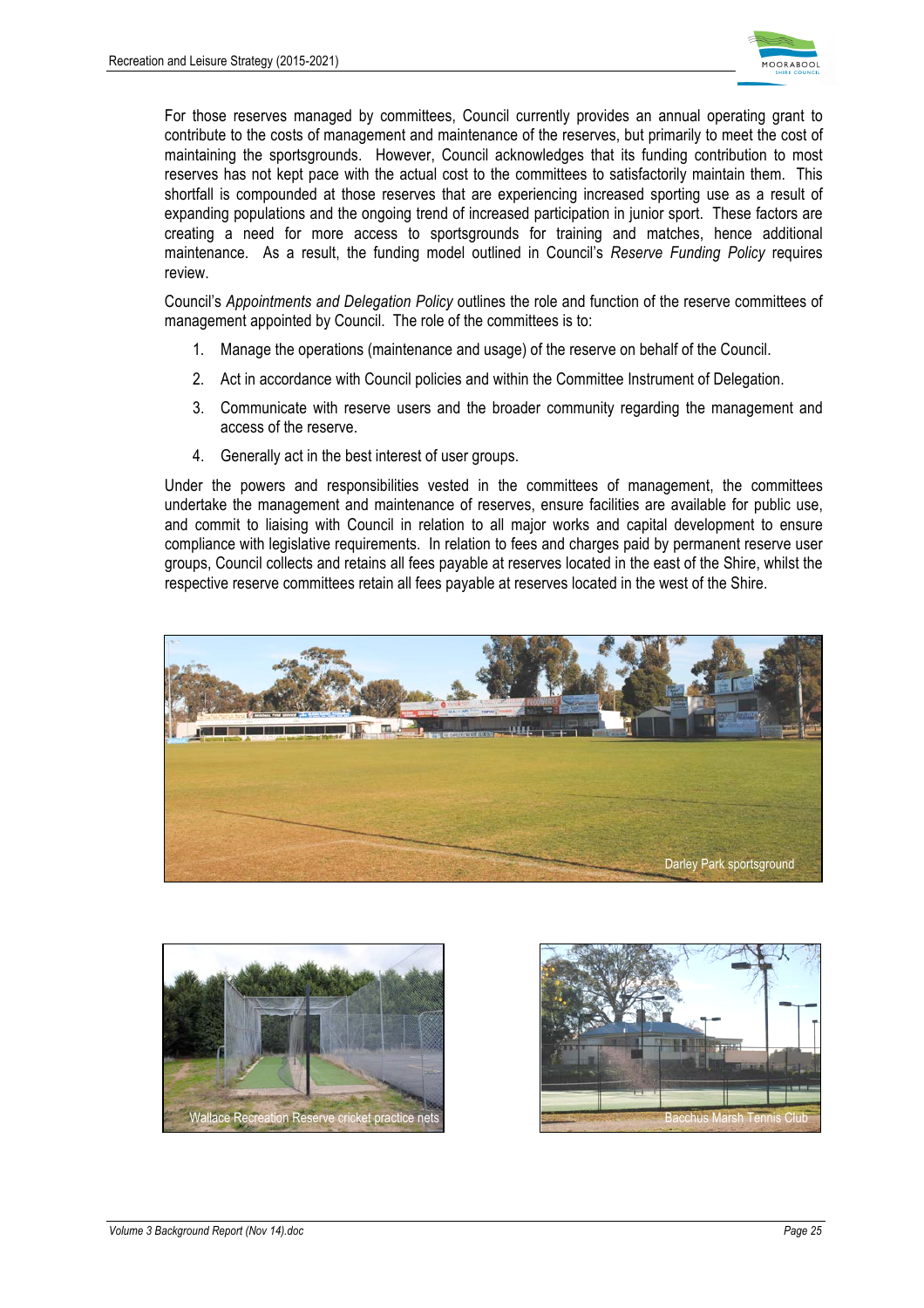

For those reserves managed by committees, Council currently provides an annual operating grant to contribute to the costs of management and maintenance of the reserves, but primarily to meet the cost of maintaining the sportsgrounds. However, Council acknowledges that its funding contribution to most reserves has not kept pace with the actual cost to the committees to satisfactorily maintain them. This shortfall is compounded at those reserves that are experiencing increased sporting use as a result of expanding populations and the ongoing trend of increased participation in junior sport. These factors are creating a need for more access to sportsgrounds for training and matches, hence additional maintenance. As a result, the funding model outlined in Council's *Reserve Funding Policy* requires review.

Council's *Appointments and Delegation Policy* outlines the role and function of the reserve committees of management appointed by Council. The role of the committees is to:

- 1. Manage the operations (maintenance and usage) of the reserve on behalf of the Council.
- 2. Act in accordance with Council policies and within the Committee Instrument of Delegation.
- 3. Communicate with reserve users and the broader community regarding the management and access of the reserve.
- 4. Generally act in the best interest of user groups.

Under the powers and responsibilities vested in the committees of management, the committees undertake the management and maintenance of reserves, ensure facilities are available for public use, and commit to liaising with Council in relation to all major works and capital development to ensure compliance with legislative requirements. In relation to fees and charges paid by permanent reserve user groups, Council collects and retains all fees payable at reserves located in the east of the Shire, whilst the respective reserve committees retain all fees payable at reserves located in the west of the Shire.





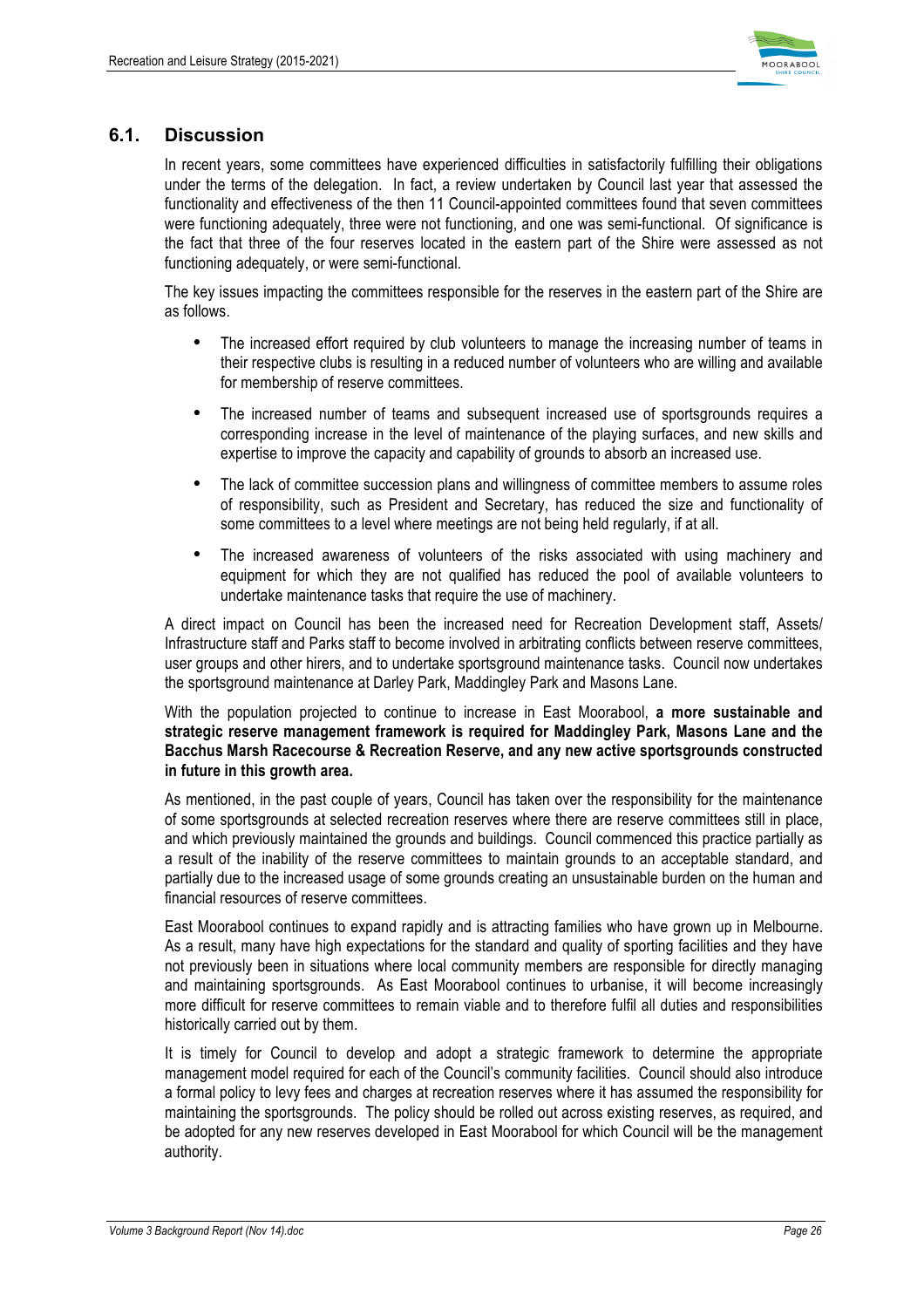

# **6.1. Discussion**

In recent years, some committees have experienced difficulties in satisfactorily fulfilling their obligations under the terms of the delegation. In fact, a review undertaken by Council last year that assessed the functionality and effectiveness of the then 11 Council-appointed committees found that seven committees were functioning adequately, three were not functioning, and one was semi-functional. Of significance is the fact that three of the four reserves located in the eastern part of the Shire were assessed as not functioning adequately, or were semi-functional.

The key issues impacting the committees responsible for the reserves in the eastern part of the Shire are as follows.

- The increased effort required by club volunteers to manage the increasing number of teams in their respective clubs is resulting in a reduced number of volunteers who are willing and available for membership of reserve committees.
- The increased number of teams and subsequent increased use of sportsgrounds requires a corresponding increase in the level of maintenance of the playing surfaces, and new skills and expertise to improve the capacity and capability of grounds to absorb an increased use.
- The lack of committee succession plans and willingness of committee members to assume roles of responsibility, such as President and Secretary, has reduced the size and functionality of some committees to a level where meetings are not being held regularly, if at all.
- The increased awareness of volunteers of the risks associated with using machinery and equipment for which they are not qualified has reduced the pool of available volunteers to undertake maintenance tasks that require the use of machinery.

A direct impact on Council has been the increased need for Recreation Development staff, Assets/ Infrastructure staff and Parks staff to become involved in arbitrating conflicts between reserve committees, user groups and other hirers, and to undertake sportsground maintenance tasks. Council now undertakes the sportsground maintenance at Darley Park, Maddingley Park and Masons Lane.

With the population projected to continue to increase in East Moorabool, **a more sustainable and strategic reserve management framework is required for Maddingley Park, Masons Lane and the Bacchus Marsh Racecourse & Recreation Reserve, and any new active sportsgrounds constructed in future in this growth area.**

As mentioned, in the past couple of years, Council has taken over the responsibility for the maintenance of some sportsgrounds at selected recreation reserves where there are reserve committees still in place, and which previously maintained the grounds and buildings. Council commenced this practice partially as a result of the inability of the reserve committees to maintain grounds to an acceptable standard, and partially due to the increased usage of some grounds creating an unsustainable burden on the human and financial resources of reserve committees.

East Moorabool continues to expand rapidly and is attracting families who have grown up in Melbourne. As a result, many have high expectations for the standard and quality of sporting facilities and they have not previously been in situations where local community members are responsible for directly managing and maintaining sportsgrounds. As East Moorabool continues to urbanise, it will become increasingly more difficult for reserve committees to remain viable and to therefore fulfil all duties and responsibilities historically carried out by them.

It is timely for Council to develop and adopt a strategic framework to determine the appropriate management model required for each of the Council's community facilities. Council should also introduce a formal policy to levy fees and charges at recreation reserves where it has assumed the responsibility for maintaining the sportsgrounds. The policy should be rolled out across existing reserves, as required, and be adopted for any new reserves developed in East Moorabool for which Council will be the management authority.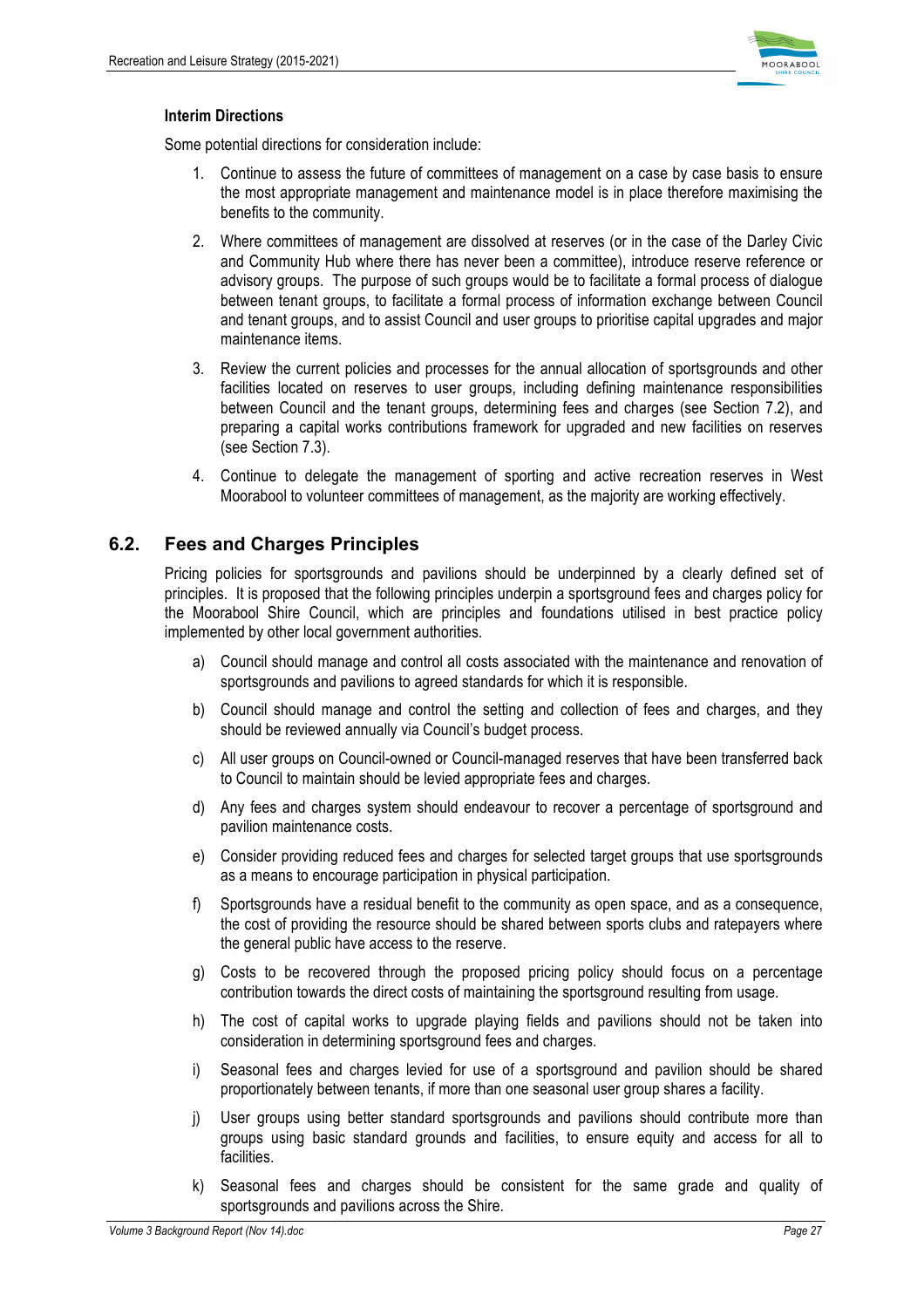

#### **Interim Directions**

Some potential directions for consideration include:

- 1. Continue to assess the future of committees of management on a case by case basis to ensure the most appropriate management and maintenance model is in place therefore maximising the benefits to the community.
- 2. Where committees of management are dissolved at reserves (or in the case of the Darley Civic and Community Hub where there has never been a committee), introduce reserve reference or advisory groups. The purpose of such groups would be to facilitate a formal process of dialogue between tenant groups, to facilitate a formal process of information exchange between Council and tenant groups, and to assist Council and user groups to prioritise capital upgrades and major maintenance items.
- 3. Review the current policies and processes for the annual allocation of sportsgrounds and other facilities located on reserves to user groups, including defining maintenance responsibilities between Council and the tenant groups, determining fees and charges (see Section 7.2), and preparing a capital works contributions framework for upgraded and new facilities on reserves (see Section 7.3).
- 4. Continue to delegate the management of sporting and active recreation reserves in West Moorabool to volunteer committees of management, as the majority are working effectively.

# **6.2. Fees and Charges Principles**

Pricing policies for sportsgrounds and pavilions should be underpinned by a clearly defined set of principles. It is proposed that the following principles underpin a sportsground fees and charges policy for the Moorabool Shire Council, which are principles and foundations utilised in best practice policy implemented by other local government authorities.

- a) Council should manage and control all costs associated with the maintenance and renovation of sportsgrounds and pavilions to agreed standards for which it is responsible.
- b) Council should manage and control the setting and collection of fees and charges, and they should be reviewed annually via Council's budget process.
- c) All user groups on Council-owned or Council-managed reserves that have been transferred back to Council to maintain should be levied appropriate fees and charges.
- d) Any fees and charges system should endeavour to recover a percentage of sportsground and pavilion maintenance costs.
- e) Consider providing reduced fees and charges for selected target groups that use sportsgrounds as a means to encourage participation in physical participation.
- f) Sportsgrounds have a residual benefit to the community as open space, and as a consequence, the cost of providing the resource should be shared between sports clubs and ratepayers where the general public have access to the reserve.
- g) Costs to be recovered through the proposed pricing policy should focus on a percentage contribution towards the direct costs of maintaining the sportsground resulting from usage.
- h) The cost of capital works to upgrade playing fields and pavilions should not be taken into consideration in determining sportsground fees and charges.
- i) Seasonal fees and charges levied for use of a sportsground and pavilion should be shared proportionately between tenants, if more than one seasonal user group shares a facility.
- j) User groups using better standard sportsgrounds and pavilions should contribute more than groups using basic standard grounds and facilities, to ensure equity and access for all to facilities.
- k) Seasonal fees and charges should be consistent for the same grade and quality of sportsgrounds and pavilions across the Shire.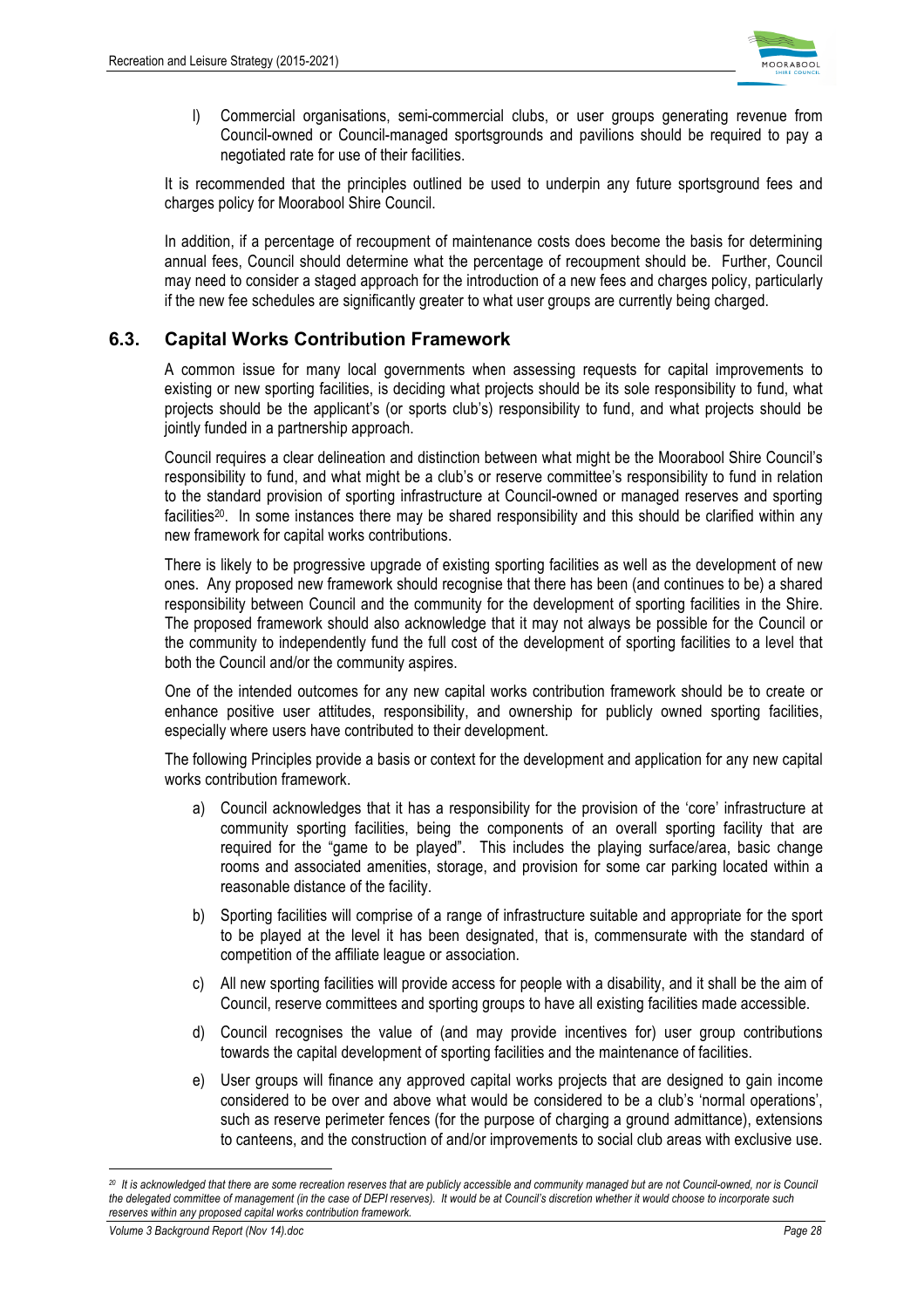

l) Commercial organisations, semi-commercial clubs, or user groups generating revenue from Council-owned or Council-managed sportsgrounds and pavilions should be required to pay a negotiated rate for use of their facilities.

It is recommended that the principles outlined be used to underpin any future sportsground fees and charges policy for Moorabool Shire Council.

In addition, if a percentage of recoupment of maintenance costs does become the basis for determining annual fees, Council should determine what the percentage of recoupment should be. Further, Council may need to consider a staged approach for the introduction of a new fees and charges policy, particularly if the new fee schedules are significantly greater to what user groups are currently being charged.

# **6.3. Capital Works Contribution Framework**

A common issue for many local governments when assessing requests for capital improvements to existing or new sporting facilities, is deciding what projects should be its sole responsibility to fund, what projects should be the applicant's (or sports club's) responsibility to fund, and what projects should be jointly funded in a partnership approach.

Council requires a clear delineation and distinction between what might be the Moorabool Shire Council's responsibility to fund, and what might be a club's or reserve committee's responsibility to fund in relation to the standard provision of sporting infrastructure at Council-owned or managed reserves and sporting facilities<sup>20</sup>. In some instances there may be shared responsibility and this should be clarified within any new framework for capital works contributions.

There is likely to be progressive upgrade of existing sporting facilities as well as the development of new ones. Any proposed new framework should recognise that there has been (and continues to be) a shared responsibility between Council and the community for the development of sporting facilities in the Shire. The proposed framework should also acknowledge that it may not always be possible for the Council or the community to independently fund the full cost of the development of sporting facilities to a level that both the Council and/or the community aspires.

One of the intended outcomes for any new capital works contribution framework should be to create or enhance positive user attitudes, responsibility, and ownership for publicly owned sporting facilities, especially where users have contributed to their development.

The following Principles provide a basis or context for the development and application for any new capital works contribution framework.

- a) Council acknowledges that it has a responsibility for the provision of the 'core' infrastructure at community sporting facilities, being the components of an overall sporting facility that are required for the "game to be played". This includes the playing surface/area, basic change rooms and associated amenities, storage, and provision for some car parking located within a reasonable distance of the facility.
- b) Sporting facilities will comprise of a range of infrastructure suitable and appropriate for the sport to be played at the level it has been designated, that is, commensurate with the standard of competition of the affiliate league or association.
- c) All new sporting facilities will provide access for people with a disability, and it shall be the aim of Council, reserve committees and sporting groups to have all existing facilities made accessible.
- d) Council recognises the value of (and may provide incentives for) user group contributions towards the capital development of sporting facilities and the maintenance of facilities.
- e) User groups will finance any approved capital works projects that are designed to gain income considered to be over and above what would be considered to be a club's 'normal operations', such as reserve perimeter fences (for the purpose of charging a ground admittance), extensions to canteens, and the construction of and/or improvements to social club areas with exclusive use.

 $\overline{a}$ *20 It is acknowledged that there are some recreation reserves that are publicly accessible and community managed but are not Council-owned, nor is Council the delegated committee of management (in the case of DEPI reserves). It would be at Council's discretion whether it would choose to incorporate such reserves within any proposed capital works contribution framework.*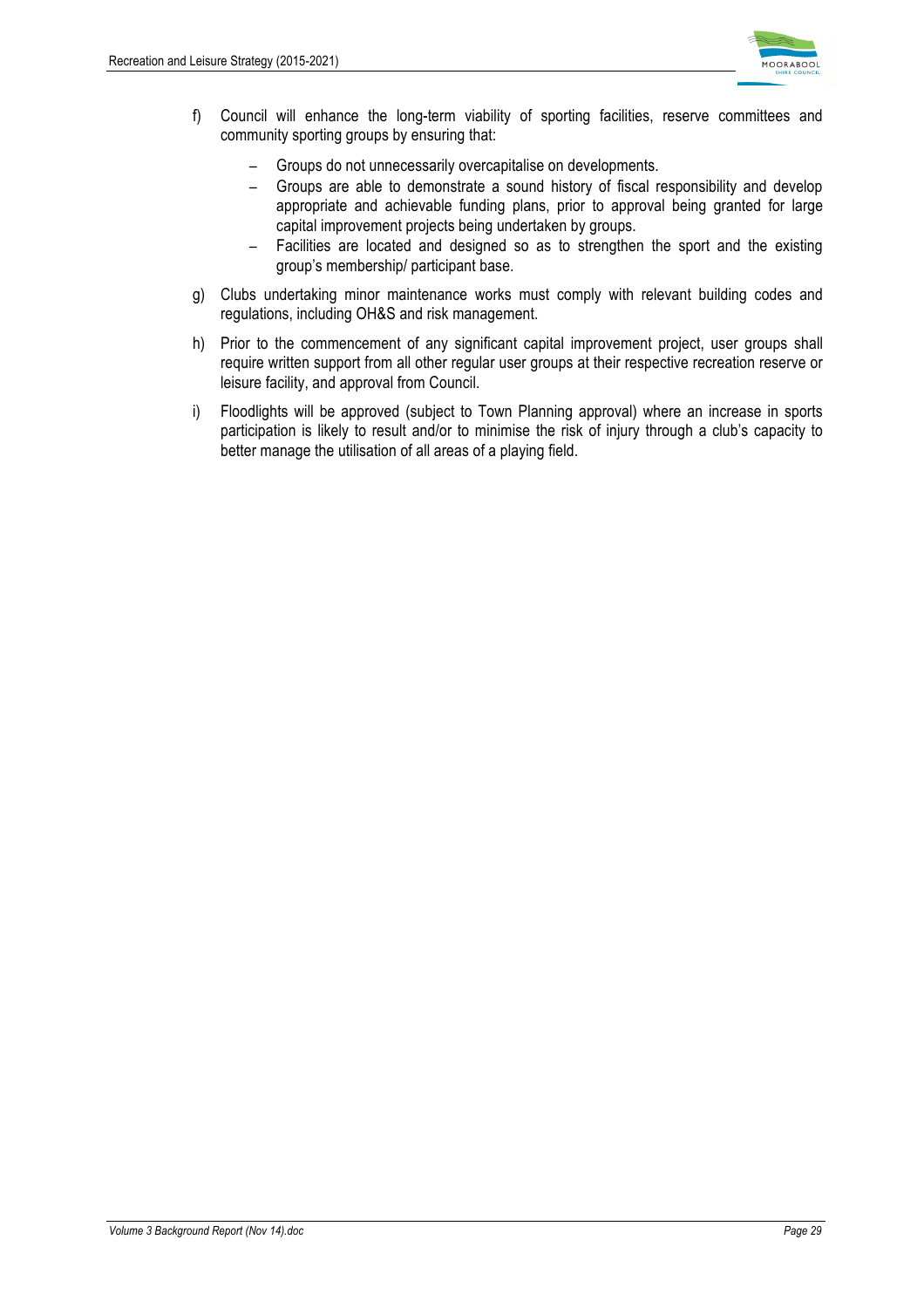

- f) Council will enhance the long-term viability of sporting facilities, reserve committees and community sporting groups by ensuring that:
	- Groups do not unnecessarily overcapitalise on developments.
	- − Groups are able to demonstrate a sound history of fiscal responsibility and develop appropriate and achievable funding plans, prior to approval being granted for large capital improvement projects being undertaken by groups.
	- − Facilities are located and designed so as to strengthen the sport and the existing group's membership/ participant base.
- g) Clubs undertaking minor maintenance works must comply with relevant building codes and regulations, including OH&S and risk management.
- h) Prior to the commencement of any significant capital improvement project, user groups shall require written support from all other regular user groups at their respective recreation reserve or leisure facility, and approval from Council.
- i) Floodlights will be approved (subject to Town Planning approval) where an increase in sports participation is likely to result and/or to minimise the risk of injury through a club's capacity to better manage the utilisation of all areas of a playing field.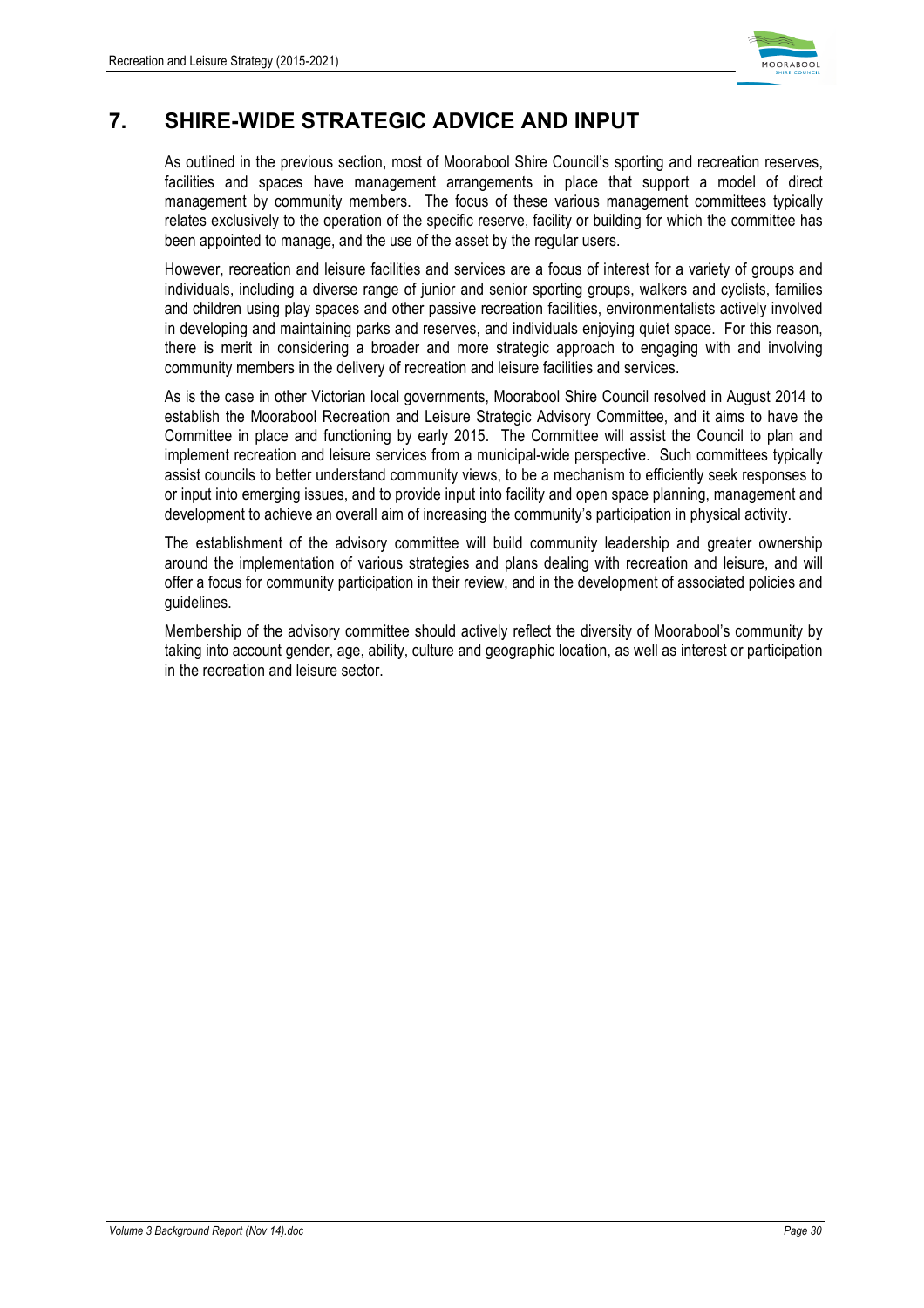

# **7. SHIRE-WIDE STRATEGIC ADVICE AND INPUT**

As outlined in the previous section, most of Moorabool Shire Council's sporting and recreation reserves, facilities and spaces have management arrangements in place that support a model of direct management by community members. The focus of these various management committees typically relates exclusively to the operation of the specific reserve, facility or building for which the committee has been appointed to manage, and the use of the asset by the regular users.

However, recreation and leisure facilities and services are a focus of interest for a variety of groups and individuals, including a diverse range of junior and senior sporting groups, walkers and cyclists, families and children using play spaces and other passive recreation facilities, environmentalists actively involved in developing and maintaining parks and reserves, and individuals enjoying quiet space. For this reason, there is merit in considering a broader and more strategic approach to engaging with and involving community members in the delivery of recreation and leisure facilities and services.

As is the case in other Victorian local governments, Moorabool Shire Council resolved in August 2014 to establish the Moorabool Recreation and Leisure Strategic Advisory Committee, and it aims to have the Committee in place and functioning by early 2015. The Committee will assist the Council to plan and implement recreation and leisure services from a municipal-wide perspective. Such committees typically assist councils to better understand community views, to be a mechanism to efficiently seek responses to or input into emerging issues, and to provide input into facility and open space planning, management and development to achieve an overall aim of increasing the community's participation in physical activity.

The establishment of the advisory committee will build community leadership and greater ownership around the implementation of various strategies and plans dealing with recreation and leisure, and will offer a focus for community participation in their review, and in the development of associated policies and guidelines.

Membership of the advisory committee should actively reflect the diversity of Moorabool's community by taking into account gender, age, ability, culture and geographic location, as well as interest or participation in the recreation and leisure sector.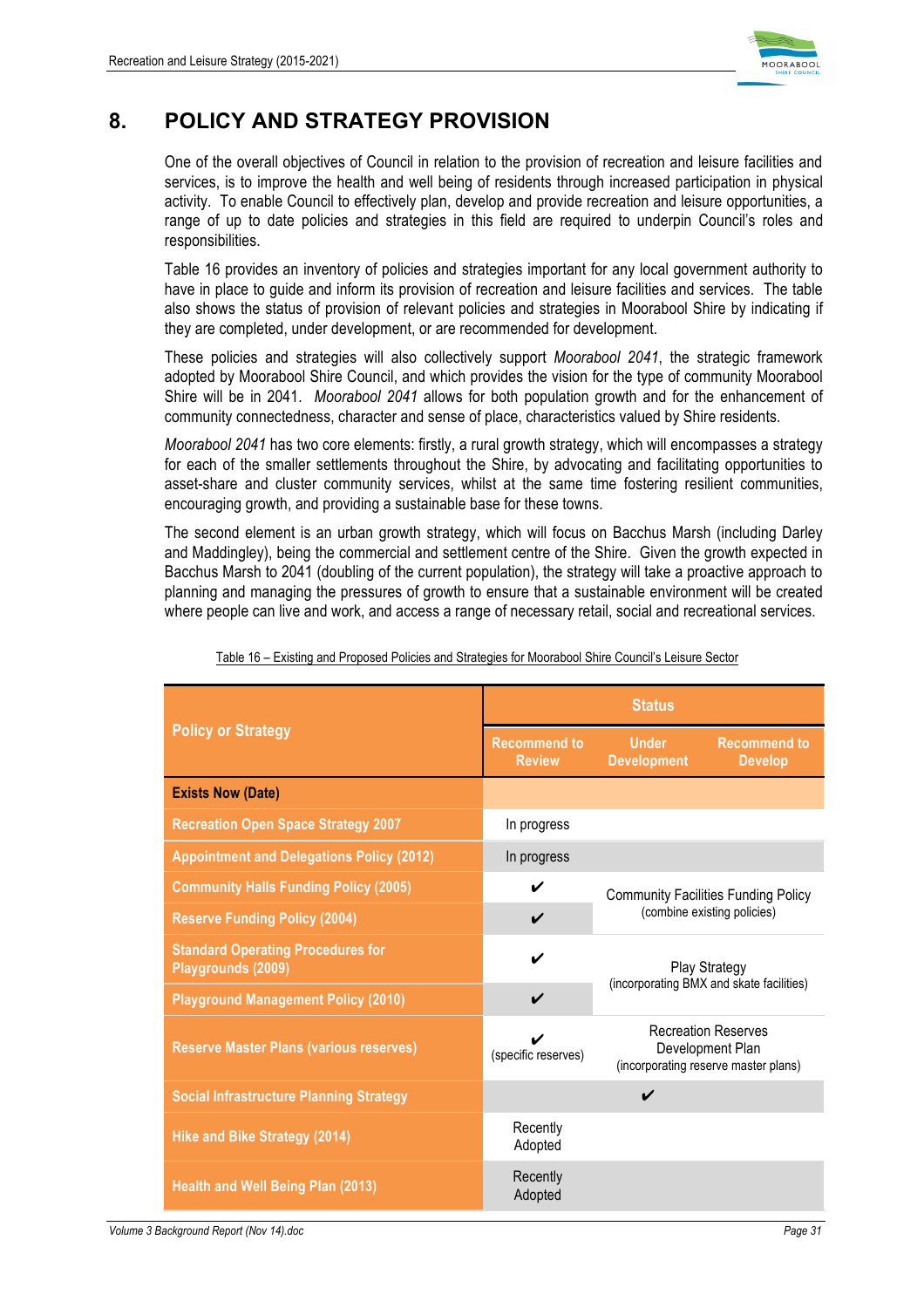

# **8. POLICY AND STRATEGY PROVISION**

One of the overall objectives of Council in relation to the provision of recreation and leisure facilities and services, is to improve the health and well being of residents through increased participation in physical activity. To enable Council to effectively plan, develop and provide recreation and leisure opportunities, a range of up to date policies and strategies in this field are required to underpin Council's roles and responsibilities.

Table 16 provides an inventory of policies and strategies important for any local government authority to have in place to guide and inform its provision of recreation and leisure facilities and services. The table also shows the status of provision of relevant policies and strategies in Moorabool Shire by indicating if they are completed, under development, or are recommended for development.

These policies and strategies will also collectively support *Moorabool 2041*, the strategic framework adopted by Moorabool Shire Council, and which provides the vision for the type of community Moorabool Shire will be in 2041. *Moorabool 2041* allows for both population growth and for the enhancement of community connectedness, character and sense of place, characteristics valued by Shire residents.

*Moorabool 2041* has two core elements: firstly, a rural growth strategy, which will encompasses a strategy for each of the smaller settlements throughout the Shire, by advocating and facilitating opportunities to asset-share and cluster community services, whilst at the same time fostering resilient communities, encouraging growth, and providing a sustainable base for these towns.

The second element is an urban growth strategy, which will focus on Bacchus Marsh (including Darley and Maddingley), being the commercial and settlement centre of the Shire. Given the growth expected in Bacchus Marsh to 2041 (doubling of the current population), the strategy will take a proactive approach to planning and managing the pressures of growth to ensure that a sustainable environment will be created where people can live and work, and access a range of necessary retail, social and recreational services.

|                                                                | <b>Status</b>                        |                                                                                        |                                       |  |  |
|----------------------------------------------------------------|--------------------------------------|----------------------------------------------------------------------------------------|---------------------------------------|--|--|
| <b>Policy or Strategy</b>                                      | <b>Recommend to</b><br><b>Review</b> | <b>Under</b><br><b>Development</b>                                                     | <b>Recommend to</b><br><b>Develop</b> |  |  |
| <b>Exists Now (Date)</b>                                       |                                      |                                                                                        |                                       |  |  |
| <b>Recreation Open Space Strategy 2007</b>                     | In progress                          |                                                                                        |                                       |  |  |
| <b>Appointment and Delegations Policy (2012)</b>               | In progress                          |                                                                                        |                                       |  |  |
| <b>Community Halls Funding Policy (2005)</b>                   | V                                    | <b>Community Facilities Funding Policy</b><br>(combine existing policies)              |                                       |  |  |
| <b>Reserve Funding Policy (2004)</b>                           | V                                    |                                                                                        |                                       |  |  |
| <b>Standard Operating Procedures for</b><br>Playgrounds (2009) | ✔                                    | Play Strategy<br>(incorporating BMX and skate facilities)                              |                                       |  |  |
| <b>Playground Management Policy (2010)</b>                     | ✔                                    |                                                                                        |                                       |  |  |
| <b>Reserve Master Plans (various reserves)</b>                 | (specific reserves)                  | <b>Recreation Reserves</b><br>Development Plan<br>(incorporating reserve master plans) |                                       |  |  |
| <b>Social Infrastructure Planning Strategy</b>                 |                                      | V                                                                                      |                                       |  |  |
| <b>Hike and Bike Strategy (2014)</b>                           | Recently<br>Adopted                  |                                                                                        |                                       |  |  |
| <b>Health and Well Being Plan (2013)</b>                       | Recently<br>Adopted                  |                                                                                        |                                       |  |  |

Table 16 – Existing and Proposed Policies and Strategies for Moorabool Shire Council's Leisure Sector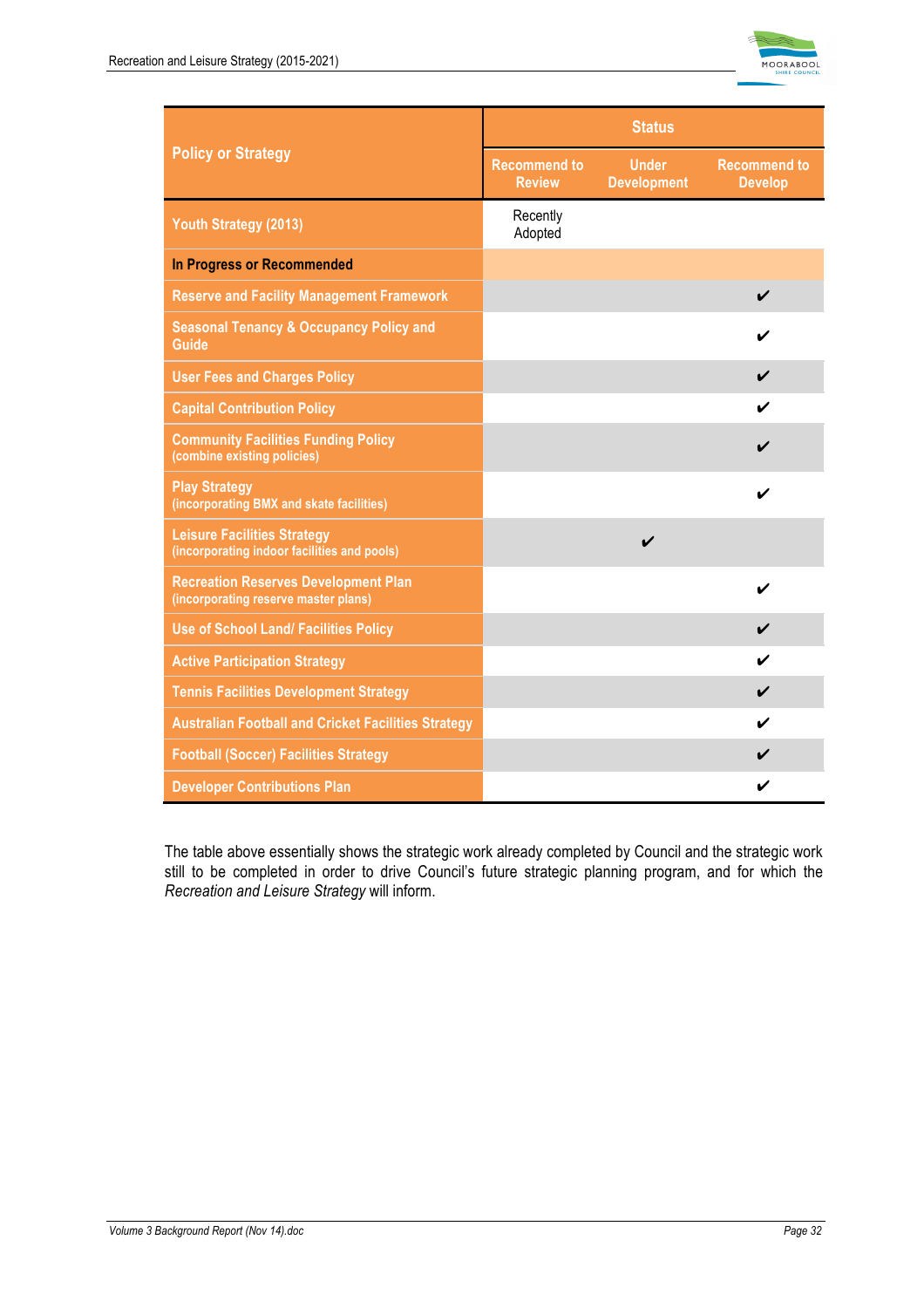

|                                                                                     | <b>Status</b>                        |                                    |                                       |  |  |
|-------------------------------------------------------------------------------------|--------------------------------------|------------------------------------|---------------------------------------|--|--|
| <b>Policy or Strategy</b>                                                           | <b>Recommend to</b><br><b>Review</b> | <b>Under</b><br><b>Development</b> | <b>Recommend to</b><br><b>Develop</b> |  |  |
| Youth Strategy (2013)                                                               | Recently<br>Adopted                  |                                    |                                       |  |  |
| In Progress or Recommended                                                          |                                      |                                    |                                       |  |  |
| <b>Reserve and Facility Management Framework</b>                                    |                                      |                                    | $\boldsymbol{\nu}$                    |  |  |
| <b>Seasonal Tenancy &amp; Occupancy Policy and</b><br><b>Guide</b>                  |                                      |                                    |                                       |  |  |
| <b>User Fees and Charges Policy</b>                                                 |                                      |                                    | $\boldsymbol{\nu}$                    |  |  |
| <b>Capital Contribution Policy</b>                                                  |                                      |                                    | ✔                                     |  |  |
| <b>Community Facilities Funding Policy</b><br>(combine existing policies)           |                                      |                                    |                                       |  |  |
| <b>Play Strategy</b><br>(incorporating BMX and skate facilities)                    |                                      |                                    |                                       |  |  |
| <b>Leisure Facilities Strategy</b><br>(incorporating indoor facilities and pools)   |                                      | $\boldsymbol{\nu}$                 |                                       |  |  |
| <b>Recreation Reserves Development Plan</b><br>(incorporating reserve master plans) |                                      |                                    | ✔                                     |  |  |
| <b>Use of School Land/ Facilities Policy</b>                                        |                                      |                                    | ✔                                     |  |  |
| <b>Active Participation Strategy</b>                                                |                                      |                                    | ✓                                     |  |  |
| <b>Tennis Facilities Development Strategy</b>                                       |                                      |                                    | ✔                                     |  |  |
| <b>Australian Football and Cricket Facilities Strategy</b>                          |                                      |                                    | $\boldsymbol{\nu}$                    |  |  |
| <b>Football (Soccer) Facilities Strategy</b>                                        |                                      |                                    |                                       |  |  |
| <b>Developer Contributions Plan</b>                                                 |                                      |                                    |                                       |  |  |

The table above essentially shows the strategic work already completed by Council and the strategic work still to be completed in order to drive Council's future strategic planning program, and for which the *Recreation and Leisure Strategy* will inform.